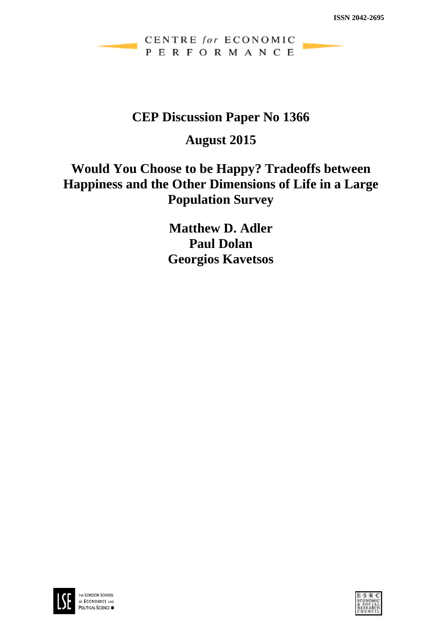CENTRE for ECONOMIC PERFORMANCE

# **CEP Discussion Paper No 1366**

# **August 2015**

# **Would You Choose to be Happy? Tradeoffs between Happiness and the Other Dimensions of Life in a Large Population Survey**

**Matthew D. Adler Paul Dolan Georgios Kavetsos**



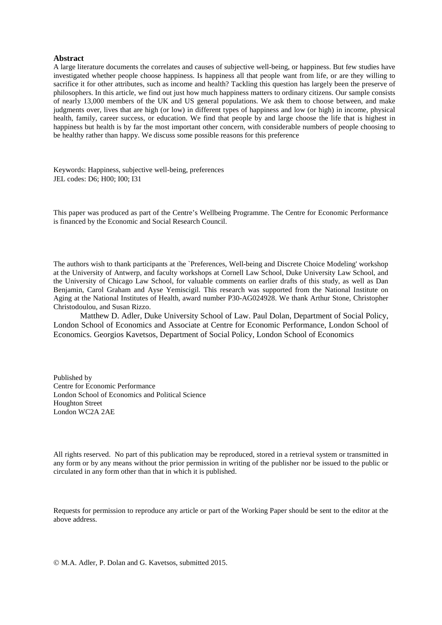### **Abstract**

A large literature documents the correlates and causes of subjective well-being, or happiness. But few studies have investigated whether people choose happiness. Is happiness all that people want from life, or are they willing to sacrifice it for other attributes, such as income and health? Tackling this question has largely been the preserve of philosophers. In this article, we find out just how much happiness matters to ordinary citizens. Our sample consists of nearly 13,000 members of the UK and US general populations. We ask them to choose between, and make judgments over, lives that are high (or low) in different types of happiness and low (or high) in income, physical health, family, career success, or education. We find that people by and large choose the life that is highest in happiness but health is by far the most important other concern, with considerable numbers of people choosing to be healthy rather than happy. We discuss some possible reasons for this preference

Keywords: Happiness, subjective well-being, preferences JEL codes: D6; H00; I00; I31

This paper was produced as part of the Centre's Wellbeing Programme. The Centre for Economic Performance is financed by the Economic and Social Research Council.

The authors wish to thank participants at the `Preferences, Well-being and Discrete Choice Modeling' workshop at the University of Antwerp, and faculty workshops at Cornell Law School, Duke University Law School, and the University of Chicago Law School, for valuable comments on earlier drafts of this study, as well as Dan Benjamin, Carol Graham and Ayse Yemiscigil. This research was supported from the National Institute on Aging at the National Institutes of Health, award number P30-AG024928. We thank Arthur Stone, Christopher Christodoulou, and Susan Rizzo.

Matthew D. Adler, Duke University School of Law. Paul Dolan, Department of Social Policy, London School of Economics and Associate at Centre for Economic Performance, London School of Economics. Georgios Kavetsos, Department of Social Policy, London School of Economics

Published by Centre for Economic Performance London School of Economics and Political Science Houghton Street London WC2A 2AE

All rights reserved. No part of this publication may be reproduced, stored in a retrieval system or transmitted in any form or by any means without the prior permission in writing of the publisher nor be issued to the public or circulated in any form other than that in which it is published.

Requests for permission to reproduce any article or part of the Working Paper should be sent to the editor at the above address.

M.A. Adler, P. Dolan and G. Kavetsos, submitted 2015.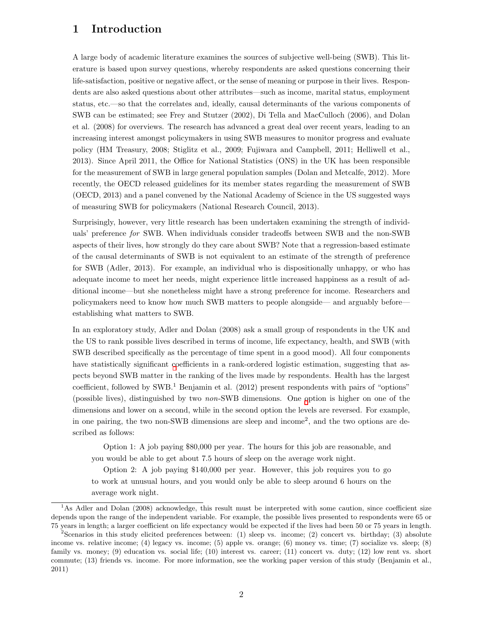## **1 Introduction**

life-satisfaction, positive or negative affect, or the sense of meaning or purpose in their lives. Respondents are also asked questions about other attributes—such as income, marital status, employment status, etc.—so that the correlates and, ideally, causal determinants of the various components of SWB can be estimated; see Frey and Stutzer (2002), Di Tella and MacCulloch (2006), and Dolan et al. (2008) for overviews. The research has advanced a great deal over recent years, leading to an increasing interest amongst policymakers in using SWB measures to monitor progress and evaluate policy (HM Treasury, 2008; Stiglitz et al., 2009; Fujiwara and Campbell, 2011; Helliwell et al., 2013). Since April 2011, the Office for National Statistics (ONS) in the UK has been responsible for the measurement of SWB in large general population samples (Dolan and Metcalfe, 2012). More recently, the OECD released guidelines for its member states regarding the measurement of SWB (OECD, 2013) and a panel convened by the National Academy of Science in the US suggested ways of measuring SWB for policymakers (National Research Council, 2013). A large body of academic literature examines the sources of subjective well-being (SWB). This literature is based upon survey questions, whereby respondents are asked questions concerning their

Surprisingly, however, very little research has been undertaken examining the strength of individuals' preference *for* SWB. When individuals consider tradeoffs between SWB and the non-SWB aspects of their lives, how strongly do they care about SWB? Note that a regression-based estimate of the causal determinants of SWB is not equivalent to an estimate of the strength of preference for SWB (Adler, 2013). For example, an individual who is dispositionally unhappy, or who has adequate income to meet her needs, might experience little increased happiness as a result of additional income—but she nonetheless might have a strong preference for income. Researchers and policymakers need to know how much SWB matters to people alongside— and arguably before establishing what matters to SWB.

In an exploratory study, Adler and Dolan (2008) ask a small group of respondents in the UK and the US to rank possible lives described in terms of income, life expectancy, health, and SWB (with SWB described specifically as the percentage of time spent in a good mood). All four components have statistically significant coefficients in a rank-ordered logistic estimation, suggesting that aspects beyond SWB matter in the ranking of the lives made by respondents. Health has the largest coefficient, followed by  $SWB<sup>1</sup>$  Benjamin et al. (2012) present respondents with pairs of "options" (possible lives), distinguished by two *non*-SWB dimensions. One option is higher on one of the dimensions and lower on a second, while in the second option the levels are reversed. For example, in one pairing, the two non-SWB dimensions are sleep and income<sup>2</sup>, and the two options are described as follows:

Option 1: A job paying \$80,000 per year. The hours for this job are reasonable, and you would be able to get about 7.5 hours of sleep on the average work night.

Option 2: A job paying \$140,000 per year. However, this job requires you to go to work at unusual hours, and you would only be able to sleep around 6 hours on the average work night.

<sup>&</sup>lt;sup>1</sup>As Adler and Dolan (2008) acknowledge, this result must be interpreted with some caution, since coefficient size depends upon the range of the independent variable. For example, the possible lives presented to respondents were 65 or 75 years in length; a larger coefficient on life expectancy would be expected if the lives had been 50 or 75 years in length.

<sup>2</sup>Scenarios in this study elicited preferences between: (1) sleep vs. income; (2) concert vs. birthday; (3) absolute income vs. relative income; (4) legacy vs. income; (5) apple vs. orange; (6) money vs. time; (7) socialize vs. sleep; (8) family vs. money; (9) education vs. social life; (10) interest vs. career; (11) concert vs. duty; (12) low rent vs. short commute; (13) friends vs. income. For more information, see the working paper version of this study (Benjamin et al., 2011)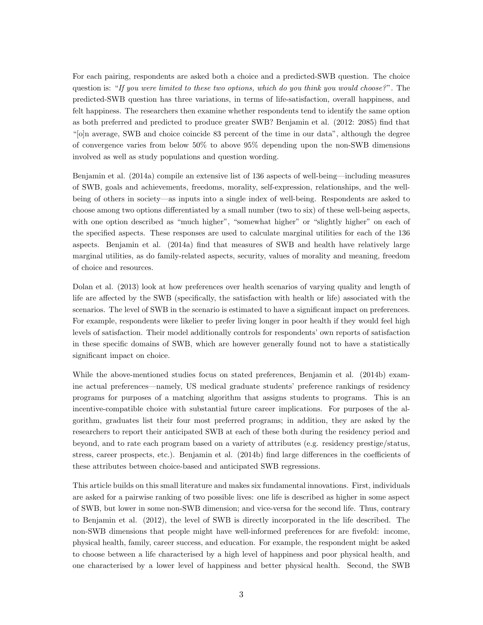For each pairing, respondents are asked both a choice and a predicted-SWB question. The choice question is: "*If you were limited to these two options, which do you think you would choose?* ". The predicted-SWB question has three variations, in terms of life-satisfaction, overall happiness, and felt happiness. The researchers then examine whether respondents tend to identify the same option as both preferred and predicted to produce greater SWB? Benjamin et al. (2012: 2085) find that "[o]n average, SWB and choice coincide 83 percent of the time in our data", although the degree of convergence varies from below 50% to above 95% depending upon the non-SWB dimensions involved as well as study populations and question wording.

Benjamin et al. (2014a) compile an extensive list of 136 aspects of well-being—including measures of SWB, goals and achievements, freedoms, morality, self-expression, relationships, and the wellbeing of others in society—as inputs into a single index of well-being. Respondents are asked to choose among two options differentiated by a small number (two to six) of these well-being aspects, with one option described as "much higher", "somewhat higher" or "slightly higher" on each of the specified aspects. These responses are used to calculate marginal utilities for each of the 136 aspects. Benjamin et al. (2014a) find that measures of SWB and health have relatively large marginal utilities, as do family-related aspects, security, values of morality and meaning, freedom of choice and resources.

Dolan et al. (2013) look at how preferences over health scenarios of varying quality and length of life are affected by the SWB (specifically, the satisfaction with health or life) associated with the scenarios. The level of SWB in the scenario is estimated to have a significant impact on preferences. For example, respondents were likelier to prefer living longer in poor health if they would feel high levels of satisfaction. Their model additionally controls for respondents' own reports of satisfaction in these specific domains of SWB, which are however generally found not to have a statistically significant impact on choice.

While the above-mentioned studies focus on stated preferences, Benjamin et al. (2014b) examine actual preferences—namely, US medical graduate students' preference rankings of residency programs for purposes of a matching algorithm that assigns students to programs. This is an incentive-compatible choice with substantial future career implications. For purposes of the algorithm, graduates list their four most preferred programs; in addition, they are asked by the researchers to report their anticipated SWB at each of these both during the residency period and beyond, and to rate each program based on a variety of attributes (e.g. residency prestige/status, stress, career prospects, etc.). Benjamin et al. (2014b) find large differences in the coefficients of these attributes between choice-based and anticipated SWB regressions.

This article builds on this small literature and makes six fundamental innovations. First, individuals are asked for a pairwise ranking of two possible lives: one life is described as higher in some aspect of SWB, but lower in some non-SWB dimension; and vice-versa for the second life. Thus, contrary to Benjamin et al. (2012), the level of SWB is directly incorporated in the life described. The non-SWB dimensions that people might have well-informed preferences for are fivefold: income, physical health, family, career success, and education. For example, the respondent might be asked to choose between a life characterised by a high level of happiness and poor physical health, and one characterised by a lower level of happiness and better physical health. Second, the SWB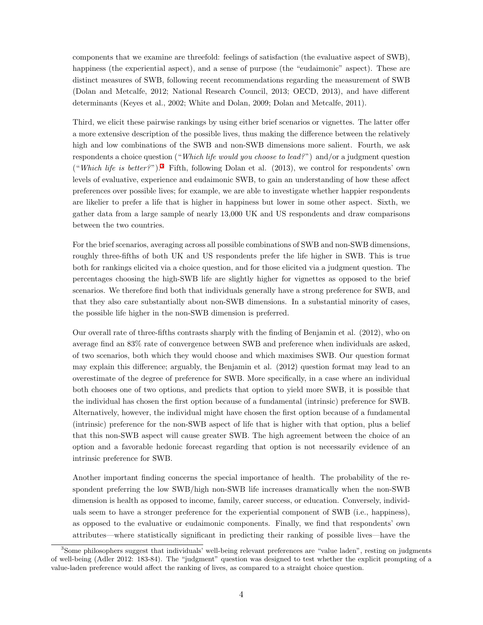components that we examine are threefold: feelings of satisfaction (the evaluative aspect of SWB), happiness (the experiential aspect), and a sense of purpose (the "eudaimonic" aspect). These are distinct measures of SWB, following recent recommendations regarding the measurement of SWB (Dolan and Metcalfe, 2012; National Research Council, 2013; OECD, 2013), and have different determinants (Keyes et al., 2002; White and Dolan, 2009; Dolan and Metcalfe, 2011).

Third, we elicit these pairwise rankings by using either brief scenarios or vignettes. The latter offer a more extensive description of the possible lives, thus making the difference between the relatively high and low combinations of the SWB and non-SWB dimensions more salient. Fourth, we ask respondents a choice question ("*Which life would you choose to lead?* ") and/or a judgment question ("*Which life is better?* ").3 Fifth, following Dolan et al. (2013), we control for respondents' own levels of evaluative, experience and eudaimonic SWB, to gain an understanding of how these affect preferences over possible lives; for example, we are able to investigate whether happier respondents are likelier to prefer a life that is higher in happiness but lower in some other aspect. Sixth, we gather data from a large sample of nearly 13,000 UK and US respondents and draw comparisons between the two countries.

For the brief scenarios, averaging across all possible combinations of SWB and non-SWB dimensions, roughly three-fifths of both UK and US respondents prefer the life higher in SWB. This is true both for rankings elicited via a choice question, and for those elicited via a judgment question. The percentages choosing the high-SWB life are slightly higher for vignettes as opposed to the brief scenarios. We therefore find both that individuals generally have a strong preference for SWB, and that they also care substantially about non-SWB dimensions. In a substantial minority of cases, the possible life higher in the non-SWB dimension is preferred.

Our overall rate of three-fifths contrasts sharply with the finding of Benjamin et al. (2012), who on average find an 83% rate of convergence between SWB and preference when individuals are asked, of two scenarios, both which they would choose and which maximises SWB. Our question format may explain this difference; arguably, the Benjamin et al. (2012) question format may lead to an overestimate of the degree of preference for SWB. More specifically, in a case where an individual both chooses one of two options, and predicts that option to yield more SWB, it is possible that the individual has chosen the first option because of a fundamental (intrinsic) preference for SWB. Alternatively, however, the individual might have chosen the first option because of a fundamental (intrinsic) preference for the non-SWB aspect of life that is higher with that option, plus a belief that this non-SWB aspect will cause greater SWB. The high agreement between the choice of an option and a favorable hedonic forecast regarding that option is not necessarily evidence of an intrinsic preference for SWB.

Another important finding concerns the special importance of health. The probability of the respondent preferring the low SWB/high non-SWB life increases dramatically when the non-SWB dimension is health as opposed to income, family, career success, or education. Conversely, individuals seem to have a stronger preference for the experiential component of SWB (i.e., happiness), as opposed to the evaluative or eudaimonic components. Finally, we find that respondents' own attributes—where statistically significant in predicting their ranking of possible lives—have the

<sup>3</sup>Some philosophers suggest that individuals' well-being relevant preferences are "value laden", resting on judgments of well-being (Adler 2012: 183-84). The "judgment" question was designed to test whether the explicit prompting of a value-laden preference would affect the ranking of lives, as compared to a straight choice question.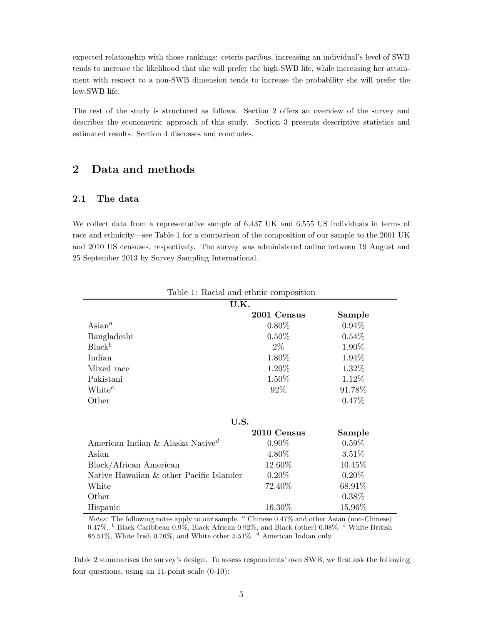expected relationship with those rankings: ceteris paribus, increasing an individual's level of SWB tends to increase the likelihood that she will prefer the high-SWB life, while increasing her attainment with respect to a non-SWB dimension tends to increase the probability she will prefer the low-SWB life.

The rest of the study is structured as follows. Section 2 offers an overview of the survey and describes the econometric approach of this study. Section 3 presents descriptive statistics and estimated results. Section 4 discusses and concludes.

## **2 Data and methods**

## **2.1 The data**

We collect data from a representative sample of 6,437 UK and 6,555 US individuals in terms of race and ethnicity—see Table 1 for a comparison of the composition of our sample to the 2001 UK and 2010 US censuses, respectively. The survey was administered online between 19 August and 25 September 2013 by Survey Sampling International.

| Table 1: Racial and ethnic composition       |             |          |
|----------------------------------------------|-------------|----------|
| U.K.                                         |             |          |
|                                              | 2001 Census | Sample   |
| Asian $^a$                                   | $0.80\%$    | $0.94\%$ |
| Bangladeshi                                  | $0.50\%$    | 0.54%    |
| $Black^b$                                    | $2\%$       | 1.90%    |
| Indian                                       | 1.80%       | 1.94%    |
| Mixed race                                   | 1.20%       | 1.32%    |
| Pakistani                                    | 1.50%       | 1.12%    |
| White <sup>c</sup>                           | 92%         | 91.78%   |
| Other                                        |             | 0.47%    |
| U.S.                                         |             |          |
|                                              | 2010 Census | Sample   |
| American Indian & Alaska Native <sup>d</sup> | $0.90\%$    | $0.59\%$ |
| Asian                                        | 4.80%       | 3.51%    |
| Black/African American                       | 12.60%      | 10.45%   |
| Native Hawaiian & other Pacific Islander     | $0.20\%$    | $0.20\%$ |
| White                                        | 72.40%      | 68.91%   |
| Other                                        |             | $0.38\%$ |
| Hispanic                                     | 16.30%      | 15.96%   |

*Notes*: The following notes apply to our sample. *<sup>a</sup>* Chinese 0.47% and other Asian (non-Chinese) 0.47%. *<sup>b</sup>* Black Caribbean 0.9%, Black African 0.92%, and Black (other) 0.08%. *<sup>c</sup>* White British 85.51%, White Irish 0.76%, and White other 5.51%. *<sup>d</sup>* American Indian only.

Table 2 summarises the survey's design. To assess respondents' own SWB, we first ask the following four questions, using an 11-point scale (0-10):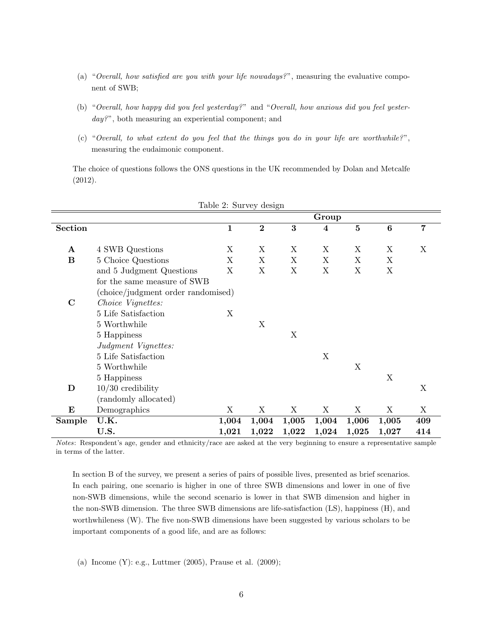- (a) "*Overall, how satisfied are you with your life nowadays?* ", measuring the evaluative component of SWB;
- (b) "*Overall, how happy did you feel yesterday?* " and "*Overall, how anxious did you feel yesterday?*", both measuring an experiential component; and
- (c) "*Overall, to what extent do you feel that the things you do in your life are worthwhile?* ", measuring the eudaimonic component.

The choice of questions follows the ONS questions in the UK recommended by Dolan and Metcalfe (2012).

|                |                                    |              |                |       | Group                   |              |                  |     |
|----------------|------------------------------------|--------------|----------------|-------|-------------------------|--------------|------------------|-----|
| <b>Section</b> |                                    | $\mathbf{1}$ | $\overline{2}$ | 3     | $\overline{\mathbf{4}}$ | $\mathbf{5}$ | $\boldsymbol{6}$ | 7   |
|                |                                    |              |                |       |                         |              |                  |     |
| ${\bf A}$      | 4 SWB Questions                    | X            | X              | X     | X                       | X            | X                | X   |
| $\bf{B}$       | 5 Choice Questions                 | X            | X              | X     | X                       | X            | X                |     |
|                | and 5 Judgment Questions           | X            | X              | X     | X                       | X            | X                |     |
|                | for the same measure of SWB        |              |                |       |                         |              |                  |     |
|                | (choice/judgment order randomised) |              |                |       |                         |              |                  |     |
| $\mathbf C$    | Choice Vignettes:                  |              |                |       |                         |              |                  |     |
|                | 5 Life Satisfaction                | X            |                |       |                         |              |                  |     |
|                | 5 Worthwhile                       |              | X              |       |                         |              |                  |     |
|                | 5 Happiness                        |              |                | X     |                         |              |                  |     |
|                | Judgment Vignettes:                |              |                |       |                         |              |                  |     |
|                | 5 Life Satisfaction                |              |                |       | X                       |              |                  |     |
|                | 5 Worthwhile                       |              |                |       |                         | X            |                  |     |
|                | 5 Happiness                        |              |                |       |                         |              | X                |     |
| D              | $10/30$ credibility                |              |                |       |                         |              |                  | X   |
|                | (randomly allocated)               |              |                |       |                         |              |                  |     |
| $\bf E$        | Demographics                       | X            | X              | X     | X                       | X            | X                | X   |
| Sample         | U.K.                               | 1,004        | 1,004          | 1,005 | 1,004                   | 1,006        | 1,005            | 409 |
|                | U.S.                               | 1,021        | 1,022          | 1,022 | 1,024                   | 1,025        | 1,027            | 414 |

Table 2: Survey design

*Notes*: Respondent's age, gender and ethnicity/race are asked at the very beginning to ensure a representative sample in terms of the latter.

In section B of the survey, we present a series of pairs of possible lives, presented as brief scenarios. In each pairing, one scenario is higher in one of three SWB dimensions and lower in one of five non-SWB dimensions, while the second scenario is lower in that SWB dimension and higher in the non-SWB dimension. The three SWB dimensions are life-satisfaction (LS), happiness (H), and worthwhileness (W). The five non-SWB dimensions have been suggested by various scholars to be important components of a good life, and are as follows:

(a) Income (Y): e.g., Luttmer (2005), Prause et al. (2009);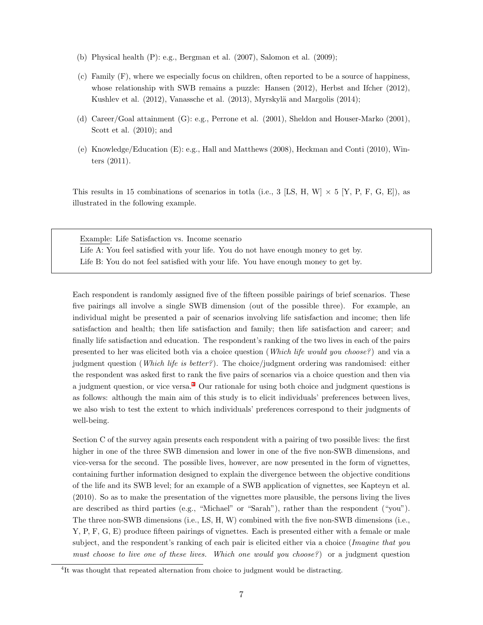- (b) Physical health (P): e.g., Bergman et al. (2007), Salomon et al. (2009);
- (c) Family (F), where we especially focus on children, often reported to be a source of happiness, whose relationship with SWB remains a puzzle: Hansen (2012), Herbst and Ifcher (2012), Kushlev et al. (2012), Vanassche et al. (2013), Myrskylä and Margolis (2014);
- (d) Career/Goal attainment (G): e.g., Perrone et al. (2001), Sheldon and Houser-Marko (2001), Scott et al. (2010); and
- (e) Knowledge/Education (E): e.g., Hall and Matthews (2008), Heckman and Conti (2010), Winters (2011).

This results in 15 combinations of scenarios in totla (i.e., 3 [LS, H, W]  $\times$  5 [Y, P, F, G, E]), as illustrated in the following example.

Example: Life Satisfaction vs. Income scenario Life A: You feel satisfied with your life. You do not have enough money to get by. Life B: You do not feel satisfied with your life. You have enough money to get by.

Each respondent is randomly assigned five of the fifteen possible pairings of brief scenarios. These five pairings all involve a single SWB dimension (out of the possible three). For example, an individual might be presented a pair of scenarios involving life satisfaction and income; then life satisfaction and health; then life satisfaction and family; then life satisfaction and career; and finally life satisfaction and education. The respondent's ranking of the two lives in each of the pairs presented to her was elicited both via a choice question (*Which life would you choose?* ) and via a judgment question (*Which life is better?* ). The choice/judgment ordering was randomised: either the respondent was asked first to rank the five pairs of scenarios via a choice question and then via a judgment question, or vice versa.<sup>4</sup> Our rationale for using both choice and judgment questions is as follows: although the main aim of this study is to elicit individuals' preferences between lives, we also wish to test the extent to which individuals' preferences correspond to their judgments of well-being.

Section C of the survey again presents each respondent with a pairing of two possible lives: the first higher in one of the three SWB dimension and lower in one of the five non-SWB dimensions, and vice-versa for the second. The possible lives, however, are now presented in the form of vignettes, containing further information designed to explain the divergence between the objective conditions of the life and its SWB level; for an example of a SWB application of vignettes, see Kapteyn et al. (2010). So as to make the presentation of the vignettes more plausible, the persons living the lives are described as third parties (e.g., "Michael" or "Sarah"), rather than the respondent ("you"). The three non-SWB dimensions (i.e., LS, H, W) combined with the five non-SWB dimensions (i.e., Y, P, F, G, E) produce fifteen pairings of vignettes. Each is presented either with a female or male subject, and the respondent's ranking of each pair is elicited either via a choice (*Imagine that you must choose to live one of these lives. Which one would you choose?* ) or a judgment question

<sup>&</sup>lt;sup>4</sup>It was thought that repeated alternation from choice to judgment would be distracting.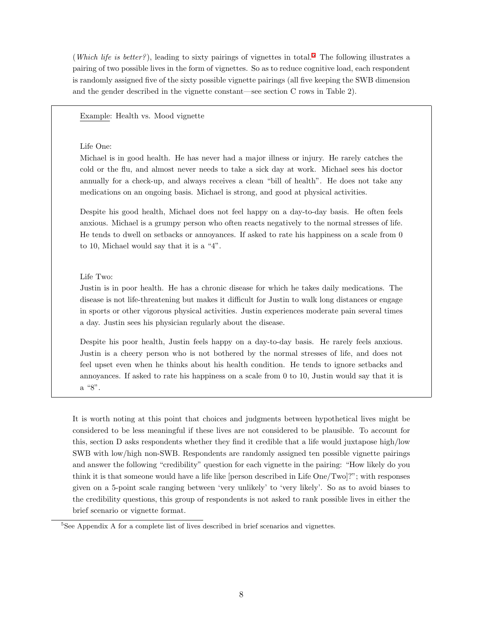(*Which life is better?*), leading to sixty pairings of vignettes in total.5 The following illustrates a pairing of two possible lives in the form of vignettes. So as to reduce cognitive load, each respondent is randomly assigned five of the sixty possible vignette pairings (all five keeping the SWB dimension and the gender described in the vignette constant—see section C rows in Table 2).

## Example: Health vs. Mood vignette

### Life One:

Michael is in good health. He has never had a major illness or injury. He rarely catches the cold or the flu, and almost never needs to take a sick day at work. Michael sees his doctor annually for a check-up, and always receives a clean "bill of health". He does not take any medications on an ongoing basis. Michael is strong, and good at physical activities.

Despite his good health, Michael does not feel happy on a day-to-day basis. He often feels anxious. Michael is a grumpy person who often reacts negatively to the normal stresses of life. He tends to dwell on setbacks or annoyances. If asked to rate his happiness on a scale from 0 to 10, Michael would say that it is a "4".

### Life Two:

Justin is in poor health. He has a chronic disease for which he takes daily medications. The disease is not life-threatening but makes it difficult for Justin to walk long distances or engage in sports or other vigorous physical activities. Justin experiences moderate pain several times a day. Justin sees his physician regularly about the disease.

Despite his poor health, Justin feels happy on a day-to-day basis. He rarely feels anxious. Justin is a cheery person who is not bothered by the normal stresses of life, and does not feel upset even when he thinks about his health condition. He tends to ignore setbacks and annoyances. If asked to rate his happiness on a scale from 0 to 10, Justin would say that it is a "8".

It is worth noting at this point that choices and judgments between hypothetical lives might be considered to be less meaningful if these lives are not considered to be plausible. To account for this, section D asks respondents whether they find it credible that a life would juxtapose high/low SWB with low/high non-SWB. Respondents are randomly assigned ten possible vignette pairings and answer the following "credibility" question for each vignette in the pairing: "How likely do you think it is that someone would have a life like [person described in Life One/Two]?"; with responses given on a 5-point scale ranging between 'very unlikely' to 'very likely'. So as to avoid biases to the credibility questions, this group of respondents is not asked to rank possible lives in either the brief scenario or vignette format.

<sup>&</sup>lt;sup>5</sup>See Appendix A for a complete list of lives described in brief scenarios and vignettes.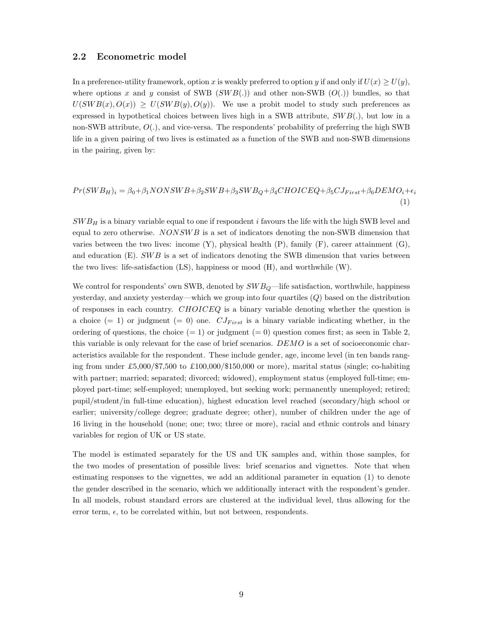## **2.2 Econometric model**

In a preference-utility framework, option *x* is weakly preferred to option *y* if and only if  $U(x) \ge U(y)$ , where options *x* and *y* consist of SWB (*SWB*(*.*)) and other non-SWB ( $O(.)$ ) bundles, so that  $U(SWB(x), O(x)) \geq U(SWB(y), O(y))$ . We use a probit model to study such preferences as expressed in hypothetical choices between lives high in a SWB attribute, *SW B*(*.*), but low in a non-SWB attribute, *O*(*.*), and vice-versa. The respondents' probability of preferring the high SWB life in a given pairing of two lives is estimated as a function of the SWB and non-SWB dimensions in the pairing, given by:

$$
Pr(SWB_H)_i = \beta_0 + \beta_1 NONSWB + \beta_2 SWB + \beta_3 SWB_Q + \beta_4 CHOICEQ + \beta_5 CJ_{First} + \beta_6 DEMO_i + \epsilon_i
$$
\n
$$
\tag{1}
$$

*SW B<sup>H</sup>* is a binary variable equal to one if respondent *i* favours the life with the high SWB level and equal to zero otherwise. *NONSW B* is a set of indicators denoting the non-SWB dimension that varies between the two lives: income  $(Y)$ , physical health  $(P)$ , family  $(F)$ , career attainment  $(G)$ , and education (E). *SWB* is a set of indicators denoting the SWB dimension that varies between the two lives: life-satisfaction (LS), happiness or mood (H), and worthwhile (W).

We control for respondents' own SWB, denoted by *SW BQ*—life satisfaction, worthwhile, happiness yesterday, and anxiety yesterday—which we group into four quartiles (*Q*) based on the distribution of responses in each country. *CHOICEQ* is a binary variable denoting whether the question is a choice  $(= 1)$  or judgment  $(= 0)$  one.  $CI_{First}$  is a binary variable indicating whether, in the ordering of questions, the choice  $(= 1)$  or judgment  $(= 0)$  question comes first; as seen in Table 2, this variable is only relevant for the case of brief scenarios. *DEMO* is a set of socioeconomic characteristics available for the respondent. These include gender, age, income level (in ten bands ranging from under £5,000/\$7,500 to £100,000/\$150,000 or more), marital status (single; co-habiting with partner; married; separated; divorced; widowed), employment status (employed full-time; employed part-time; self-employed; unemployed, but seeking work; permanently unemployed; retired; pupil/student/in full-time education), highest education level reached (secondary/high school or earlier; university/college degree; graduate degree; other), number of children under the age of 16 living in the household (none; one; two; three or more), racial and ethnic controls and binary variables for region of UK or US state.

The model is estimated separately for the US and UK samples and, within those samples, for the two modes of presentation of possible lives: brief scenarios and vignettes. Note that when estimating responses to the vignettes, we add an additional parameter in equation (1) to denote the gender described in the scenario, which we additionally interact with the respondent's gender. In all models, robust standard errors are clustered at the individual level, thus allowing for the error term,  $\epsilon$ , to be correlated within, but not between, respondents.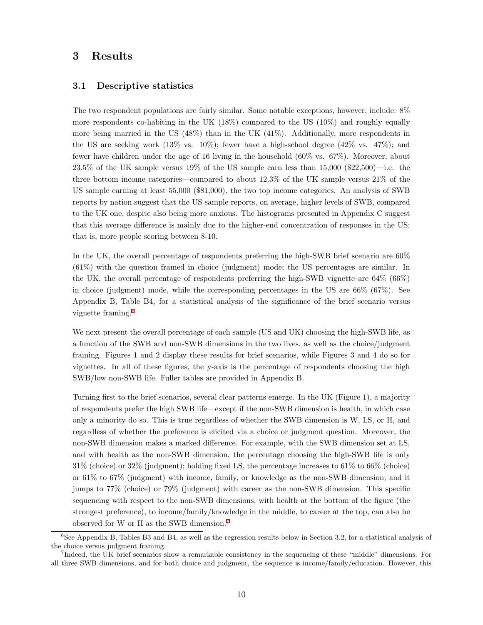## **3 Results**

## **3.1 Descriptive statistics**

The two respondent populations are fairly similar. Some notable exceptions, however, include: 8% more respondents co-habiting in the UK  $(18\%)$  compared to the US  $(10\%)$  and roughly equally more being married in the US (48%) than in the UK (41%). Additionally, more respondents in the US are seeking work (13% vs.  $10\%$ ); fewer have a high-school degree (42% vs. 47%); and fewer have children under the age of 16 living in the household (60% vs. 67%). Moreover, about  $23.5\%$  of the UK sample versus  $19\%$  of the US sample earn less than  $15,000$  (\$22,500)—i.e. the three bottom income categories—compared to about 12.3% of the UK sample versus 21% of the US sample earning at least 55,000 (\$81,000), the two top income categories. An analysis of SWB reports by nation suggest that the US sample reports, on average, higher levels of SWB, compared to the UK one, despite also being more anxious. The histograms presented in Appendix C suggest that this average difference is mainly due to the higher-end concentration of responses in the US; that is, more people scoring between 8-10.

In the UK, the overall percentage of respondents preferring the high-SWB brief scenario are 60% (61%) with the question framed in choice (judgment) mode; the US percentages are similar. In the UK, the overall percentage of respondents preferring the high-SWB vignette are 64% (66%) in choice (judgment) mode, while the corresponding percentages in the US are 66% (67%). See Appendix B, Table B4, for a statistical analysis of the significance of the brief scenario versus vignette framing.6

We next present the overall percentage of each sample (US and UK) choosing the high-SWB life, as a function of the SWB and non-SWB dimensions in the two lives, as well as the choice/judgment framing. Figures 1 and 2 display these results for brief scenarios, while Figures 3 and 4 do so for vignettes. In all of these figures, the y-axis is the percentage of respondents choosing the high SWB/low non-SWB life. Fuller tables are provided in Appendix B.

Turning first to the brief scenarios, several clear patterns emerge. In the UK (Figure 1), a majority of respondents prefer the high SWB life—except if the non-SWB dimension is health, in which case only a minority do so. This is true regardless of whether the SWB dimension is W, LS, or H, and regardless of whether the preference is elicited via a choice or judgment question. Moreover, the non-SWB dimension makes a marked difference. For example, with the SWB dimension set at LS, and with health as the non-SWB dimension, the percentage choosing the high-SWB life is only 31% (choice) or 32% (judgment); holding fixed LS, the percentage increases to 61% to 66% (choice) or 61% to 67% (judgment) with income, family, or knowledge as the non-SWB dimension; and it jumps to 77% (choice) or 79% (judgment) with career as the non-SWB dimension. This specific sequencing with respect to the non-SWB dimensions, with health at the bottom of the figure (the strongest preference), to income/family/knowledge in the middle, to career at the top, can also be observed for W or H as the SWB dimension.7

 $6$ See Appendix B, Tables B3 and B4, as well as the regression results below in Section 3.2, for a statistical analysis of the choice versus judgment framing.

<sup>&</sup>lt;sup>7</sup>Indeed, the UK brief scenarios show a remarkable consistency in the sequencing of these "middle" dimensions. For all three SWB dimensions, and for both choice and judgment, the sequence is income/family/education. However, this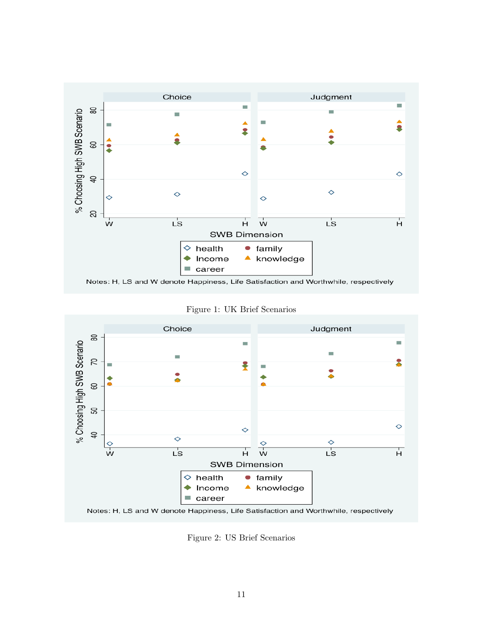

Figure 1: UK Brief Scenarios



Figure 2: US Brief Scenarios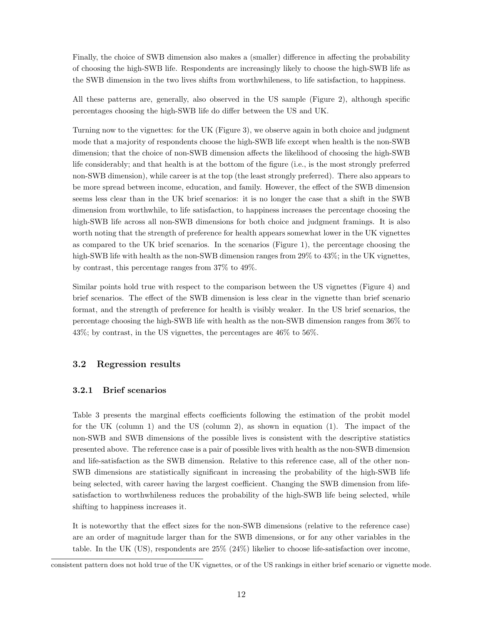Finally, the choice of SWB dimension also makes a (smaller) difference in affecting the probability of choosing the high-SWB life. Respondents are increasingly likely to choose the high-SWB life as the SWB dimension in the two lives shifts from worthwhileness, to life satisfaction, to happiness.

All these patterns are, generally, also observed in the US sample (Figure 2), although specific percentages choosing the high-SWB life do differ between the US and UK.

Turning now to the vignettes: for the UK (Figure 3), we observe again in both choice and judgment mode that a majority of respondents choose the high-SWB life except when health is the non-SWB dimension; that the choice of non-SWB dimension affects the likelihood of choosing the high-SWB life considerably; and that health is at the bottom of the figure (i.e., is the most strongly preferred non-SWB dimension), while career is at the top (the least strongly preferred). There also appears to be more spread between income, education, and family. However, the effect of the SWB dimension seems less clear than in the UK brief scenarios: it is no longer the case that a shift in the SWB dimension from worthwhile, to life satisfaction, to happiness increases the percentage choosing the high-SWB life across all non-SWB dimensions for both choice and judgment framings. It is also worth noting that the strength of preference for health appears somewhat lower in the UK vignettes as compared to the UK brief scenarios. In the scenarios (Figure 1), the percentage choosing the high-SWB life with health as the non-SWB dimension ranges from 29% to 43%; in the UK vignettes, by contrast, this percentage ranges from 37% to 49%.

Similar points hold true with respect to the comparison between the US vignettes (Figure 4) and brief scenarios. The effect of the SWB dimension is less clear in the vignette than brief scenario format, and the strength of preference for health is visibly weaker. In the US brief scenarios, the percentage choosing the high-SWB life with health as the non-SWB dimension ranges from 36% to 43%; by contrast, in the US vignettes, the percentages are 46% to 56%.

## **3.2 Regression results**

### **3.2.1 Brief scenarios**

Table 3 presents the marginal effects coefficients following the estimation of the probit model for the UK (column 1) and the US (column 2), as shown in equation (1). The impact of the non-SWB and SWB dimensions of the possible lives is consistent with the descriptive statistics presented above. The reference case is a pair of possible lives with health as the non-SWB dimension and life-satisfaction as the SWB dimension. Relative to this reference case, all of the other non-SWB dimensions are statistically significant in increasing the probability of the high-SWB life being selected, with career having the largest coefficient. Changing the SWB dimension from lifesatisfaction to worthwhileness reduces the probability of the high-SWB life being selected, while shifting to happiness increases it.

It is noteworthy that the effect sizes for the non-SWB dimensions (relative to the reference case) are an order of magnitude larger than for the SWB dimensions, or for any other variables in the table. In the UK (US), respondents are 25% (24%) likelier to choose life-satisfaction over income,

consistent pattern does not hold true of the UK vignettes, or of the US rankings in either brief scenario or vignette mode.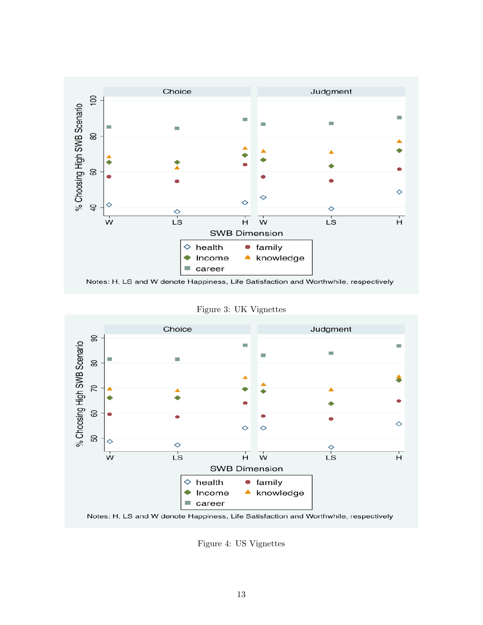

Figure 3: UK Vignettes



Figure 4: US Vignettes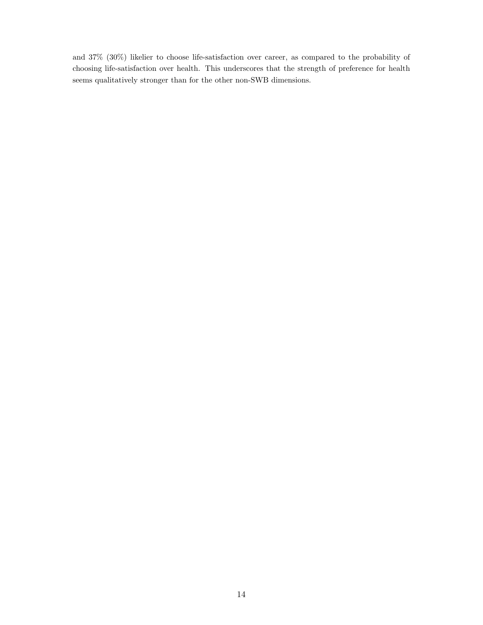and 37% (30%) likelier to choose life-satisfaction over career, as compared to the probability of choosing life-satisfaction over health. This underscores that the strength of preference for health seems qualitatively stronger than for the other non-SWB dimensions.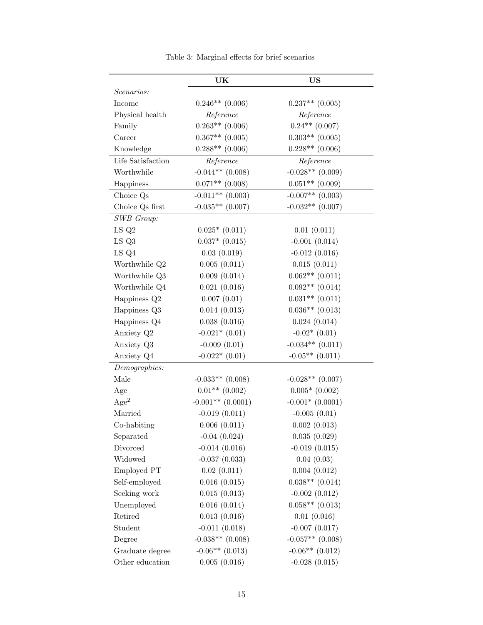|                                  | UK                  | <b>US</b>           |
|----------------------------------|---------------------|---------------------|
| Scenarios:                       |                     |                     |
| Income                           | $0.246**$ (0.006)   | $0.237**$ $(0.005)$ |
| Physical health                  | Reference           | Reference           |
| Family                           | $0.263**$ (0.006)   | $0.24***$ (0.007)   |
| Career                           | $0.367**$ $(0.005)$ | $0.303**$ (0.005)   |
| Knowledge                        | $0.288**$ (0.006)   | $0.228**$ (0.006)   |
| Life Satisfaction                | Reference           | Reference           |
| Worthwhile                       | $-0.044**$ (0.008)  | $-0.028**$ (0.009)  |
| Happiness                        | $0.071**$ (0.008)   | $0.051**$ (0.009)   |
| Choice Qs                        | $-0.011**$ (0.003)  | $-0.007**$ (0.003)  |
| Choice $\operatorname{Qs}$ first | $-0.035**$ (0.007)  | $-0.032**$ (0.007)  |
| SWB Group:                       |                     |                     |
| LS Q2                            | $0.025*(0.011)$     | 0.01(0.011)         |
| LS Q3                            | $0.037*$ $(0.015)$  | $-0.001(0.014)$     |
| LS Q4                            | 0.03(0.019)         | $-0.012(0.016)$     |
| Worthwhile Q2                    | 0.005(0.011)        | 0.015(0.011)        |
| Worthwhile Q3                    | 0.009(0.014)        | $0.062**$ $(0.011)$ |
| Worthwhile Q4                    | 0.021(0.016)        | $0.092**$ (0.014)   |
| Happiness Q2                     | 0.007(0.01)         | $0.031**$ $(0.011)$ |
| Happiness Q3                     | 0.014(0.013)        | $0.036**$ (0.013)   |
| Happiness Q4                     | 0.038(0.016)        | 0.024(0.014)        |
| Anxiety Q2                       | $-0.021*(0.01)$     | $-0.02*(0.01)$      |
| Anxiety Q3                       | $-0.009(0.01)$      | $-0.034**$ (0.011)  |
| Anxiety Q4                       | $-0.022*(0.01)$     | $-0.05**$ (0.011)   |
| Demographics:                    |                     |                     |
| Male                             | $-0.033**$ (0.008)  | $-0.028**$ (0.007)  |
| Age                              | $0.01**$ (0.002)    | $0.005*$ (0.002)    |
| Age <sup>2</sup>                 | $-0.001**$ (0.0001) | $-0.001*$ (0.0001)  |
| Married                          | $-0.019(0.011)$     | $-0.005(0.01)$      |
| Co-habiting                      | 0.006(0.011)        | 0.002(0.013)        |
| Separated                        | $-0.04(0.024)$      | 0.035(0.029)        |
| Divorced                         | $-0.014(0.016)$     | $-0.019(0.015)$     |
| Widowed                          | $-0.037(0.033)$     | 0.04(0.03)          |
| Employed PT                      | 0.02(0.011)         | 0.004(0.012)        |
| Self-employed                    | 0.016(0.015)        | $0.038**$ (0.014)   |
| Seeking work                     | 0.015(0.013)        | $-0.002(0.012)$     |
| Unemployed                       | 0.016(0.014)        | $0.058**$ (0.013)   |
| Retired                          | 0.013(0.016)        | 0.01(0.016)         |
| Student                          | $-0.011(0.018)$     | $-0.007(0.017)$     |
| Degree                           | $-0.038**$ (0.008)  | $-0.057**$ (0.008)  |
| Graduate degree                  | $-0.06**$ (0.013)   | $-0.06**$ (0.012)   |
| Other education                  | 0.005(0.016)        | $-0.028(0.015)$     |
|                                  |                     |                     |

Table 3: Marginal effects for brief scenarios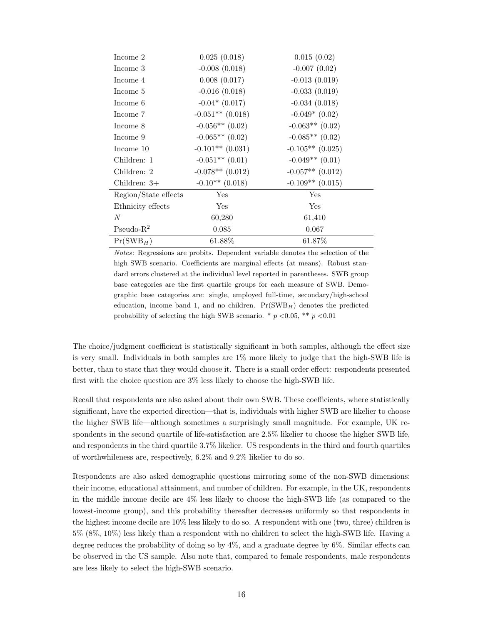| Income 2             | 0.025(0.018)       | 0.015(0.02)        |
|----------------------|--------------------|--------------------|
| Income 3             | $-0.008(0.018)$    | $-0.007(0.02)$     |
| Income 4             | 0.008(0.017)       | $-0.013(0.019)$    |
| Income 5             | $-0.016(0.018)$    | $-0.033(0.019)$    |
| Income 6             | $-0.04*(0.017)$    | $-0.034(0.018)$    |
| Income 7             | $-0.051**$ (0.018) | $-0.049*(0.02)$    |
| Income 8             | $-0.056**$ (0.02)  | $-0.063**$ (0.02)  |
| Income 9             | $-0.065**$ (0.02)  | $-0.085**$ (0.02)  |
| Income 10            | $-0.101**$ (0.031) | $-0.105**$ (0.025) |
| Children: 1          | $-0.051**$ (0.01)  | $-0.049**$ (0.01)  |
| Children: 2          | $-0.078**$ (0.012) | $-0.057**$ (0.012) |
| Children: $3+$       | $-0.10**$ (0.018)  | $-0.109**$ (0.015) |
| Region/State effects | Yes                | Yes                |
| Ethnicity effects    | Yes                | Yes                |
| N                    | 60,280             | 61,410             |
| $Pseudo-R2$          | 0.085              | 0.067              |
| $Pr(SWB_{H})$        | $61.88\%$          | 61.87%             |

*Notes*: Regressions are probits. Dependent variable denotes the selection of the high SWB scenario. Coefficients are marginal effects (at means). Robust standard errors clustered at the individual level reported in parentheses. SWB group base categories are the first quartile groups for each measure of SWB. Demographic base categories are: single, employed full-time, secondary/high-school education, income band 1, and no children. Pr(SWB*H*) denotes the predicted probability of selecting the high SWB scenario. \* *p <*0.05, \*\* *p <*0.01

The choice/judgment coefficient is statistically significant in both samples, although the effect size is very small. Individuals in both samples are 1% more likely to judge that the high-SWB life is better, than to state that they would choose it. There is a small order effect: respondents presented first with the choice question are 3% less likely to choose the high-SWB life.

Recall that respondents are also asked about their own SWB. These coefficients, where statistically significant, have the expected direction—that is, individuals with higher SWB are likelier to choose the higher SWB life—although sometimes a surprisingly small magnitude. For example, UK respondents in the second quartile of life-satisfaction are 2.5% likelier to choose the higher SWB life, and respondents in the third quartile 3.7% likelier. US respondents in the third and fourth quartiles of worthwhileness are, respectively, 6.2% and 9.2% likelier to do so.

Respondents are also asked demographic questions mirroring some of the non-SWB dimensions: their income, educational attainment, and number of children. For example, in the UK, respondents in the middle income decile are 4% less likely to choose the high-SWB life (as compared to the lowest-income group), and this probability thereafter decreases uniformly so that respondents in the highest income decile are 10% less likely to do so. A respondent with one (two, three) children is 5% (8%, 10%) less likely than a respondent with no children to select the high-SWB life. Having a degree reduces the probability of doing so by 4%, and a graduate degree by 6%. Similar effects can be observed in the US sample. Also note that, compared to female respondents, male respondents are less likely to select the high-SWB scenario.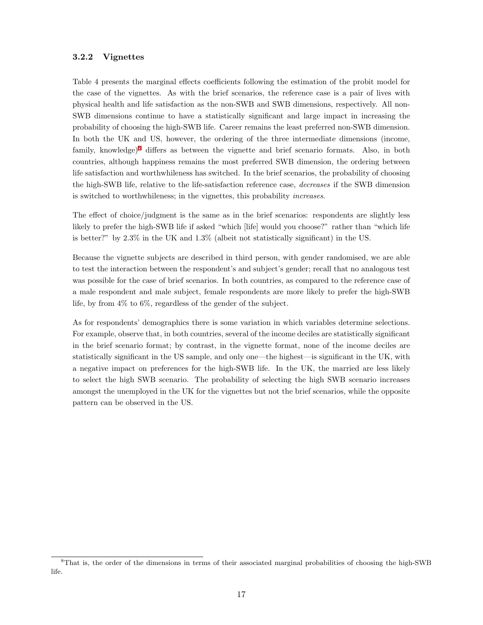## **3.2.2 Vignettes**

Table 4 presents the marginal effects coefficients following the estimation of the probit model for the case of the vignettes. As with the brief scenarios, the reference case is a pair of lives with physical health and life satisfaction as the non-SWB and SWB dimensions, respectively. All non-SWB dimensions continue to have a statistically significant and large impact in increasing the probability of choosing the high-SWB life. Career remains the least preferred non-SWB dimension. In both the UK and US, however, the ordering of the three intermediate dimensions (income, family, knowledge) $8$  differs as between the vignette and brief scenario formats. Also, in both countries, although happiness remains the most preferred SWB dimension, the ordering between life satisfaction and worthwhileness has switched. In the brief scenarios, the probability of choosing the high-SWB life, relative to the life-satisfaction reference case, *decreases* if the SWB dimension is switched to worthwhileness; in the vignettes, this probability *increases*.

The effect of choice/judgment is the same as in the brief scenarios: respondents are slightly less likely to prefer the high-SWB life if asked "which [life] would you choose?" rather than "which life is better?" by 2.3% in the UK and 1.3% (albeit not statistically significant) in the US.

Because the vignette subjects are described in third person, with gender randomised, we are able to test the interaction between the respondent's and subject's gender; recall that no analogous test was possible for the case of brief scenarios. In both countries, as compared to the reference case of a male respondent and male subject, female respondents are more likely to prefer the high-SWB life, by from 4% to 6%, regardless of the gender of the subject.

As for respondents' demographics there is some variation in which variables determine selections. For example, observe that, in both countries, several of the income deciles are statistically significant in the brief scenario format; by contrast, in the vignette format, none of the income deciles are statistically significant in the US sample, and only one—the highest—is significant in the UK, with a negative impact on preferences for the high-SWB life. In the UK, the married are less likely to select the high SWB scenario. The probability of selecting the high SWB scenario increases amongst the unemployed in the UK for the vignettes but not the brief scenarios, while the opposite pattern can be observed in the US.

<sup>8</sup>That is, the order of the dimensions in terms of their associated marginal probabilities of choosing the high-SWB life.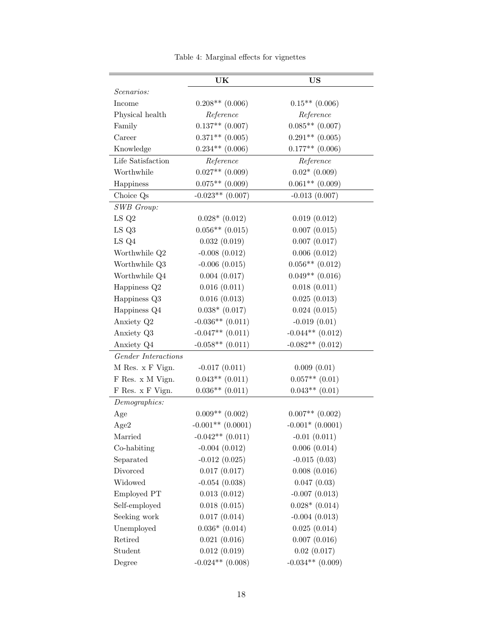|                             | UK                  | <b>US</b>          |
|-----------------------------|---------------------|--------------------|
| Scenarios:                  |                     |                    |
| Income                      | $0.208**$ (0.006)   | $0.15**$ (0.006)   |
| Physical health             | Reference           | Reference          |
| Family                      | $0.137**$ (0.007)   | $0.085**$ (0.007)  |
| Career                      | $0.371**$ (0.005)   | $0.291**$ (0.005)  |
| Knowledge                   | $0.234**$ (0.006)   | $0.177**$ (0.006)  |
| Life Satisfaction           | Reference           | Reference          |
| Worthwhile                  | $0.027**$ (0.009)   | $0.02*$ (0.009)    |
| Happiness                   | $0.075**$ (0.009)   | $0.061**$ (0.009)  |
| Choice Qs                   | $-0.023**$ (0.007)  | $-0.013(0.007)$    |
| SWB Group:                  |                     |                    |
| LS Q2                       | $0.028*(0.012)$     | 0.019(0.012)       |
| LS Q3                       | $0.056**$ (0.015)   | 0.007(0.015)       |
| LS Q4                       | 0.032(0.019)        | 0.007(0.017)       |
| Worthwhile Q2               | $-0.008(0.012)$     | 0.006(0.012)       |
| Worthwhile Q3               | $-0.006(0.015)$     | $0.056**$ (0.012)  |
| Worthwhile Q4               | 0.004(0.017)        | $0.049**$ (0.016)  |
| Happiness Q2                | 0.016(0.011)        | 0.018(0.011)       |
| Happiness Q3                | 0.016(0.013)        | 0.025(0.013)       |
| Happiness Q4                | $0.038*$ $(0.017)$  | 0.024(0.015)       |
| Anxiety Q2                  | $-0.036**$ (0.011)  | $-0.019(0.01)$     |
| Anxiety Q3                  | $-0.047**$ (0.011)  | $-0.044**$ (0.012) |
| Anxiety Q4                  | $-0.058**$ (0.011)  | $-0.082**$ (0.012) |
| Gender Interactions         |                     |                    |
| $M$ Res. $x$ $F$ Vign. $\,$ | $-0.017(0.011)$     | 0.009(0.01)        |
| F Res. x M Vign.            | $0.043**$ (0.011)   | $0.057**$ (0.01)   |
| F Res. x F Vign.            | $0.036**$ $(0.011)$ | $0.043**$ (0.01)   |
| Demographics:               |                     |                    |
| Age                         | $0.009**$ (0.002)   | $0.007**$ (0.002)  |
| Age2                        | $-0.001**$ (0.0001) | $-0.001*$ (0.0001) |
| Married                     | $-0.042**$ (0.011)  | $-0.01(0.011)$     |
| Co-habiting                 | $-0.004(0.012)$     | 0.006(0.014)       |
| Separated                   | $-0.012(0.025)$     | $-0.015(0.03)$     |
| Divorced                    | 0.017(0.017)        | 0.008(0.016)       |
| Widowed                     | $-0.054(0.038)$     | 0.047(0.03)        |
| Employed PT                 | 0.013(0.012)        | $-0.007(0.013)$    |
| Self-employed               | 0.018(0.015)        | $0.028*(0.014)$    |
| Seeking work                | 0.017(0.014)        | $-0.004(0.013)$    |
| Unemployed                  | $0.036*$ $(0.014)$  | 0.025(0.014)       |
| Retired                     | 0.021(0.016)        | 0.007(0.016)       |
| Student                     | 0.012(0.019)        | 0.02(0.017)        |
| Degree                      | $-0.024**$ (0.008)  | $-0.034**$ (0.009) |

Table 4: Marginal effects for vignettes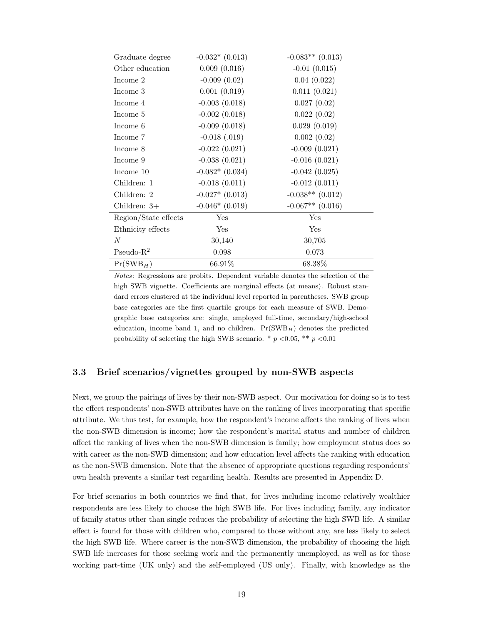| Graduate degree      | $-0.032*(0.013)$  | $-0.083**$ (0.013) |
|----------------------|-------------------|--------------------|
| Other education      | 0.009(0.016)      | $-0.01(0.015)$     |
| Income 2             | $-0.009(0.02)$    | 0.04(0.022)        |
| Income 3             | 0.001(0.019)      | 0.011(0.021)       |
| Income 4             | $-0.003(0.018)$   | 0.027(0.02)        |
| Income 5             | $-0.002(0.018)$   | 0.022(0.02)        |
| Income 6             | $-0.009(0.018)$   | 0.029(0.019)       |
| Income 7             | $-0.018$ $(.019)$ | 0.002(0.02)        |
| Income 8             | $-0.022(0.021)$   | $-0.009(0.021)$    |
| Income 9             | $-0.038(0.021)$   | $-0.016(0.021)$    |
| Income 10            | $-0.082*$ (0.034) | $-0.042(0.025)$    |
| Children: 1          | $-0.018(0.011)$   | $-0.012(0.011)$    |
| Children: 2          | $-0.027*$ (0.013) | $-0.038**$ (0.012) |
| Children: $3+$       | $-0.046*(0.019)$  | $-0.067**$ (0.016) |
| Region/State effects | Yes               | Yes                |
| Ethnicity effects    | Yes               | Yes                |
| $\it N$              | 30,140            | 30,705             |
| Pseudo- $R^2$        | 0.098             | 0.073              |
| $Pr(SWB_{H})$        | $66.91\%$         | 68.38\%            |

*Notes*: Regressions are probits. Dependent variable denotes the selection of the high SWB vignette. Coefficients are marginal effects (at means). Robust standard errors clustered at the individual level reported in parentheses. SWB group base categories are the first quartile groups for each measure of SWB. Demographic base categories are: single, employed full-time, secondary/high-school education, income band 1, and no children. Pr(SWB*H*) denotes the predicted probability of selecting the high SWB scenario. \* *p <*0.05, \*\* *p <*0.01

## **3.3 Brief scenarios/vignettes grouped by non-SWB aspects**

Next, we group the pairings of lives by their non-SWB aspect. Our motivation for doing so is to test the effect respondents' non-SWB attributes have on the ranking of lives incorporating that specific attribute. We thus test, for example, how the respondent's income affects the ranking of lives when the non-SWB dimension is income; how the respondent's marital status and number of children affect the ranking of lives when the non-SWB dimension is family; how employment status does so with career as the non-SWB dimension; and how education level affects the ranking with education as the non-SWB dimension. Note that the absence of appropriate questions regarding respondents' own health prevents a similar test regarding health. Results are presented in Appendix D.

For brief scenarios in both countries we find that, for lives including income relatively wealthier respondents are less likely to choose the high SWB life. For lives including family, any indicator of family status other than single reduces the probability of selecting the high SWB life. A similar effect is found for those with children who, compared to those without any, are less likely to select the high SWB life. Where career is the non-SWB dimension, the probability of choosing the high SWB life increases for those seeking work and the permanently unemployed, as well as for those working part-time (UK only) and the self-employed (US only). Finally, with knowledge as the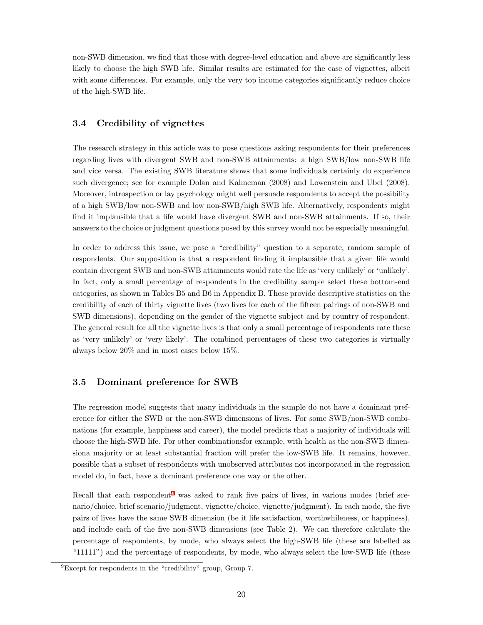non-SWB dimension, we find that those with degree-level education and above are significantly less likely to choose the high SWB life. Similar results are estimated for the case of vignettes, albeit with some differences. For example, only the very top income categories significantly reduce choice of the high-SWB life.

## **3.4 Credibility of vignettes**

The research strategy in this article was to pose questions asking respondents for their preferences regarding lives with divergent SWB and non-SWB attainments: a high SWB/low non-SWB life and vice versa. The existing SWB literature shows that some individuals certainly do experience such divergence; see for example Dolan and Kahneman (2008) and Lowenstein and Ubel (2008). Moreover, introspection or lay psychology might well persuade respondents to accept the possibility of a high SWB/low non-SWB and low non-SWB/high SWB life. Alternatively, respondents might find it implausible that a life would have divergent SWB and non-SWB attainments. If so, their answers to the choice or judgment questions posed by this survey would not be especially meaningful.

In order to address this issue, we pose a "credibility" question to a separate, random sample of respondents. Our supposition is that a respondent finding it implausible that a given life would contain divergent SWB and non-SWB attainments would rate the life as 'very unlikely' or 'unlikely'. In fact, only a small percentage of respondents in the credibility sample select these bottom-end categories, as shown in Tables B5 and B6 in Appendix B. These provide descriptive statistics on the credibility of each of thirty vignette lives (two lives for each of the fifteen pairings of non-SWB and SWB dimensions), depending on the gender of the vignette subject and by country of respondent. The general result for all the vignette lives is that only a small percentage of respondents rate these as 'very unlikely' or 'very likely'. The combined percentages of these two categories is virtually always below 20% and in most cases below 15%.

## **3.5 Dominant preference for SWB**

The regression model suggests that many individuals in the sample do not have a dominant preference for either the SWB or the non-SWB dimensions of lives. For some SWB/non-SWB combinations (for example, happiness and career), the model predicts that a majority of individuals will choose the high-SWB life. For other combinationsfor example, with health as the non-SWB dimensiona majority or at least substantial fraction will prefer the low-SWB life. It remains, however, possible that a subset of respondents with unobserved attributes not incorporated in the regression model do, in fact, have a dominant preference one way or the other.

Recall that each respondent<sup>9</sup> was asked to rank five pairs of lives, in various modes (brief scenario/choice, brief scenario/judgment, vignette/choice, vignette/judgment). In each mode, the five pairs of lives have the same SWB dimension (be it life satisfaction, worthwhileness, or happiness), and include each of the five non-SWB dimensions (see Table 2). We can therefore calculate the percentage of respondents, by mode, who always select the high-SWB life (these are labelled as "11111") and the percentage of respondents, by mode, who always select the low-SWB life (these

 ${}^{9}$ Except for respondents in the "credibility" group, Group 7.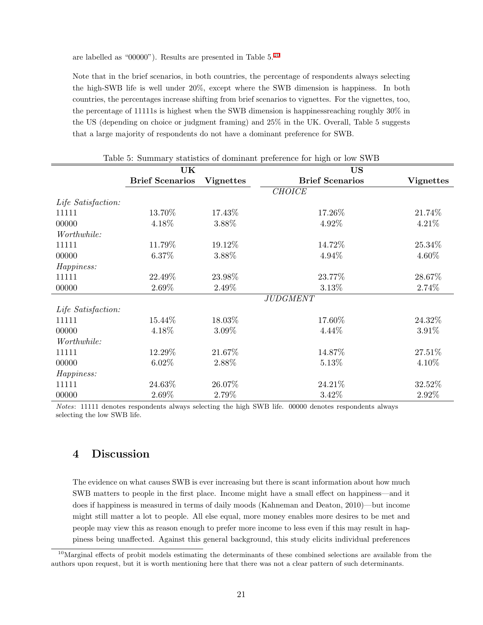are labelled as "00000"). Results are presented in Table 5.10

Note that in the brief scenarios, in both countries, the percentage of respondents always selecting the high-SWB life is well under 20%, except where the SWB dimension is happiness. In both countries, the percentages increase shifting from brief scenarios to vignettes. For the vignettes, too, the percentage of 11111s is highest when the SWB dimension is happinessreaching roughly 30% in the US (depending on choice or judgment framing) and 25% in the UK. Overall, Table 5 suggests that a large majority of respondents do not have a dominant preference for SWB.

|                    |                        |                  | Table 5: Summary statistics of dominant preference for high or low SWB |                  |
|--------------------|------------------------|------------------|------------------------------------------------------------------------|------------------|
|                    | UK                     |                  | <b>US</b>                                                              |                  |
|                    | <b>Brief Scenarios</b> | <b>Vignettes</b> | <b>Brief Scenarios</b>                                                 | <b>Vignettes</b> |
|                    |                        |                  | <b>CHOICE</b>                                                          |                  |
| Life Satisfaction: |                        |                  |                                                                        |                  |
| 11111              | 13.70%                 | 17.43\%          | 17.26%                                                                 | 21.74%           |
| 00000              | 4.18%                  | 3.88%            | 4.92%                                                                  | 4.21%            |
| Worthwhile:        |                        |                  |                                                                        |                  |
| 11111              | 11.79%                 | 19.12%           | 14.72%                                                                 | 25.34%           |
| 00000              | $6.37\%$               | 3.88%            | 4.94%                                                                  | 4.60%            |
| Happiness:         |                        |                  |                                                                        |                  |
| 11111              | 22.49%                 | 23.98%           | 23.77%                                                                 | 28.67%           |
| 00000              | 2.69%                  | 2.49\%           | 3.13%                                                                  | 2.74\%           |
|                    |                        |                  | $JUDGMENT$                                                             |                  |
| Life Satisfaction: |                        |                  |                                                                        |                  |
| 11111              | 15.44%                 | 18.03%           | 17.60%                                                                 | 24.32%           |
| 00000              | 4.18%                  | 3.09%            | 4.44%                                                                  | 3.91\%           |
| Worthwhile:        |                        |                  |                                                                        |                  |
| 11111              | 12.29%                 | 21.67%           | 14.87%                                                                 | 27.51%           |
| 00000              | $6.02\%$               | 2.88%            | 5.13%                                                                  | 4.10%            |
| Happiness:         |                        |                  |                                                                        |                  |
| 11111              | 24.63%                 | 26.07%           | 24.21%                                                                 | 32.52%           |
| 00000              | 2.69%                  | 2.79%            | 3.42%                                                                  | 2.92%            |

*Notes*: 11111 denotes respondents always selecting the high SWB life. 00000 denotes respondents always selecting the low SWB life.

## **4 Discussion**

The evidence on what causes SWB is ever increasing but there is scant information about how much SWB matters to people in the first place. Income might have a small effect on happiness—and it does if happiness is measured in terms of daily moods (Kahneman and Deaton, 2010)—but income might still matter a lot to people. All else equal, more money enables more desires to be met and people may view this as reason enough to prefer more income to less even if this may result in happiness being unaffected. Against this general background, this study elicits individual preferences

<sup>&</sup>lt;sup>10</sup>Marginal effects of probit models estimating the determinants of these combined selections are available from the authors upon request, but it is worth mentioning here that there was not a clear pattern of such determinants.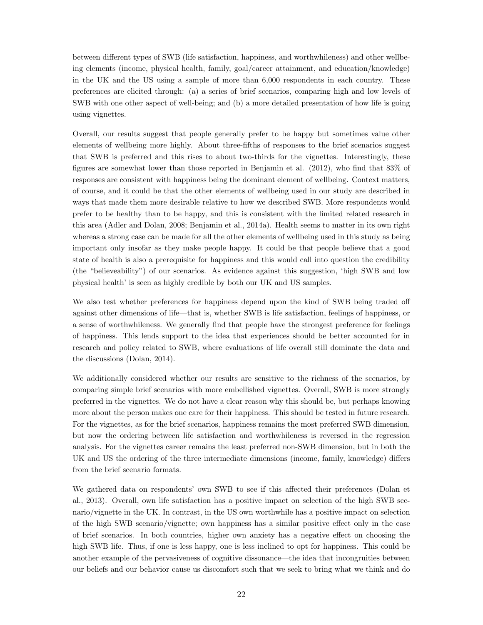between different types of SWB (life satisfaction, happiness, and worthwhileness) and other wellbeing elements (income, physical health, family, goal/career attainment, and education/knowledge) in the UK and the US using a sample of more than 6,000 respondents in each country. These preferences are elicited through: (a) a series of brief scenarios, comparing high and low levels of SWB with one other aspect of well-being; and (b) a more detailed presentation of how life is going using vignettes.

Overall, our results suggest that people generally prefer to be happy but sometimes value other elements of wellbeing more highly. About three-fifths of responses to the brief scenarios suggest that SWB is preferred and this rises to about two-thirds for the vignettes. Interestingly, these figures are somewhat lower than those reported in Benjamin et al. (2012), who find that 83% of responses are consistent with happiness being the dominant element of wellbeing. Context matters, of course, and it could be that the other elements of wellbeing used in our study are described in ways that made them more desirable relative to how we described SWB. More respondents would prefer to be healthy than to be happy, and this is consistent with the limited related research in this area (Adler and Dolan, 2008; Benjamin et al., 2014a). Health seems to matter in its own right whereas a strong case can be made for all the other elements of wellbeing used in this study as being important only insofar as they make people happy. It could be that people believe that a good state of health is also a prerequisite for happiness and this would call into question the credibility (the "believeability") of our scenarios. As evidence against this suggestion, 'high SWB and low physical health' is seen as highly credible by both our UK and US samples.

We also test whether preferences for happiness depend upon the kind of SWB being traded off against other dimensions of life—that is, whether SWB is life satisfaction, feelings of happiness, or a sense of worthwhileness. We generally find that people have the strongest preference for feelings of happiness. This lends support to the idea that experiences should be better accounted for in research and policy related to SWB, where evaluations of life overall still dominate the data and the discussions (Dolan, 2014).

We additionally considered whether our results are sensitive to the richness of the scenarios, by comparing simple brief scenarios with more embellished vignettes. Overall, SWB is more strongly preferred in the vignettes. We do not have a clear reason why this should be, but perhaps knowing more about the person makes one care for their happiness. This should be tested in future research. For the vignettes, as for the brief scenarios, happiness remains the most preferred SWB dimension, but now the ordering between life satisfaction and worthwhileness is reversed in the regression analysis. For the vignettes career remains the least preferred non-SWB dimension, but in both the UK and US the ordering of the three intermediate dimensions (income, family, knowledge) differs from the brief scenario formats.

We gathered data on respondents' own SWB to see if this affected their preferences (Dolan et al., 2013). Overall, own life satisfaction has a positive impact on selection of the high SWB scenario/vignette in the UK. In contrast, in the US own worthwhile has a positive impact on selection of the high SWB scenario/vignette; own happiness has a similar positive effect only in the case of brief scenarios. In both countries, higher own anxiety has a negative effect on choosing the high SWB life. Thus, if one is less happy, one is less inclined to opt for happiness. This could be another example of the pervasiveness of cognitive dissonance—the idea that incongruities between our beliefs and our behavior cause us discomfort such that we seek to bring what we think and do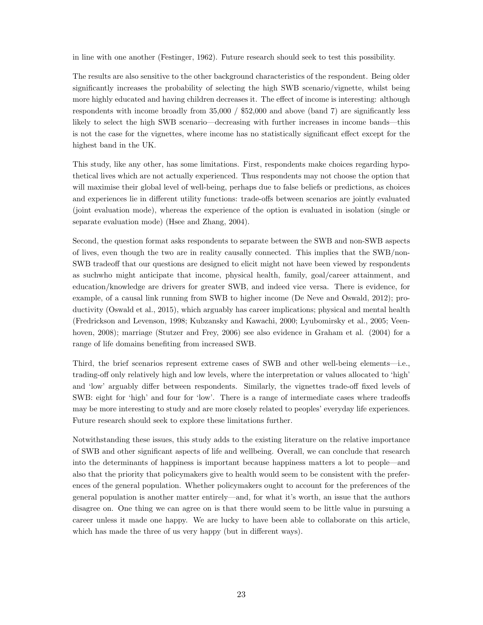in line with one another (Festinger, 1962). Future research should seek to test this possibility.

The results are also sensitive to the other background characteristics of the respondent. Being older significantly increases the probability of selecting the high SWB scenario/vignette, whilst being more highly educated and having children decreases it. The effect of income is interesting: although respondents with income broadly from 35,000 / \$52,000 and above (band 7) are significantly less likely to select the high SWB scenario—decreasing with further increases in income bands—this is not the case for the vignettes, where income has no statistically significant effect except for the highest band in the UK.

This study, like any other, has some limitations. First, respondents make choices regarding hypothetical lives which are not actually experienced. Thus respondents may not choose the option that will maximise their global level of well-being, perhaps due to false beliefs or predictions, as choices and experiences lie in different utility functions: trade-offs between scenarios are jointly evaluated (joint evaluation mode), whereas the experience of the option is evaluated in isolation (single or separate evaluation mode) (Hsee and Zhang, 2004).

Second, the question format asks respondents to separate between the SWB and non-SWB aspects of lives, even though the two are in reality causally connected. This implies that the SWB/non-SWB tradeoff that our questions are designed to elicit might not have been viewed by respondents as suchwho might anticipate that income, physical health, family, goal/career attainment, and education/knowledge are drivers for greater SWB, and indeed vice versa. There is evidence, for example, of a causal link running from SWB to higher income (De Neve and Oswald, 2012); productivity (Oswald et al., 2015), which arguably has career implications; physical and mental health (Fredrickson and Levenson, 1998; Kubzansky and Kawachi, 2000; Lyubomirsky et al., 2005; Veenhoven, 2008); marriage (Stutzer and Frey, 2006) see also evidence in Graham et al. (2004) for a range of life domains benefiting from increased SWB.

Third, the brief scenarios represent extreme cases of SWB and other well-being elements—i.e., trading-off only relatively high and low levels, where the interpretation or values allocated to 'high' and 'low' arguably differ between respondents. Similarly, the vignettes trade-off fixed levels of SWB: eight for 'high' and four for 'low'. There is a range of intermediate cases where tradeoffs may be more interesting to study and are more closely related to peoples' everyday life experiences. Future research should seek to explore these limitations further.

Notwithstanding these issues, this study adds to the existing literature on the relative importance of SWB and other significant aspects of life and wellbeing. Overall, we can conclude that research into the determinants of happiness is important because happiness matters a lot to people—and also that the priority that policymakers give to health would seem to be consistent with the preferences of the general population. Whether policymakers ought to account for the preferences of the general population is another matter entirely—and, for what it's worth, an issue that the authors disagree on. One thing we can agree on is that there would seem to be little value in pursuing a career unless it made one happy. We are lucky to have been able to collaborate on this article, which has made the three of us very happy (but in different ways).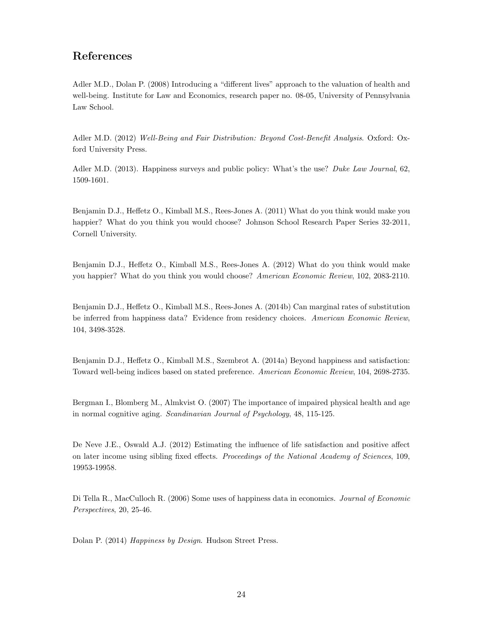# **References**

Adler M.D., Dolan P. (2008) Introducing a "different lives" approach to the valuation of health and well-being. Institute for Law and Economics, research paper no. 08-05, University of Pennsylvania Law School.

Adler M.D. (2012) *Well-Being and Fair Distribution: Beyond Cost-Benefit Analysis*. Oxford: Oxford University Press.

Adler M.D. (2013). Happiness surveys and public policy: What's the use? *Duke Law Journal*, 62, 1509-1601.

Benjamin D.J., Heffetz O., Kimball M.S., Rees-Jones A. (2011) What do you think would make you happier? What do you think you would choose? Johnson School Research Paper Series 32-2011, Cornell University.

Benjamin D.J., Heffetz O., Kimball M.S., Rees-Jones A. (2012) What do you think would make you happier? What do you think you would choose? *American Economic Review*, 102, 2083-2110.

Benjamin D.J., Heffetz O., Kimball M.S., Rees-Jones A. (2014b) Can marginal rates of substitution be inferred from happiness data? Evidence from residency choices. *American Economic Review*, 104, 3498-3528.

Benjamin D.J., Heffetz O., Kimball M.S., Szembrot A. (2014a) Beyond happiness and satisfaction: Toward well-being indices based on stated preference. *American Economic Review*, 104, 2698-2735.

Bergman I., Blomberg M., Almkvist O. (2007) The importance of impaired physical health and age in normal cognitive aging. *Scandinavian Journal of Psychology*, 48, 115-125.

De Neve J.E., Oswald A.J. (2012) Estimating the influence of life satisfaction and positive affect on later income using sibling fixed effects. *Proceedings of the National Academy of Sciences*, 109, 19953-19958.

Di Tella R., MacCulloch R. (2006) Some uses of happiness data in economics. *Journal of Economic Perspectives*, 20, 25-46.

Dolan P. (2014) *Happiness by Design*. Hudson Street Press.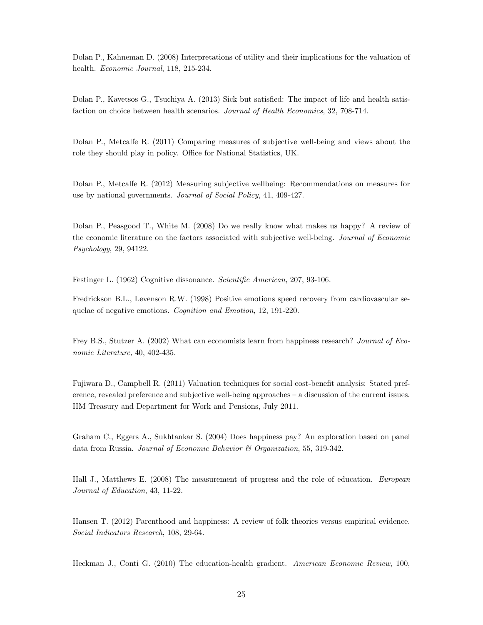Dolan P., Kahneman D. (2008) Interpretations of utility and their implications for the valuation of health. *Economic Journal*, 118, 215-234.

Dolan P., Kavetsos G., Tsuchiya A. (2013) Sick but satisfied: The impact of life and health satisfaction on choice between health scenarios. *Journal of Health Economics*, 32, 708-714.

Dolan P., Metcalfe R. (2011) Comparing measures of subjective well-being and views about the role they should play in policy. Office for National Statistics, UK.

Dolan P., Metcalfe R. (2012) Measuring subjective wellbeing: Recommendations on measures for use by national governments. *Journal of Social Policy*, 41, 409-427.

Dolan P., Peasgood T., White M. (2008) Do we really know what makes us happy? A review of the economic literature on the factors associated with subjective well-being. *Journal of Economic Psychology*, 29, 94122.

Festinger L. (1962) Cognitive dissonance. *Scientific American*, 207, 93-106.

Fredrickson B.L., Levenson R.W. (1998) Positive emotions speed recovery from cardiovascular sequelae of negative emotions. *Cognition and Emotion*, 12, 191-220.

Frey B.S., Stutzer A. (2002) What can economists learn from happiness research? *Journal of Economic Literature*, 40, 402-435.

Fujiwara D., Campbell R. (2011) Valuation techniques for social cost-benefit analysis: Stated preference, revealed preference and subjective well-being approaches – a discussion of the current issues. HM Treasury and Department for Work and Pensions, July 2011.

Graham C., Eggers A., Sukhtankar S. (2004) Does happiness pay? An exploration based on panel data from Russia. *Journal of Economic Behavior & Organization*, 55, 319-342.

Hall J., Matthews E. (2008) The measurement of progress and the role of education. *European Journal of Education*, 43, 11-22.

Hansen T. (2012) Parenthood and happiness: A review of folk theories versus empirical evidence. *Social Indicators Research*, 108, 29-64.

Heckman J., Conti G. (2010) The education-health gradient. *American Economic Review*, 100,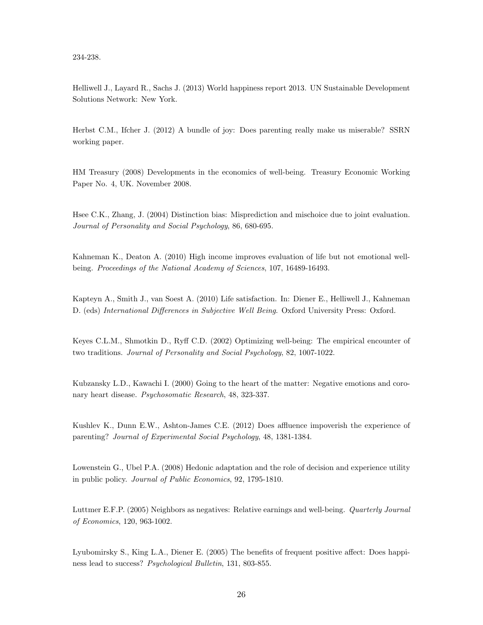234-238.

Helliwell J., Layard R., Sachs J. (2013) World happiness report 2013. UN Sustainable Development Solutions Network: New York.

Herbst C.M., Ifcher J. (2012) A bundle of joy: Does parenting really make us miserable? SSRN working paper.

HM Treasury (2008) Developments in the economics of well-being. Treasury Economic Working Paper No. 4, UK. November 2008.

Hsee C.K., Zhang, J. (2004) Distinction bias: Misprediction and mischoice due to joint evaluation. *Journal of Personality and Social Psychology*, 86, 680-695.

Kahneman K., Deaton A. (2010) High income improves evaluation of life but not emotional wellbeing. *Proceedings of the National Academy of Sciences*, 107, 16489-16493.

Kapteyn A., Smith J., van Soest A. (2010) Life satisfaction. In: Diener E., Helliwell J., Kahneman D. (eds) *International Differences in Subjective Well Being*. Oxford University Press: Oxford.

Keyes C.L.M., Shmotkin D., Ryff C.D. (2002) Optimizing well-being: The empirical encounter of two traditions. *Journal of Personality and Social Psychology*, 82, 1007-1022.

Kubzansky L.D., Kawachi I. (2000) Going to the heart of the matter: Negative emotions and coronary heart disease. *Psychosomatic Research*, 48, 323-337.

Kushlev K., Dunn E.W., Ashton-James C.E. (2012) Does affluence impoverish the experience of parenting? *Journal of Experimental Social Psychology*, 48, 1381-1384.

Lowenstein G., Ubel P.A. (2008) Hedonic adaptation and the role of decision and experience utility in public policy. *Journal of Public Economics*, 92, 1795-1810.

Luttmer E.F.P. (2005) Neighbors as negatives: Relative earnings and well-being. *Quarterly Journal of Economics*, 120, 963-1002.

Lyubomirsky S., King L.A., Diener E. (2005) The benefits of frequent positive affect: Does happiness lead to success? *Psychological Bulletin*, 131, 803-855.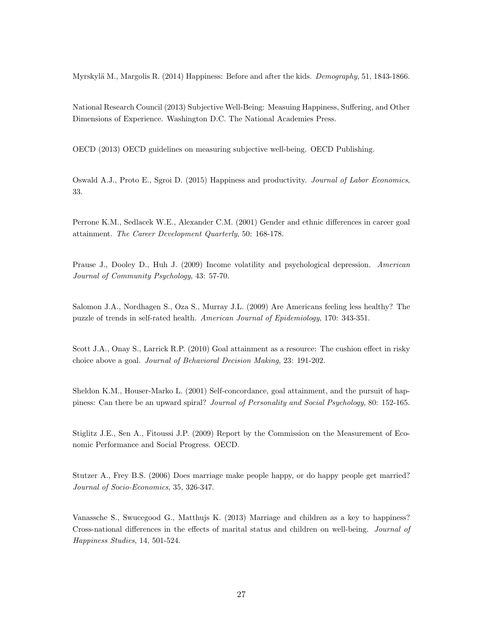Myrskyl¨a M., Margolis R. (2014) Happiness: Before and after the kids. *Demography*, 51, 1843-1866.

National Research Council (2013) Subjective Well-Being: Measuing Happiness, Suffering, and Other Dimensions of Experience. Washington D.C. The National Academies Press.

OECD (2013) OECD guidelines on measuring subjective well-being. OECD Publishing.

Oswald A.J., Proto E., Sgroi D. (2015) Happiness and productivity. *Journal of Labor Economics*, 33.

Perrone K.M., Sedlacek W.E., Alexander C.M. (2001) Gender and ethnic differences in career goal attainment. *The Career Development Quarterly*, 50: 168-178.

Prause J., Dooley D., Huh J. (2009) Income volatility and psychological depression. *American Journal of Community Psychology*, 43: 57-70.

Salomon J.A., Nordhagen S., Oza S., Murray J.L. (2009) Are Americans feeling less healthy? The puzzle of trends in self-rated health. *American Journal of Epidemiology*, 170: 343-351.

Scott J.A., Onay S., Larrick R.P. (2010) Goal attainment as a resource: The cushion effect in risky choice above a goal. *Journal of Behavioral Decision Making*, 23: 191-202.

Sheldon K.M., Houser-Marko L. (2001) Self-concordance, goal attainment, and the pursuit of happiness: Can there be an upward spiral? *Journal of Personality and Social Psychology*, 80: 152-165.

Stiglitz J.E., Sen A., Fitoussi J.P. (2009) Report by the Commission on the Measurement of Economic Performance and Social Progress. OECD.

Stutzer A., Frey B.S. (2006) Does marriage make people happy, or do happy people get married? *Journal of Socio-Economics*, 35, 326-347.

Vanassche S., Swucegood G., Matthujs K. (2013) Marriage and children as a key to happiness? Cross-national differences in the effects of marital status and children on well-being. *Journal of Happiness Studies*, 14, 501-524.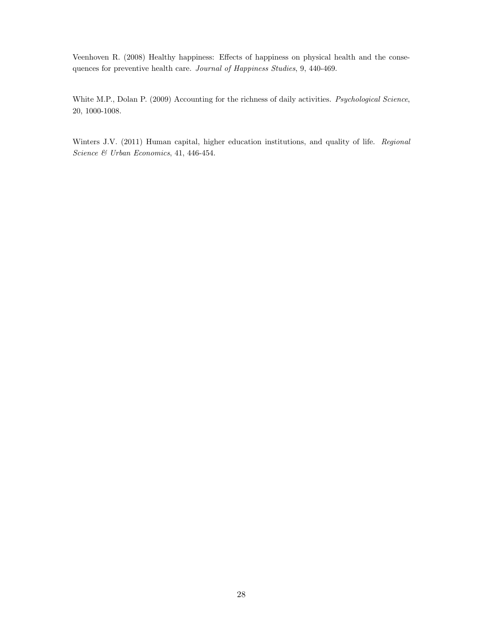Veenhoven R. (2008) Healthy happiness: Effects of happiness on physical health and the consequences for preventive health care. *Journal of Happiness Studies*, 9, 440-469.

White M.P., Dolan P. (2009) Accounting for the richness of daily activities. *Psychological Science*, 20, 1000-1008.

Winters J.V. (2011) Human capital, higher education institutions, and quality of life. *Regional Science & Urban Economics*, 41, 446-454.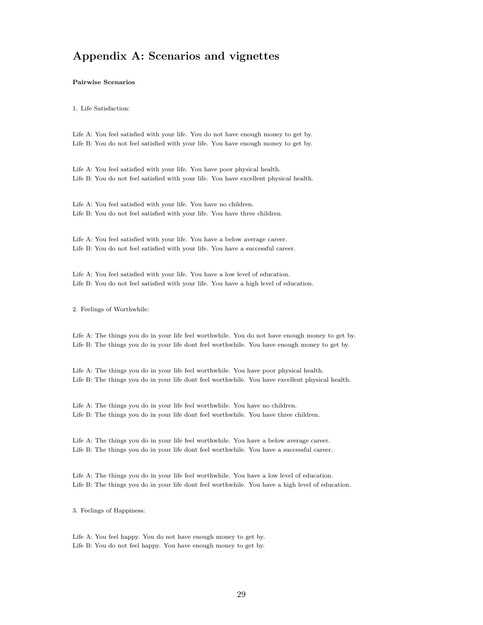## **Appendix A: Scenarios and vignettes**

#### **Pairwise Scenarios**

1. Life Satisfaction:

Life A: You feel satisfied with your life. You do not have enough money to get by. Life B: You do not feel satisfied with your life. You have enough money to get by.

Life A: You feel satisfied with your life. You have poor physical health. Life B: You do not feel satisfied with your life. You have excellent physical health.

Life A: You feel satisfied with your life. You have no children. Life B: You do not feel satisfied with your life. You have three children.

Life A: You feel satisfied with your life. You have a below average career. Life B: You do not feel satisfied with your life. You have a successful career.

Life A: You feel satisfied with your life. You have a low level of education. Life B: You do not feel satisfied with your life. You have a high level of education.

2. Feelings of Worthwhile:

Life A: The things you do in your life feel worthwhile. You do not have enough money to get by. Life B: The things you do in your life dont feel worthwhile. You have enough money to get by.

Life A: The things you do in your life feel worthwhile. You have poor physical health. Life B: The things you do in your life dont feel worthwhile. You have excellent physical health.

Life A: The things you do in your life feel worthwhile. You have no children. Life B: The things you do in your life dont feel worthwhile. You have three children.

Life A: The things you do in your life feel worthwhile. You have a below average career. Life B: The things you do in your life dont feel worthwhile. You have a successful career.

Life A: The things you do in your life feel worthwhile. You have a low level of education. Life B: The things you do in your life dont feel worthwhile. You have a high level of education.

3. Feelings of Happiness:

Life A: You feel happy. You do not have enough money to get by. Life B: You do not feel happy. You have enough money to get by.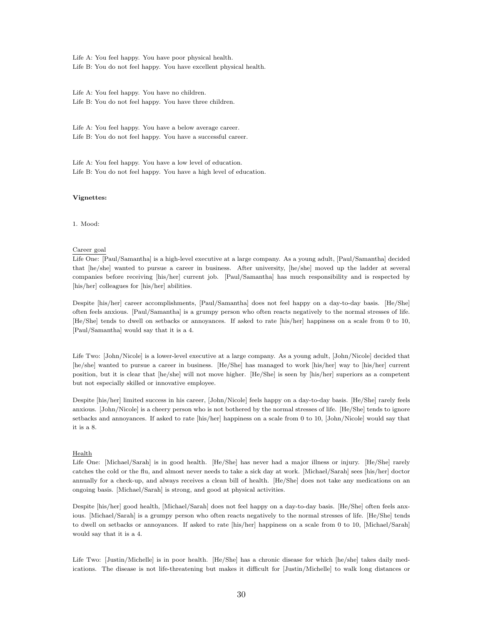Life A: You feel happy. You have poor physical health. Life B: You do not feel happy. You have excellent physical health.

Life A: You feel happy. You have no children. Life B: You do not feel happy. You have three children.

Life A: You feel happy. You have a below average career. Life B: You do not feel happy. You have a successful career.

Life A: You feel happy. You have a low level of education. Life B: You do not feel happy. You have a high level of education.

#### **Vignettes:**

#### 1. Mood:

#### Career goal

Life One: [Paul/Samantha] is a high-level executive at a large company. As a young adult, [Paul/Samantha] decided that [he/she] wanted to pursue a career in business. After university, [he/she] moved up the ladder at several companies before receiving [his/her] current job. [Paul/Samantha] has much responsibility and is respected by [his/her] colleagues for [his/her] abilities.

Despite [his/her] career accomplishments, [Paul/Samantha] does not feel happy on a day-to-day basis. [He/She] often feels anxious. [Paul/Samantha] is a grumpy person who often reacts negatively to the normal stresses of life. [He/She] tends to dwell on setbacks or annoyances. If asked to rate [his/her] happiness on a scale from 0 to 10, [Paul/Samantha] would say that it is a 4.

Life Two: [John/Nicole] is a lower-level executive at a large company. As a young adult, [John/Nicole] decided that [he/she] wanted to pursue a career in business. [He/She] has managed to work [his/her] way to [his/her] current position, but it is clear that [he/she] will not move higher. [He/She] is seen by [his/her] superiors as a competent but not especially skilled or innovative employee.

Despite [his/her] limited success in his career, [John/Nicole] feels happy on a day-to-day basis. [He/She] rarely feels anxious. [John/Nicole] is a cheery person who is not bothered by the normal stresses of life. [He/She] tends to ignore setbacks and annoyances. If asked to rate [his/her] happiness on a scale from 0 to 10, [John/Nicole] would say that it is a 8.

### Health

Life One: [Michael/Sarah] is in good health. [He/She] has never had a major illness or injury. [He/She] rarely catches the cold or the flu, and almost never needs to take a sick day at work. [Michael/Sarah] sees [his/her] doctor annually for a check-up, and always receives a clean bill of health. [He/She] does not take any medications on an ongoing basis. [Michael/Sarah] is strong, and good at physical activities.

Despite [his/her] good health, [Michael/Sarah] does not feel happy on a day-to-day basis. [He/She] often feels anxious. [Michael/Sarah] is a grumpy person who often reacts negatively to the normal stresses of life. [He/She] tends to dwell on setbacks or annoyances. If asked to rate [his/her] happiness on a scale from 0 to 10, [Michael/Sarah] would say that it is a 4.

Life Two: [Justin/Michelle] is in poor health. [He/She] has a chronic disease for which [he/she] takes daily medications. The disease is not life-threatening but makes it difficult for [Justin/Michelle] to walk long distances or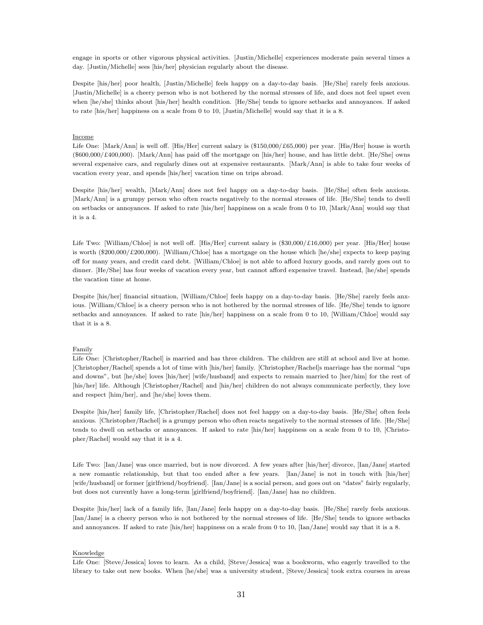engage in sports or other vigorous physical activities. [Justin/Michelle] experiences moderate pain several times a day. [Justin/Michelle] sees [his/her] physician regularly about the disease.

Despite [his/her] poor health, [Justin/Michelle] feels happy on a day-to-day basis. [He/She] rarely feels anxious. [Justin/Michelle] is a cheery person who is not bothered by the normal stresses of life, and does not feel upset even when [he/she] thinks about [his/her] health condition. [He/She] tends to ignore setbacks and annoyances. If asked to rate [his/her] happiness on a scale from 0 to 10, [Justin/Michelle] would say that it is a 8.

#### Income

Life One: [Mark/Ann] is well off. [His/Her] current salary is  $(\$150,000/£65,000)$  per year. [His/Her] house is worth (\$600,000/£400,000). [Mark/Ann] has paid off the mortgage on [his/her] house, and has little debt. [He/She] owns several expensive cars, and regularly dines out at expensive restaurants. [Mark/Ann] is able to take four weeks of vacation every year, and spends [his/her] vacation time on trips abroad.

Despite [his/her] wealth, [Mark/Ann] does not feel happy on a day-to-day basis. [He/She] often feels anxious. [Mark/Ann] is a grumpy person who often reacts negatively to the normal stresses of life. [He/She] tends to dwell on setbacks or annoyances. If asked to rate [his/her] happiness on a scale from 0 to 10, [Mark/Ann] would say that it is a 4.

Life Two: [William/Chloe] is not well off. [His/Her] current salary is  $(\$30,000/\pounds16,000)$  per year. [His/Her] house is worth (\$200,000/£200,000). [William/Chloe] has a mortgage on the house which [he/she] expects to keep paying off for many years, and credit card debt. [William/Chloe] is not able to afford luxury goods, and rarely goes out to dinner. [He/She] has four weeks of vacation every year, but cannot afford expensive travel. Instead, [he/she] spends the vacation time at home.

Despite [his/her] financial situation, [William/Chloe] feels happy on a day-to-day basis. [He/She] rarely feels anxious. [William/Chloe] is a cheery person who is not bothered by the normal stresses of life. [He/She] tends to ignore setbacks and annoyances. If asked to rate [his/her] happiness on a scale from 0 to 10, [William/Chloe] would say that it is a 8.

#### Family

Life One: [Christopher/Rachel] is married and has three children. The children are still at school and live at home. [Christopher/Rachel] spends a lot of time with [his/her] family. [Christopher/Rachel]s marriage has the normal "ups and downs", but [he/she] loves [his/her] [wife/husband] and expects to remain married to [her/him] for the rest of [his/her] life. Although [Christopher/Rachel] and [his/her] children do not always communicate perfectly, they love and respect [him/her], and [he/she] loves them.

Despite [his/her] family life, [Christopher/Rachel] does not feel happy on a day-to-day basis. [He/She] often feels anxious. [Christopher/Rachel] is a grumpy person who often reacts negatively to the normal stresses of life. [He/She] tends to dwell on setbacks or annoyances. If asked to rate [his/her] happiness on a scale from 0 to 10, [Christopher/Rachel] would say that it is a 4.

Life Two: [Ian/Jane] was once married, but is now divorced. A few years after [his/her] divorce, [Ian/Jane] started a new romantic relationship, but that too ended after a few years. [Ian/Jane] is not in touch with [his/her] [wife/husband] or former [girlfriend/boyfriend]. [Ian/Jane] is a social person, and goes out on "dates" fairly regularly, but does not currently have a long-term [girlfriend/boyfriend]. [Ian/Jane] has no children.

Despite [his/her] lack of a family life, [Ian/Jane] feels happy on a day-to-day basis. [He/She] rarely feels anxious. [Ian/Jane] is a cheery person who is not bothered by the normal stresses of life. [He/She] tends to ignore setbacks and annoyances. If asked to rate [his/her] happiness on a scale from 0 to 10, [Ian/Jane] would say that it is a 8.

#### Knowledge

Life One: [Steve/Jessica] loves to learn. As a child, [Steve/Jessica] was a bookworm, who eagerly travelled to the library to take out new books. When [he/she] was a university student, [Steve/Jessica] took extra courses in areas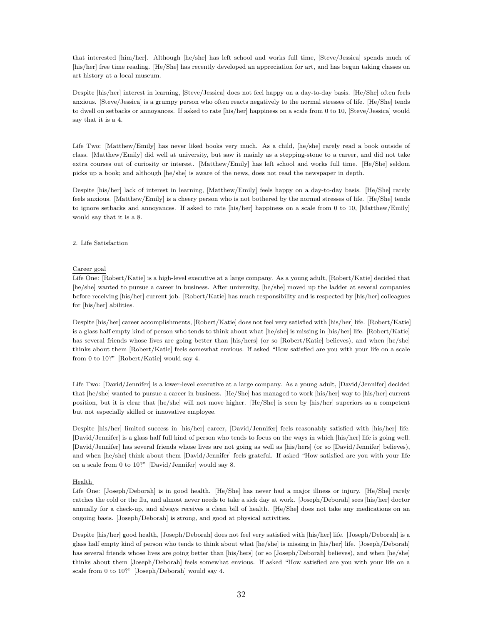that interested [him/her]. Although [he/she] has left school and works full time, [Steve/Jessica] spends much of [his/her] free time reading. [He/She] has recently developed an appreciation for art, and has begun taking classes on art history at a local museum.

Despite [his/her] interest in learning, [Steve/Jessica] does not feel happy on a day-to-day basis. [He/She] often feels anxious. [Steve/Jessica] is a grumpy person who often reacts negatively to the normal stresses of life. [He/She] tends to dwell on setbacks or annoyances. If asked to rate [his/her] happiness on a scale from 0 to 10, [Steve/Jessica] would say that it is a 4.

Life Two: [Matthew/Emily] has never liked books very much. As a child, [he/she] rarely read a book outside of class. [Matthew/Emily] did well at university, but saw it mainly as a stepping-stone to a career, and did not take extra courses out of curiosity or interest. [Matthew/Emily] has left school and works full time. [He/She] seldom picks up a book; and although [he/she] is aware of the news, does not read the newspaper in depth.

Despite [his/her] lack of interest in learning, [Matthew/Emily] feels happy on a day-to-day basis. [He/She] rarely feels anxious. [Matthew/Emily] is a cheery person who is not bothered by the normal stresses of life. [He/She] tends to ignore setbacks and annoyances. If asked to rate [his/her] happiness on a scale from 0 to 10, [Matthew/Emily] would say that it is a 8.

#### 2. Life Satisfaction

#### Career goal

Life One: [Robert/Katie] is a high-level executive at a large company. As a young adult, [Robert/Katie] decided that [he/she] wanted to pursue a career in business. After university, [he/she] moved up the ladder at several companies before receiving [his/her] current job. [Robert/Katie] has much responsibility and is respected by [his/her] colleagues for [his/her] abilities.

Despite [his/her] career accomplishments, [Robert/Katie] does not feel very satisfied with [his/her] life. [Robert/Katie] is a glass half empty kind of person who tends to think about what  $[he/she]$  is missing in  $[his/her]$  life.  $[Robert/Katie]$ has several friends whose lives are going better than [his/hers] (or so [Robert/Katie] believes), and when [he/she] thinks about them [Robert/Katie] feels somewhat envious. If asked "How satisfied are you with your life on a scale from 0 to 10?" [Robert/Katie] would say 4.

Life Two: [David/Jennifer] is a lower-level executive at a large company. As a young adult, [David/Jennifer] decided that [he/she] wanted to pursue a career in business. [He/She] has managed to work [his/her] way to [his/her] current position, but it is clear that [he/she] will not move higher. [He/She] is seen by [his/her] superiors as a competent but not especially skilled or innovative employee.

Despite [his/her] limited success in [his/her] career, [David/Jennifer] feels reasonably satisfied with [his/her] life. [David/Jennifer] is a glass half full kind of person who tends to focus on the ways in which [his/her] life is going well. [David/Jennifer] has several friends whose lives are not going as well as [his/hers] (or so [David/Jennifer] believes), and when [he/she] think about them [David/Jennifer] feels grateful. If asked "How satisfied are you with your life on a scale from 0 to 10?" [David/Jennifer] would say 8.

#### Health

Life One: [Joseph/Deborah] is in good health. [He/She] has never had a major illness or injury. [He/She] rarely catches the cold or the flu, and almost never needs to take a sick day at work. [Joseph/Deborah] sees [his/her] doctor annually for a check-up, and always receives a clean bill of health. [He/She] does not take any medications on an ongoing basis. [Joseph/Deborah] is strong, and good at physical activities.

Despite [his/her] good health, [Joseph/Deborah] does not feel very satisfied with [his/her] life. [Joseph/Deborah] is a glass half empty kind of person who tends to think about what [he/she] is missing in [his/her] life. [Joseph/Deborah] has several friends whose lives are going better than [his/hers] (or so [Joseph/Deborah] believes), and when [he/she] thinks about them [Joseph/Deborah] feels somewhat envious. If asked "How satisfied are you with your life on a scale from 0 to 10?" [Joseph/Deborah] would say 4.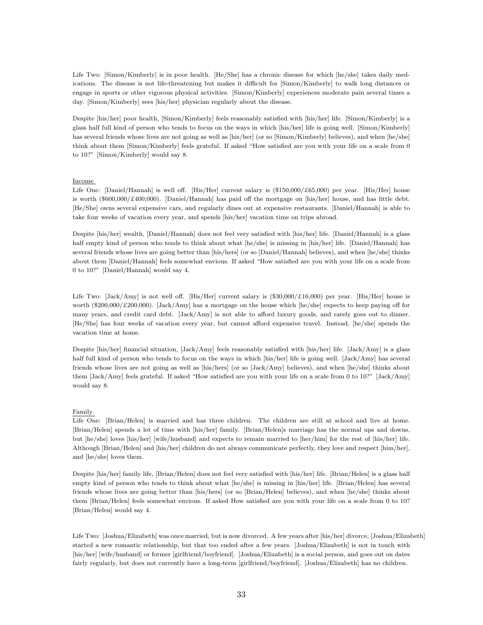Life Two: [Simon/Kimberly] is in poor health. [He/She] has a chronic disease for which [he/she] takes daily medications. The disease is not life-threatening but makes it difficult for [Simon/Kimberly] to walk long distances or engage in sports or other vigorous physical activities. [Simon/Kimberly] experiences moderate pain several times a day. [Simon/Kimberly] sees [his/her] physician regularly about the disease.

Despite [his/her] poor health, [Simon/Kimberly] feels reasonably satisfied with [his/her] life. [Simon/Kimberly] is a glass half full kind of person who tends to focus on the ways in which [his/her] life is going well. [Simon/Kimberly] has several friends whose lives are not going as well as [his/her] (or so [Simon/Kimberly] believes), and when [he/she] think about them [Simon/Kimberly] feels grateful. If asked "How satisfied are you with your life on a scale from 0 to 10?" [Simon/Kimberly] would say 8.

#### Income

Life One: [Daniel/Hannah] is well off. [His/Her] current salary is  $(\$150,000/£65,000)$  per year. [His/Her] house is worth (\$600,000/£400,000). [Daniel/Hannah] has paid off the mortgage on [his/her] house, and has little debt. [He/She] owns several expensive cars, and regularly dines out at expensive restaurants. [Daniel/Hannah] is able to take four weeks of vacation every year, and spends [his/her] vacation time on trips abroad.

Despite [his/her] wealth, [Daniel/Hannah] does not feel very satisfied with [his/her] life. [Daniel/Hannah] is a glass half empty kind of person who tends to think about what  $[he/she]$  is missing in  $[his/her]$  life. [Daniel/Hannah] has several friends whose lives are going better than [his/hers] (or so [Daniel/Hannah] believes), and when [he/she] thinks about them [Daniel/Hannah] feels somewhat envious. If asked "How satisfied are you with your life on a scale from 0 to 10?" [Daniel/Hannah] would say 4.

Life Two: [Jack/Amy] is not well off. [His/Her] current salary is (\$30,000/£16,000) per year. [His/Her] house is worth (\$200,000/£200,000). [Jack/Amy] has a mortgage on the house which [he/she] expects to keep paying off for many years, and credit card debt. [Jack/Amy] is not able to afford luxury goods, and rarely goes out to dinner. [He/She] has four weeks of vacation every year, but cannot afford expensive travel. Instead, [he/she] spends the vacation time at home.

Despite [his/her] financial situation, [Jack/Amy] feels reasonably satisfied with [his/her] life. [Jack/Amy] is a glass half full kind of person who tends to focus on the ways in which [his/her] life is going well. [Jack/Amy] has several friends whose lives are not going as well as [his/hers] (or so [Jack/Amy] believes), and when [he/she] thinks about them [Jack/Amy] feels grateful. If asked "How satisfied are you with your life on a scale from 0 to 10?" [Jack/Amy] would say 8.

#### Family

Life One: [Brian/Helen] is married and has three children. The children are still at school and live at home. [Brian/Helen] spends a lot of time with [his/her] family. [Brian/Helen]s marriage has the normal ups and downs, but [he/she] loves [his/her] [wife/husband] and expects to remain married to [her/him] for the rest of [his/her] life. Although [Brian/Helen] and [his/her] children do not always communicate perfectly, they love and respect [him/her], and [he/she] loves them.

Despite [his/her] family life, [Brian/Helen] does not feel very satisfied with [his/her] life. [Brian/Helen] is a glass half empty kind of person who tends to think about what [he/she] is missing in [his/her] life. [Brian/Helen] has several friends whose lives are going better than [his/hers] (or so [Brian/Helen] believes), and when [he/she] thinks about them [Brian/Helen] feels somewhat envious. If asked How satisfied are you with your life on a scale from 0 to 10? [Brian/Helen] would say 4.

Life Two: [Joshua/Elizabeth] was once married, but is now divorced. A few years after [his/her] divorce, [Joshua/Elizabeth] started a new romantic relationship, but that too ended after a few years. [Joshua/Elizabeth] is not in touch with [his/her] [wife/husband] or former [girlfriend/boyfriend]. [Joshua/Elizabeth] is a social person, and goes out on dates fairly regularly, but does not currently have a long-term [girlfriend/boyfriend]. [Joshua/Elizabeth] has no children.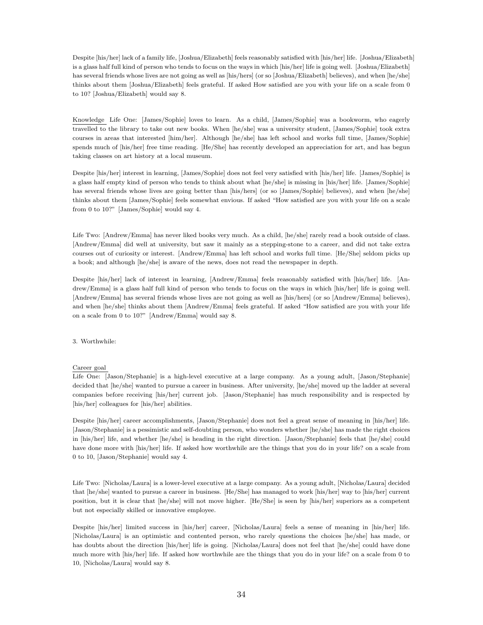Despite [his/her] lack of a family life, [Joshua/Elizabeth] feels reasonably satisfied with [his/her] life. [Joshua/Elizabeth] is a glass half full kind of person who tends to focus on the ways in which [his/her] life is going well. [Joshua/Elizabeth] has several friends whose lives are not going as well as [his/hers] (or so [Joshua/Elizabeth] believes), and when [he/she] thinks about them [Joshua/Elizabeth] feels grateful. If asked How satisfied are you with your life on a scale from 0 to 10? [Joshua/Elizabeth] would say 8.

Knowledge Life One: [James/Sophie] loves to learn. As a child, [James/Sophie] was a bookworm, who eagerly travelled to the library to take out new books. When [he/she] was a university student, [James/Sophie] took extra courses in areas that interested [him/her]. Although [he/she] has left school and works full time, [James/Sophie] spends much of [his/her] free time reading. [He/She] has recently developed an appreciation for art, and has begun taking classes on art history at a local museum.

Despite [his/her] interest in learning, [James/Sophie] does not feel very satisfied with [his/her] life. [James/Sophie] is a glass half empty kind of person who tends to think about what [he/she] is missing in [his/her] life. [James/Sophie] has several friends whose lives are going better than [his/hers] (or so [James/Sophie] believes), and when [he/she] thinks about them [James/Sophie] feels somewhat envious. If asked "How satisfied are you with your life on a scale from 0 to 10?" [James/Sophie] would say 4.

Life Two: [Andrew/Emma] has never liked books very much. As a child, [he/she] rarely read a book outside of class. [Andrew/Emma] did well at university, but saw it mainly as a stepping-stone to a career, and did not take extra courses out of curiosity or interest. [Andrew/Emma] has left school and works full time. [He/She] seldom picks up a book; and although [he/she] is aware of the news, does not read the newspaper in depth.

Despite [his/her] lack of interest in learning, [Andrew/Emma] feels reasonably satisfied with [his/her] life. [Andrew/Emma] is a glass half full kind of person who tends to focus on the ways in which [his/her] life is going well. [Andrew/Emma] has several friends whose lives are not going as well as [his/hers] (or so [Andrew/Emma] believes), and when [he/she] thinks about them [Andrew/Emma] feels grateful. If asked "How satisfied are you with your life on a scale from 0 to 10?" [Andrew/Emma] would say 8.

#### 3. Worthwhile:

#### Career goal

Life One: [Jason/Stephanie] is a high-level executive at a large company. As a young adult, [Jason/Stephanie] decided that [he/she] wanted to pursue a career in business. After university, [he/she] moved up the ladder at several companies before receiving [his/her] current job. [Jason/Stephanie] has much responsibility and is respected by [his/her] colleagues for [his/her] abilities.

Despite [his/her] career accomplishments, [Jason/Stephanie] does not feel a great sense of meaning in [his/her] life. [Jason/Stephanie] is a pessimistic and self-doubting person, who wonders whether [he/she] has made the right choices in [his/her] life, and whether [he/she] is heading in the right direction. [Jason/Stephanie] feels that [he/she] could have done more with [his/her] life. If asked how worthwhile are the things that you do in your life? on a scale from 0 to 10, [Jason/Stephanie] would say 4.

Life Two: [Nicholas/Laura] is a lower-level executive at a large company. As a young adult, [Nicholas/Laura] decided that [he/she] wanted to pursue a career in business. [He/She] has managed to work [his/her] way to [his/her] current position, but it is clear that [he/she] will not move higher. [He/She] is seen by [his/her] superiors as a competent but not especially skilled or innovative employee.

Despite [his/her] limited success in [his/her] career, [Nicholas/Laura] feels a sense of meaning in [his/her] life. [Nicholas/Laura] is an optimistic and contented person, who rarely questions the choices [he/she] has made, or has doubts about the direction [his/her] life is going. [Nicholas/Laura] does not feel that [he/she] could have done much more with [his/her] life. If asked how worthwhile are the things that you do in your life? on a scale from 0 to 10, [Nicholas/Laura] would say 8.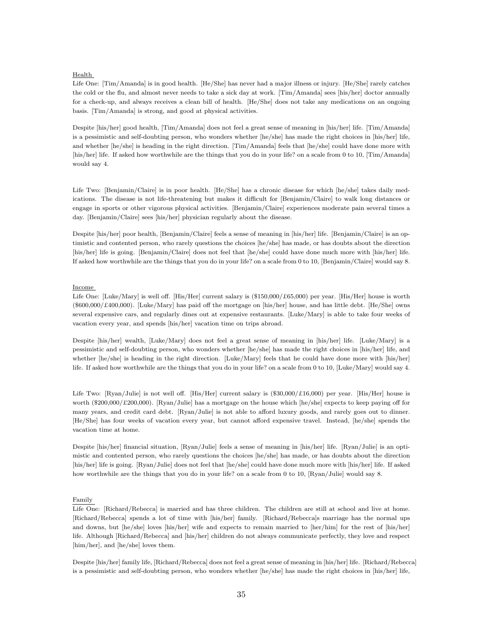#### Health

Life One: [Tim/Amanda] is in good health. [He/She] has never had a major illness or injury. [He/She] rarely catches the cold or the flu, and almost never needs to take a sick day at work. [Tim/Amanda] sees [his/her] doctor annually for a check-up, and always receives a clean bill of health. [He/She] does not take any medications on an ongoing basis. [Tim/Amanda] is strong, and good at physical activities.

Despite [his/her] good health, [Tim/Amanda] does not feel a great sense of meaning in [his/her] life. [Tim/Amanda] is a pessimistic and self-doubting person, who wonders whether [he/she] has made the right choices in [his/her] life, and whether [he/she] is heading in the right direction. [Tim/Amanda] feels that [he/she] could have done more with [his/her] life. If asked how worthwhile are the things that you do in your life? on a scale from 0 to 10, [Tim/Amanda] would say 4.

Life Two: [Benjamin/Claire] is in poor health. [He/She] has a chronic disease for which [he/she] takes daily medications. The disease is not life-threatening but makes it difficult for [Benjamin/Claire] to walk long distances or engage in sports or other vigorous physical activities. [Benjamin/Claire] experiences moderate pain several times a day. [Benjamin/Claire] sees [his/her] physician regularly about the disease.

Despite [his/her] poor health, [Benjamin/Claire] feels a sense of meaning in [his/her] life. [Benjamin/Claire] is an optimistic and contented person, who rarely questions the choices [he/she] has made, or has doubts about the direction [his/her] life is going. [Benjamin/Claire] does not feel that [he/she] could have done much more with [his/her] life. If asked how worthwhile are the things that you do in your life? on a scale from 0 to 10, [Benjamin/Claire] would say 8.

#### Income

Life One: [Luke/Mary] is well off. [His/Her] current salary is (\$150,000/£65,000) per year. [His/Her] house is worth  $(\$600,000/\text{\textsterling}400,000)$ . [Luke/Mary] has paid off the mortgage on [his/her] house, and has little debt. [He/She] owns several expensive cars, and regularly dines out at expensive restaurants. [Luke/Mary] is able to take four weeks of vacation every year, and spends [his/her] vacation time on trips abroad.

Despite [his/her] wealth, [Luke/Mary] does not feel a great sense of meaning in [his/her] life. [Luke/Mary] is a pessimistic and self-doubting person, who wonders whether [he/she] has made the right choices in [his/her] life, and whether [he/she] is heading in the right direction. [Luke/Mary] feels that he could have done more with [his/her] life. If asked how worthwhile are the things that you do in your life? on a scale from 0 to 10, [Luke/Mary] would say 4.

Life Two: [Ryan/Julie] is not well off. [His/Her] current salary is  $(\$30,000/£16,000)$  per year. [His/Her] house is worth (\$200,000/£200,000). [Ryan/Julie] has a mortgage on the house which [he/she] expects to keep paying off for many years, and credit card debt. [Ryan/Julie] is not able to afford luxury goods, and rarely goes out to dinner. [He/She] has four weeks of vacation every year, but cannot afford expensive travel. Instead, [he/she] spends the vacation time at home.

Despite [his/her] financial situation, [Ryan/Julie] feels a sense of meaning in [his/her] life. [Ryan/Julie] is an optimistic and contented person, who rarely questions the choices [he/she] has made, or has doubts about the direction [his/her] life is going. [Ryan/Julie] does not feel that [he/she] could have done much more with [his/her] life. If asked how worthwhile are the things that you do in your life? on a scale from 0 to 10, [Ryan/Julie] would say 8.

#### Family

Life One: [Richard/Rebecca] is married and has three children. The children are still at school and live at home. [Richard/Rebecca] spends a lot of time with [his/her] family. [Richard/Rebecca]s marriage has the normal ups and downs, but [he/she] loves [his/her] wife and expects to remain married to [her/him] for the rest of [his/her] life. Although [Richard/Rebecca] and [his/her] children do not always communicate perfectly, they love and respect [him/her], and [he/she] loves them.

Despite [his/her] family life, [Richard/Rebecca] does not feel a great sense of meaning in [his/her] life. [Richard/Rebecca] is a pessimistic and self-doubting person, who wonders whether [he/she] has made the right choices in [his/her] life,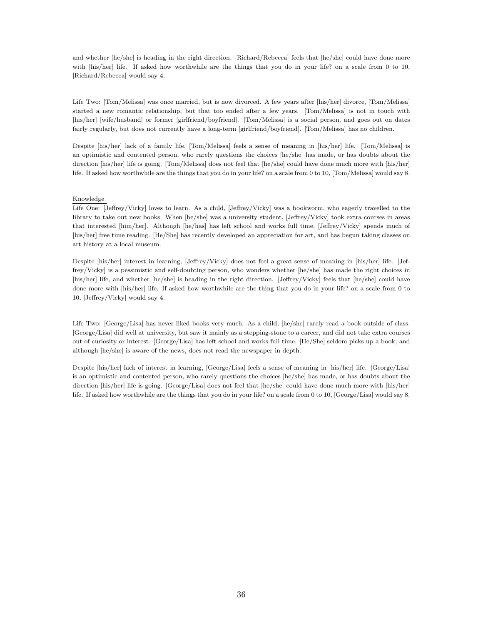and whether [he/she] is heading in the right direction. [Richard/Rebecca] feels that [he/she] could have done more with [his/her] life. If asked how worthwhile are the things that you do in your life? on a scale from 0 to 10, [Richard/Rebecca] would say 4.

Life Two: [Tom/Melissa] was once married, but is now divorced. A few years after [his/her] divorce, [Tom/Melissa] started a new romantic relationship, but that too ended after a few years. [Tom/Melissa] is not in touch with [his/her] [wife/husband] or former [girlfriend/boyfriend]. [Tom/Melissa] is a social person, and goes out on dates fairly regularly, but does not currently have a long-term [girlfriend/boyfriend]. [Tom/Melissa] has no children.

Despite [his/her] lack of a family life, [Tom/Melissa] feels a sense of meaning in [his/her] life. [Tom/Melissa] is an optimistic and contented person, who rarely questions the choices [he/she] has made, or has doubts about the direction [his/her] life is going. [Tom/Melissa] does not feel that [he/she] could have done much more with [his/her] life. If asked how worthwhile are the things that you do in your life? on a scale from 0 to 10, [Tom/Melissa] would say 8.

#### Knowledge

Life One: [Jeffrey/Vicky] loves to learn. As a child, [Jeffrey/Vicky] was a bookworm, who eagerly travelled to the library to take out new books. When [he/she] was a university student, [Jeffrey/Vicky] took extra courses in areas that interested [him/her]. Although [he/has] has left school and works full time, [Jeffrey/Vicky] spends much of [his/her] free time reading. [He/She] has recently developed an appreciation for art, and has begun taking classes on art history at a local museum.

Despite [his/her] interest in learning, [Jeffrey/Vicky] does not feel a great sense of meaning in [his/her] life. [Jeffrey/Vicky] is a pessimistic and self-doubting person, who wonders whether [he/she] has made the right choices in [his/her] life, and whether [he/she] is heading in the right direction. [Jeffrey/Vicky] feels that [he/she] could have done more with [his/her] life. If asked how worthwhile are the thing that you do in your life? on a scale from 0 to 10, [Jeffrey/Vicky] would say 4.

Life Two: [George/Lisa] has never liked books very much. As a child, [he/she] rarely read a book outside of class. [George/Lisa] did well at university, but saw it mainly as a stepping-stone to a career, and did not take extra courses out of curiosity or interest. [George/Lisa] has left school and works full time. [He/She] seldom picks up a book; and although [he/she] is aware of the news, does not read the newspaper in depth.

Despite [his/her] lack of interest in learning, [George/Lisa] feels a sense of meaning in [his/her] life. [George/Lisa] is an optimistic and contented person, who rarely questions the choices [he/she] has made, or has doubts about the direction [his/her] life is going. [George/Lisa] does not feel that [he/she] could have done much more with [his/her] life. If asked how worthwhile are the things that you do in your life? on a scale from 0 to 10, [George/Lisa] would say 8.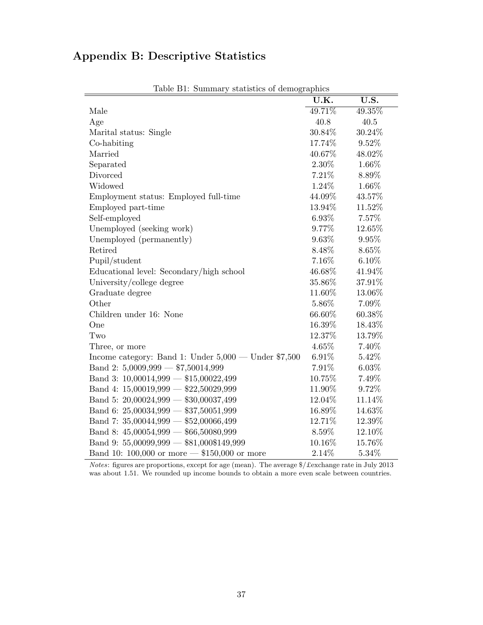| <b>Appendix B: Descriptive Statistics</b> |  |  |
|-------------------------------------------|--|--|
|-------------------------------------------|--|--|

|                                                        | U.K.     | $\overline{\mathbf{U.S.}}$ |
|--------------------------------------------------------|----------|----------------------------|
| Male                                                   | 49.71%   | 49.35%                     |
| Age                                                    | 40.8     | 40.5                       |
| Marital status: Single                                 | 30.84\%  | 30.24%                     |
| Co-habiting                                            | 17.74%   | $9.52\%$                   |
| Married                                                | 40.67%   | 48.02%                     |
| Separated                                              | 2.30\%   | 1.66%                      |
| Divorced                                               | 7.21%    | 8.89%                      |
| Widowed                                                | $1.24\%$ | 1.66%                      |
| Employment status: Employed full-time                  | 44.09%   | 43.57%                     |
| Employed part-time                                     | 13.94%   | 11.52%                     |
| Self-employed                                          | $6.93\%$ | 7.57%                      |
| Unemployed (seeking work)                              | 9.77%    | 12.65%                     |
| Unemployed (permanently)                               | $9.63\%$ | 9.95%                      |
| Retired                                                | 8.48\%   | 8.65%                      |
| Pupil/student                                          | $7.16\%$ | $6.10\%$                   |
| Educational level: Secondary/high school               | 46.68%   | 41.94%                     |
| University/college degree                              | 35.86%   | 37.91%                     |
| Graduate degree                                        | 11.60%   | 13.06%                     |
| Other                                                  | 5.86%    | $7.09\%$                   |
| Children under 16: None                                | 66.60%   | 60.38%                     |
| One                                                    | 16.39%   | 18.43%                     |
| $\operatorname{Two}$                                   | 12.37%   | 13.79%                     |
| Three, or more                                         | $4.65\%$ | 7.40%                      |
| Income category: Band 1: Under $5,000$ — Under \$7,500 | $6.91\%$ | 5.42%                      |
| Band 2: $5,0009,999$ - \$7,50014,999                   | 7.91%    | $6.03\%$                   |
| Band 3: $10,00014,999 - $15,00022,499$                 | 10.75%   | 7.49%                      |
| Band 4: $15,00019,999$ - \$22,50029,999                | 11.90%   | 9.72%                      |
| Band 5: $20,00024,999$ - \$30,00037,499                | 12.04%   | 11.14%                     |
| Band 6: $25,00034,999$ - \$37,50051,999                | 16.89%   | 14.63%                     |
| Band 7: $35,00044,999$ - \$52,00066,499                | 12.71%   | 12.39%                     |
| Band 8: $45,00054,999$ - \$66,50080,999                | 8.59%    | 12.10%                     |
| Band 9: 55,00099,999 - \$81,000\$149,999               | 10.16%   | 15.76%                     |
| Band 10: 100,000 or more $-$ \$150,000 or more         | 2.14%    | 5.34%                      |
|                                                        |          |                            |

Table B1: Summary statistics of demographics

*Notes*: figures are proportions, except for age (mean). The average  $\frac{\sqrt{3}}{2013}$ was about 1.51. We rounded up income bounds to obtain a more even scale between countries.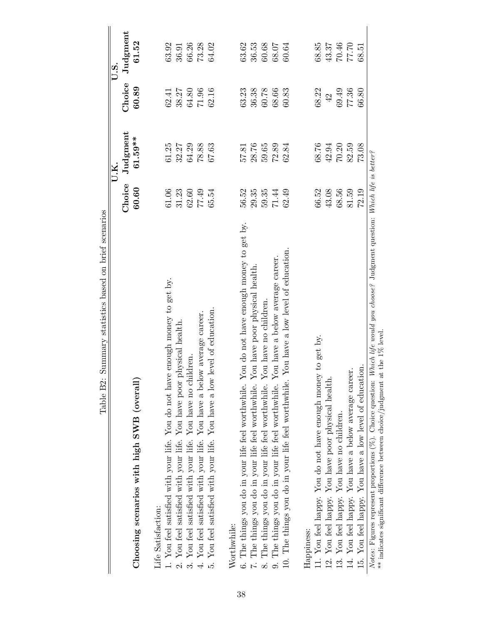| Summary statistics based on brief scenarios<br>Table B2:                                                                                                                |           |                 |           |           |
|-------------------------------------------------------------------------------------------------------------------------------------------------------------------------|-----------|-----------------|-----------|-----------|
|                                                                                                                                                                         |           | U.K.            |           | U.S.      |
|                                                                                                                                                                         | Choice    | $\rm{Judgment}$ | Choice    | Judgment  |
| Choosing scenarios with high SWB (overall)                                                                                                                              | 60.60     | $61.59**$       | 60.89     | 61.52     |
| Life Satisfaction:                                                                                                                                                      |           |                 |           |           |
| 1. You feel satisfied with your life. You do not have enough money to get by.                                                                                           | 61.06     | 61.25           | 62.41     | 63.92     |
| physical health<br>2. You feel satisfied with your life. You have poor                                                                                                  | 31.23     | 32.27           | 38.27     | 36.91     |
| You feel satisfied with your life. You have no children.                                                                                                                | 62.60     | 64.29           | 64.80     | 66.26     |
| You feel satisfied with your life. You have a below average career.                                                                                                     | 77.49     | 78.88           | $71.96\,$ | 73.28     |
| level of education.<br>You feel satisfied with your life. You have a low                                                                                                | 65.54     | 67.63           | 62.16     | 64.02     |
| Worthwhile:                                                                                                                                                             |           |                 |           |           |
| 6. The things you do in your life feel worthwhile. You do not have enough money to get by.                                                                              | 56.52     | 57.81           | 63.23     | 63.62     |
| 7. The things you do in your life feel worthwhile. You have poor physical health.                                                                                       | 29.35     | 28.76           | 36.38     | 36.53     |
| 8. The things you do in your life feel worthwhile. You have no children.                                                                                                | $59.35$   | 59.65           | 60.78     | 60.68     |
| 9. The things you do in your life feel worthwhile. You have a below average career.                                                                                     | $71.44\,$ | 72.89           | 68.66     | 68.07     |
| You have a low level of education<br>10. The things you do in your life feel worthwhile.                                                                                | 62.49     | 62.84           | 60.83     | 60.64     |
| Happiness:                                                                                                                                                              |           |                 |           |           |
| 11. You feel happy. You do not have enough money to get by.                                                                                                             | 66.52     | 68.76           | 68.22     | 68.85     |
| 12. You feel happy. You have poor physical health.                                                                                                                      | 43.08     | 42.94           | 42        | 43.37     |
| 13. You feel happy. You have no children.                                                                                                                               | 68.56     | 70.20           | 69.49     | $70.46\,$ |
| 14. You feel happy. You have a below average career.                                                                                                                    | 81.59     | 82.59           | 77.36     | $77.70\,$ |
| 15. You feel happy. You have a low level of education.                                                                                                                  | 72.19     | 73.08           | 66.80     | 68.51     |
| Which life usuald you choose $\ell$ Indoment cunotion: Which life is better?<br>$M_{\alpha\beta\alpha}$ . Figures represent proportions $(S_{\alpha})$ Choice question. |           |                 |           |           |

Judgment question: Which life is better? Notes: Figures represent proportions (%). Choice question: Which life would you choose? Judgment question: Which life is better? Notes: Figures represent proportions  $(\%)$ . Choice question: Which life would you choose?<br>\*\* indicates significant difference between choice/judgment at the 1% level. \*\* indicates significant difference between choice/judgment at the 1% level.

38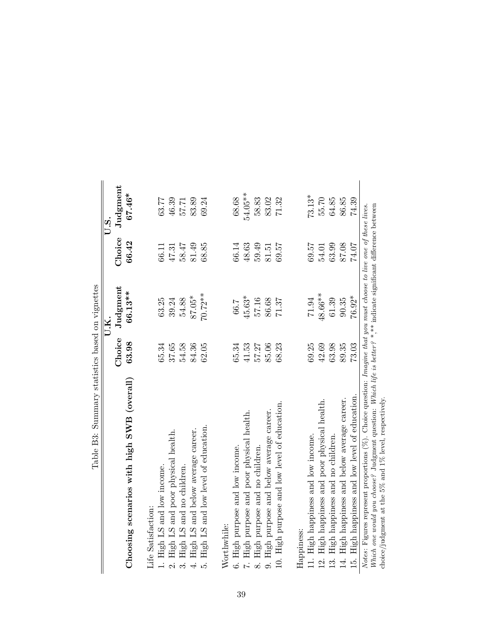| Table B3: Summary statistics based on vignettes                                                                                                                                                                                          |        |           |        |                 |
|------------------------------------------------------------------------------------------------------------------------------------------------------------------------------------------------------------------------------------------|--------|-----------|--------|-----------------|
|                                                                                                                                                                                                                                          |        |           |        | .<br>D.<br>S.   |
|                                                                                                                                                                                                                                          | Choice | Judgment  | Choice | $\rm{Judgment}$ |
| Choosing scenarios with high SWB (overall)                                                                                                                                                                                               | 63.98  | 66.13**   | 66.42  | $67.46*$        |
| Life Satisfaction:                                                                                                                                                                                                                       |        |           |        |                 |
| 1. High LS and low income.                                                                                                                                                                                                               | 65.34  | 63.25     | 66.11  | 63.77           |
| High LS and poor physical health.<br>$\overline{\mathcal{N}}$                                                                                                                                                                            | 37.65  | 39.24     | 47.31  | 46.39           |
| LS and no children.<br>High<br>$\dot{\Omega}$                                                                                                                                                                                            | 54.58  | 54.88     | 58.47  | 57.71           |
| LS and below average career.<br>High                                                                                                                                                                                                     | 84.36  | 87.05*    | 81.49  | 83.89           |
| High LS and low level of education.<br>ີ້.<br>ເວ                                                                                                                                                                                         | 62.05  | $70.72**$ | 68.85  | 69.24           |
| Worthwhile:                                                                                                                                                                                                                              |        |           |        |                 |
| High purpose and low income.<br>Ġ                                                                                                                                                                                                        | 65.34  | 66.7      | 66.14  | 68.68           |
| High purpose and poor physical health.                                                                                                                                                                                                   | 41.53  | $45.63*$  | 48.63  | 54.05**         |
| High purpose and no children.<br>$\infty$                                                                                                                                                                                                | 57.27  | 57.16     | 59.49  | 58.83           |
| 9. High purpose and below average career.                                                                                                                                                                                                | 85.06  | 86.68     | 81.51  | 83.02           |
| 10. High purpose and low level of education.                                                                                                                                                                                             | 68.23  | 71.37     | 69.57  | 71.32           |
| Happiness:                                                                                                                                                                                                                               |        |           |        |                 |
| 11. High happiness and low income.                                                                                                                                                                                                       | 69.25  | 71.94     | 69.57  | $73.13*$        |
| High happiness and poor physical health.<br>$\frac{12}{12}$                                                                                                                                                                              | 42.69  | 48.66**   | 54.01  | 55.70           |
| High happiness and no children.<br>$\frac{3}{2}$                                                                                                                                                                                         | 63.98  | 61.39     | 63.99  | 64.85           |
| High happiness and below average career.<br>$\vec{A}$                                                                                                                                                                                    | 89.35  | 90.35     | 87.08  | 86.85           |
| High happiness and low level of education.<br>15.                                                                                                                                                                                        | 73.03  | 76.92*    | 74.07  | 74.39           |
| Which one would you choose? Judgment question: Which life is better? *,** indicate significant difference between<br>Notes: Figures represent proportions (%). Choice question: Imagine that you must choose to live one of these lives. |        |           |        |                 |
| choice/judgment at the 5% and 1% level, respectively.                                                                                                                                                                                    |        |           |        |                 |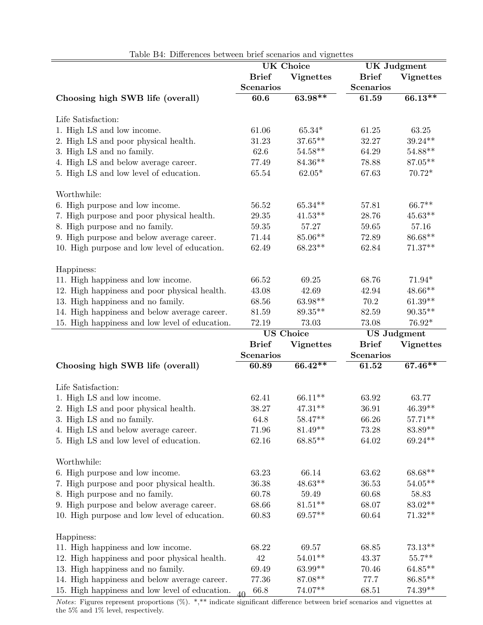| rable D4. Differences between brief securities and vigheties |                  | UK Choice        | <b>UK Judgment</b> |                  |
|--------------------------------------------------------------|------------------|------------------|--------------------|------------------|
|                                                              | <b>Brief</b>     | <b>Vignettes</b> | <b>Brief</b>       | <b>Vignettes</b> |
|                                                              | <b>Scenarios</b> |                  | <b>Scenarios</b>   |                  |
| Choosing high SWB life (overall)                             | 60.6             | $63.98**$        | 61.59              | 66.13**          |
|                                                              |                  |                  |                    |                  |
| Life Satisfaction:                                           |                  |                  |                    |                  |
| 1. High LS and low income.                                   | 61.06            | $65.34*$         | 61.25              | 63.25            |
| 2. High LS and poor physical health.                         | 31.23            | $37.65**$        | 32.27              | $39.24**$        |
| 3. High LS and no family.                                    | 62.6             | $54.58**$        | 64.29              | $54.88**$        |
| 4. High LS and below average career.                         | 77.49            | $84.36**$        | 78.88              | $87.05**$        |
| 5. High LS and low level of education.                       | 65.54            | $62.05*$         | 67.63              | $70.72*$         |
| Worthwhile:                                                  |                  |                  |                    |                  |
| 6. High purpose and low income.                              | 56.52            | $65.34**$        | 57.81              | 66.7**           |
| 7. High purpose and poor physical health.                    | 29.35            | $41.53**$        | $28.76\,$          | $45.63**$        |
| 8. High purpose and no family.                               | $59.35\,$        | 57.27            | 59.65              | 57.16            |
| 9. High purpose and below average career.                    | 71.44            | $85.06**$        | 72.89              | $86.68**$        |
| 10. High purpose and low level of education.                 | 62.49            | $68.23**$        | 62.84              | $71.37**$        |
|                                                              |                  |                  |                    |                  |
| Happiness:                                                   |                  |                  |                    |                  |
| 11. High happiness and low income.                           | 66.52            | 69.25            | 68.76              | $71.94*$         |
| 12. High happiness and poor physical health.                 | 43.08            | 42.69            | 42.94              | 48.66**          |
| 13. High happiness and no family.                            | 68.56            | $63.98**$        | 70.2               | $61.39**$        |
| 14. High happiness and below average career.                 | 81.59            | $89.35**$        | 82.59              | $90.35**$        |
| 15. High happiness and low level of education.               | 72.19            | 73.03            | 73.08              | $76.92*$         |
|                                                              |                  | <b>US</b> Choice | <b>US Judgment</b> |                  |
|                                                              | <b>Brief</b>     | <b>Vignettes</b> | <b>Brief</b>       | <b>Vignettes</b> |
|                                                              | <b>Scenarios</b> |                  | <b>Scenarios</b>   |                  |
| Choosing high SWB life (overall)                             | 60.89            | 66.42**          | 61.52              | $67.46**$        |
| Life Satisfaction:                                           |                  |                  |                    |                  |
| 1. High LS and low income.                                   | 62.41            | $66.11**$        | 63.92              | 63.77            |
| 2. High LS and poor physical health.                         | 38.27            | $47.31**$        | 36.91              | $46.39**$        |
| 3. High LS and no family.                                    | 64.8             | $58.47**$        | 66.26              | $57.71**$        |
| 4. High LS and below average career.                         | 71.96            | $81.49**$        | 73.28              | $83.89**$        |
| 5. High LS and low level of education.                       | 62.16            | $68.85**$        | 64.02              | $69.24**$        |
|                                                              |                  |                  |                    |                  |
| Worthwhile:                                                  |                  |                  |                    |                  |
| 6. High purpose and low income.                              | 63.23            | 66.14            | 63.62              | 68.68**          |
| 7. High purpose and poor physical health.                    | 36.38            | $48.63**$        | 36.53              | $54.05**$        |
| 8. High purpose and no family.                               | 60.78            | 59.49            | 60.68              | 58.83            |
| 9. High purpose and below average career.                    | 68.66            | $81.51**$        | 68.07              | $83.02**$        |
| 10. High purpose and low level of education.                 | 60.83            | $69.57**$        | 60.64              | $71.32**$        |
| Happiness:                                                   |                  |                  |                    |                  |
| 11. High happiness and low income.                           | 68.22            | 69.57            | 68.85              | $73.13**$        |
| 12. High happiness and poor physical health.                 | 42               | $54.01**$        | 43.37              | $55.7**$         |
| 13. High happiness and no family.                            | 69.49            | 63.99**          | 70.46              | $64.85**$        |
| 14. High happiness and below average career.                 | 77.36            | 87.08**          | 77.7               | $86.85**$        |
| 15. High happiness and low level of education.               | 66.8             | 74.07**          | 68.51              | $74.39**$        |

Table B4: Differences between brief scenarios and vignettes

*Notes*: Figures represent proportions (%). \*,\*\* indicate significant difference between brief scenarios and vignettes at the 5% and 1% level, respectively.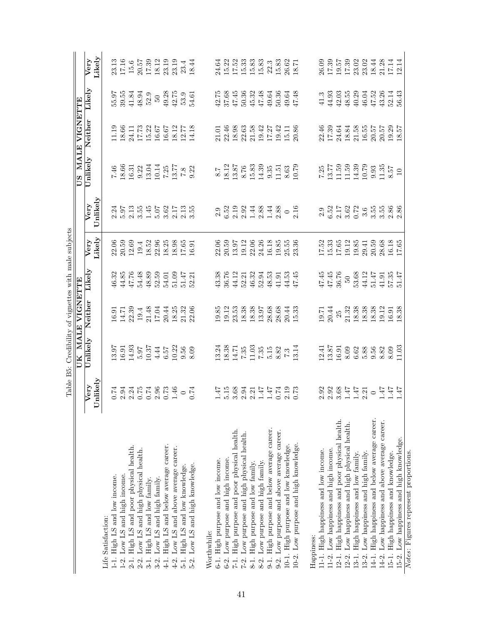|                                                        |                                                                                                                                                                                                                                                                                                               | Table B5: Credibility of vignettes with male subjects                   |                                                                          |                                  |                                                                     |                                                                                                                                                                                                                                                                                             |                                                                        |                                                                                                                                                                                                                                                                                                     |                                                                          |                                                                |
|--------------------------------------------------------|---------------------------------------------------------------------------------------------------------------------------------------------------------------------------------------------------------------------------------------------------------------------------------------------------------------|-------------------------------------------------------------------------|--------------------------------------------------------------------------|----------------------------------|---------------------------------------------------------------------|---------------------------------------------------------------------------------------------------------------------------------------------------------------------------------------------------------------------------------------------------------------------------------------------|------------------------------------------------------------------------|-----------------------------------------------------------------------------------------------------------------------------------------------------------------------------------------------------------------------------------------------------------------------------------------------------|--------------------------------------------------------------------------|----------------------------------------------------------------|
|                                                        |                                                                                                                                                                                                                                                                                                               |                                                                         | UK MALE VIGNETTE                                                         |                                  |                                                                     |                                                                                                                                                                                                                                                                                             | 18 <sub>U</sub>                                                        | MALE VIGNETTE                                                                                                                                                                                                                                                                                       |                                                                          |                                                                |
|                                                        | Unlikely<br>Very                                                                                                                                                                                                                                                                                              | Unlikely                                                                | Neither                                                                  | Likely                           | Likely<br>Very                                                      | Unlikely<br>$\overline{\mathrm{V}}$ ery                                                                                                                                                                                                                                                     | <b>Unlikely</b>                                                        | Neither                                                                                                                                                                                                                                                                                             | Likely                                                                   | Likely<br>Very                                                 |
| Satisfaction:<br>Life i                                |                                                                                                                                                                                                                                                                                                               |                                                                         |                                                                          |                                  |                                                                     |                                                                                                                                                                                                                                                                                             |                                                                        |                                                                                                                                                                                                                                                                                                     |                                                                          |                                                                |
| High LS and low income.<br>$\frac{1}{2}$               | 0.74                                                                                                                                                                                                                                                                                                          |                                                                         |                                                                          |                                  |                                                                     | 2.24                                                                                                                                                                                                                                                                                        |                                                                        |                                                                                                                                                                                                                                                                                                     |                                                                          |                                                                |
| Low LS and high income.<br>$1 - 2$                     |                                                                                                                                                                                                                                                                                                               | $\begin{array}{c} 13.97 \\ 16.91 \\ 14.93 \end{array}$                  | 16.91<br>14.73<br>22.39<br>20.48<br>20.44                                | 46.32<br>44.35<br>47.76<br>54.48 | $\begin{array}{c} 22.06 \\ 20.59 \\ 12.69 \\ 19.4 \end{array}$      |                                                                                                                                                                                                                                                                                             | $7.46$<br>18.66<br>18.72<br>9.22<br>9.14<br>7.25<br>7.8<br>7.8<br>9.22 | $\begin{array}{l} 11.19 \\ 18.66 \\ 24.11 \\ 17.73 \\ 15.22 \\ 16.67 \end{array}$                                                                                                                                                                                                                   | 55.53<br>59.534<br>48.94                                                 | 23.13<br>17.16                                                 |
| High LS and poor physical health.<br>$2-1$ .           |                                                                                                                                                                                                                                                                                                               |                                                                         |                                                                          |                                  |                                                                     |                                                                                                                                                                                                                                                                                             |                                                                        |                                                                                                                                                                                                                                                                                                     |                                                                          |                                                                |
| Low LS and high physical health.<br>$2-2$ .            |                                                                                                                                                                                                                                                                                                               | $5.97$                                                                  |                                                                          |                                  |                                                                     |                                                                                                                                                                                                                                                                                             |                                                                        |                                                                                                                                                                                                                                                                                                     |                                                                          |                                                                |
| High LS and low family.<br>$3-1$ .                     |                                                                                                                                                                                                                                                                                                               | 10.37                                                                   |                                                                          |                                  | 18.52                                                               |                                                                                                                                                                                                                                                                                             |                                                                        |                                                                                                                                                                                                                                                                                                     | 52.9                                                                     |                                                                |
| Low LS and high family.<br>$3-2$                       | $\begin{array}{c} 3.31 \\ 2.31 \\ 3.41 \\ 4.51 \\ 5.71 \\ 6.51 \\ 7.52 \\ 7.53 \\ 8.63 \\ 7.44 \\ 8.63 \\ 9.64 \\ 1.54 \\ 1.54 \\ 1.54 \\ 1.54 \\ 1.54 \\ 1.54 \\ 1.54 \\ 1.54 \\ 1.54 \\ 1.54 \\ 1.54 \\ 1.54 \\ 1.54 \\ 1.54 \\ 1.54 \\ 1.54 \\ 1.54 \\ 1.54 \\ 1.54 \\ 1.54 \\ 1.54 \\ 1.54 \\ 1.54 \\ 1.$ | 4.44                                                                    |                                                                          | $48.89$<br>$52.59$               |                                                                     | $5.37$<br>$2.35$<br>$4.5$<br>$5.62$<br>$5.35$<br>$5.62$                                                                                                                                                                                                                                     |                                                                        |                                                                                                                                                                                                                                                                                                     | $50\,$                                                                   | $\begin{array}{c} 15.6 \\ 20.57 \\ 17.39 \\ 18.12 \end{array}$ |
| High LS and below average career.<br>$\overline{+1}$ . |                                                                                                                                                                                                                                                                                                               | $6.57\,$                                                                |                                                                          | 54.01                            |                                                                     |                                                                                                                                                                                                                                                                                             |                                                                        | $16.67\,$                                                                                                                                                                                                                                                                                           |                                                                          | 23.19                                                          |
| Low LS and above average career.<br>$\frac{2}{4}$      |                                                                                                                                                                                                                                                                                                               | 10.22                                                                   |                                                                          | 51.09                            |                                                                     |                                                                                                                                                                                                                                                                                             |                                                                        |                                                                                                                                                                                                                                                                                                     |                                                                          |                                                                |
| High LS and low knowledge.<br>$\frac{5}{1}$ .          | $\circ$                                                                                                                                                                                                                                                                                                       | $9.56$<br>$8.09$                                                        | 18.25<br>21.32<br>22.06                                                  | 51.47                            | $\begin{array}{c} 22.96 \\ 18.25 \\ 17.65 \\ 16.91 \end{array}$     | $\frac{2}{3}$ .<br>$\frac{17}{3}$ .<br>$\frac{3}{5}$ .<br>$\frac{5}{5}$                                                                                                                                                                                                                     |                                                                        | $\frac{18.12}{12.77}$                                                                                                                                                                                                                                                                               | $49.28$<br>$42.75$<br>$53.9$                                             | $\frac{23.19}{23.4}$<br>18.44                                  |
| Low LS and high knowledge.<br>$5-2.$                   | 0.74                                                                                                                                                                                                                                                                                                          |                                                                         |                                                                          | 52.21                            |                                                                     |                                                                                                                                                                                                                                                                                             |                                                                        |                                                                                                                                                                                                                                                                                                     | 54.61                                                                    |                                                                |
| Worthwhile:                                            |                                                                                                                                                                                                                                                                                                               |                                                                         |                                                                          |                                  |                                                                     |                                                                                                                                                                                                                                                                                             |                                                                        |                                                                                                                                                                                                                                                                                                     |                                                                          |                                                                |
| 6-1. High purpose and low income.                      | 1.47                                                                                                                                                                                                                                                                                                          |                                                                         |                                                                          | 43.38                            |                                                                     |                                                                                                                                                                                                                                                                                             |                                                                        | 21.01                                                                                                                                                                                                                                                                                               |                                                                          | 24.64                                                          |
| 6-2. Low purpose and high income.                      | $5.15$                                                                                                                                                                                                                                                                                                        | $\begin{array}{c} 13.24 \\ 18.38 \\ 14.71 \\ 7.35 \\ 11.03 \end{array}$ | $\frac{19.85}{19.12}$                                                    | 36.76                            | $22.06$<br>$20.59$<br>$13.97$<br>$19.12$<br>$19.12$                 | $\begin{array}{c} 2.9 \\ 2.52 \\ 6.51 \\ 2.32 \\ 1.48 \\ 2.88 \end{array}$                                                                                                                                                                                                                  | $\begin{array}{c} 8.7 \\ 18.12 \\ 13.87 \\ 8.76 \end{array}$           |                                                                                                                                                                                                                                                                                                     | 42.75<br>37.68<br>47.45<br>45.32<br>47.48                                |                                                                |
| 7-1. High purpose and poor physical health.            | 3.68                                                                                                                                                                                                                                                                                                          |                                                                         |                                                                          | 44.12                            |                                                                     |                                                                                                                                                                                                                                                                                             |                                                                        |                                                                                                                                                                                                                                                                                                     |                                                                          |                                                                |
| Low purpose and high physical health.<br>$7-2.$        |                                                                                                                                                                                                                                                                                                               |                                                                         |                                                                          | $52.21$<br>46.32                 |                                                                     |                                                                                                                                                                                                                                                                                             |                                                                        |                                                                                                                                                                                                                                                                                                     |                                                                          |                                                                |
| High purpose and low family.<br>$\overline{8}$ -1.     |                                                                                                                                                                                                                                                                                                               |                                                                         |                                                                          |                                  |                                                                     |                                                                                                                                                                                                                                                                                             |                                                                        |                                                                                                                                                                                                                                                                                                     |                                                                          |                                                                |
| Low purpose and high family.<br>$\frac{8}{2}$ .        |                                                                                                                                                                                                                                                                                                               |                                                                         | $\begin{array}{c} 33880 \\ 23880 \\ 1890 \\ 1990 \\ 11 \end{array}$      | $52.94$<br>48.53                 | 24.26                                                               |                                                                                                                                                                                                                                                                                             | $15.83$<br>$14.39$                                                     |                                                                                                                                                                                                                                                                                                     |                                                                          |                                                                |
| 9-1. High purpose and below average career.            | $\begin{array}{c} 3.31 \\ 2.31 \\ 3.47 \\ 4.74 \\ 5.73 \\ 6.74 \\ 7.79 \\ 8.73 \\ 9.73 \\ 9.73 \\ 9.73 \\ 9.73 \\ 9.73 \\ 9.73 \\ 9.73 \\ 9.73 \\ 9.73 \\ 9.73 \\ 9.73 \\ 9.73 \\ 9.73 \\ 9.73 \\ 9.73 \\ 9.73 \\ 9.73 \\ 9.73 \\ 9.73 \\ 9.73 \\ 9.73 \\ 9.73 \\ 9.73 \\ 9.73 \\ 9.73 \\ 9.73 \\ 9.73 \\ 9.$ | $7.35\phantom{1}5.15$                                                   | 28.68<br>28.64<br>15.33<br>15.33                                         |                                  | $16.18\,$                                                           | $\begin{array}{c} 1.44 \\ 2.88 \end{array}$                                                                                                                                                                                                                                                 | 9.35                                                                   | $\begin{array}{l} 22.46 \\ 23.38 \\ 18.32 \\ 21.58 \\ 21.54 \\ 22.57 \\ 23.59 \\ 24.27 \\ 25.42 \\ 26.42 \\ 27.54 \\ 28.54 \\ 29.42 \\ 20.54 \\ 21.55 \\ 22.55 \\ 23.54 \\ 24.55 \\ 25.55 \\ 26.55 \\ 27.54 \\ 28.55 \\ 29.54 \\ 20.55 \\ 21.55 \\ 22.55 \\ 23.55 \\ 24.55 \\ 25.55 \\ 26.55 \\ 27$ | 49.64                                                                    | $15.22$<br>$17.53$<br>$15.33$<br>$15.83$<br>$15.83$<br>$15.3$  |
| 9-2. Low purpose and above average career.             |                                                                                                                                                                                                                                                                                                               | 8.82                                                                    |                                                                          | 41.91                            |                                                                     |                                                                                                                                                                                                                                                                                             | 11.51                                                                  |                                                                                                                                                                                                                                                                                                     | 50.36                                                                    | 15.83                                                          |
| 10-1. High purpose and low knowledge.                  |                                                                                                                                                                                                                                                                                                               | $7.3\,$                                                                 |                                                                          | 44.53                            | $\frac{19.85}{23.36}$                                               | $\frac{0}{2.16}$                                                                                                                                                                                                                                                                            | $\phantom{0}8.63$                                                      | 15.11                                                                                                                                                                                                                                                                                               | 49.64                                                                    | 26.62<br>18.71                                                 |
| 10-2. Low purpose and high knowledge.                  |                                                                                                                                                                                                                                                                                                               | 13.14                                                                   |                                                                          | 47.45                            |                                                                     |                                                                                                                                                                                                                                                                                             | 10.79                                                                  | 20.86                                                                                                                                                                                                                                                                                               | 47.48                                                                    |                                                                |
| Happiness:                                             |                                                                                                                                                                                                                                                                                                               |                                                                         |                                                                          |                                  |                                                                     |                                                                                                                                                                                                                                                                                             |                                                                        |                                                                                                                                                                                                                                                                                                     |                                                                          |                                                                |
| 11-1. High happiness and low income.                   | 2.92                                                                                                                                                                                                                                                                                                          |                                                                         | $19.71$<br>$20.44$                                                       |                                  |                                                                     | $2.9\,$                                                                                                                                                                                                                                                                                     |                                                                        |                                                                                                                                                                                                                                                                                                     | 41.3                                                                     |                                                                |
| 11-2. Low happiness and high income.                   | $2.92$<br>$3.68$<br>$1.47$                                                                                                                                                                                                                                                                                    | $\frac{12.41}{13.87}$                                                   |                                                                          | $47.45$<br>$47.45$               | $17.53$<br>$15.35$<br>$15.45$<br>$15.59$<br>$28.59$<br>$28.8$<br>28 |                                                                                                                                                                                                                                                                                             | $7.25$<br>13.77<br>11.59<br>11.39<br>10.79<br>10.79                    | 22.46<br>17.39<br>24.64                                                                                                                                                                                                                                                                             | 44.93                                                                    | 26.09<br>17.39<br>19.57<br>19.02<br>18.41<br>18.13             |
| 12-1. High happiness and poor physical health.         |                                                                                                                                                                                                                                                                                                               | 16.91                                                                   | $25\,$                                                                   | 36.76                            |                                                                     |                                                                                                                                                                                                                                                                                             |                                                                        |                                                                                                                                                                                                                                                                                                     | $42.03$<br>$48.55$<br>$40.29$                                            |                                                                |
| 12-2. Low happiness and high physical health.          |                                                                                                                                                                                                                                                                                                               | $\phantom{0}8.09$                                                       |                                                                          | $50\,$                           |                                                                     |                                                                                                                                                                                                                                                                                             |                                                                        |                                                                                                                                                                                                                                                                                                     |                                                                          |                                                                |
| 13-1. High happiness and low family.                   |                                                                                                                                                                                                                                                                                                               | $6.62\phantom{}5.88$                                                    | $\begin{array}{c} 21.32 \\ 18.38 \\ 18.33 \\ 18.33 \\ 19.12 \end{array}$ | 53.68                            |                                                                     |                                                                                                                                                                                                                                                                                             |                                                                        | $\begin{array}{c} 18.84 \\ 21.58 \\ 16.55 \\ 20.57 \end{array}$                                                                                                                                                                                                                                     |                                                                          |                                                                |
| Low happiness and high family.<br>$13-2.$              |                                                                                                                                                                                                                                                                                                               |                                                                         |                                                                          | $44.12$<br>51.47                 |                                                                     |                                                                                                                                                                                                                                                                                             |                                                                        |                                                                                                                                                                                                                                                                                                     |                                                                          |                                                                |
| 14-1. High happiness and below average career.         |                                                                                                                                                                                                                                                                                                               | 9.56                                                                    |                                                                          |                                  |                                                                     |                                                                                                                                                                                                                                                                                             |                                                                        |                                                                                                                                                                                                                                                                                                     |                                                                          |                                                                |
| 14-2. Low happiness and above average career.          |                                                                                                                                                                                                                                                                                                               | 8.82                                                                    |                                                                          |                                  |                                                                     |                                                                                                                                                                                                                                                                                             | 11.35                                                                  | 20.57                                                                                                                                                                                                                                                                                               |                                                                          |                                                                |
| 15-1. High happiness and knowledge.                    | $1.47$<br>$2.30$<br>$1.47$<br>$1.47$<br>$1.47$                                                                                                                                                                                                                                                                | 8.09                                                                    | $16.91$<br>$18.38$                                                       | $41.91$<br>$57.35$<br>$51.47$    | 16.18<br>17.65                                                      | $\begin{array}{l} 52500 \\ 154000 \\ 254000 \\ 354000 \\ 254000 \\ 254000 \\ 254000 \\ 254000 \\ 254000 \\ 254000 \\ 254000 \\ 254000 \\ 254000 \\ 254000 \\ 254000 \\ 254000 \\ 254000 \\ 254000 \\ 254000 \\ 254000 \\ 254000 \\ 254000 \\ 254000 \\ 254000 \\ 254000 \\ 254000 \\ 25400$ | $^{10}_{15}$ $\,$                                                      | $\frac{19.29}{18.57}$                                                                                                                                                                                                                                                                               | $\begin{array}{l} 46.04 \\ 47.52 \\ 43.26 \\ 52.14 \\ 56.43 \end{array}$ | 21.28<br>17.14<br>12.14                                        |
| 15-2. Low happiness and high knowledge.                |                                                                                                                                                                                                                                                                                                               | 11.03                                                                   |                                                                          |                                  |                                                                     |                                                                                                                                                                                                                                                                                             |                                                                        |                                                                                                                                                                                                                                                                                                     |                                                                          |                                                                |
| Notes: Figures represent proportions.                  |                                                                                                                                                                                                                                                                                                               |                                                                         |                                                                          |                                  |                                                                     |                                                                                                                                                                                                                                                                                             |                                                                        |                                                                                                                                                                                                                                                                                                     |                                                                          |                                                                |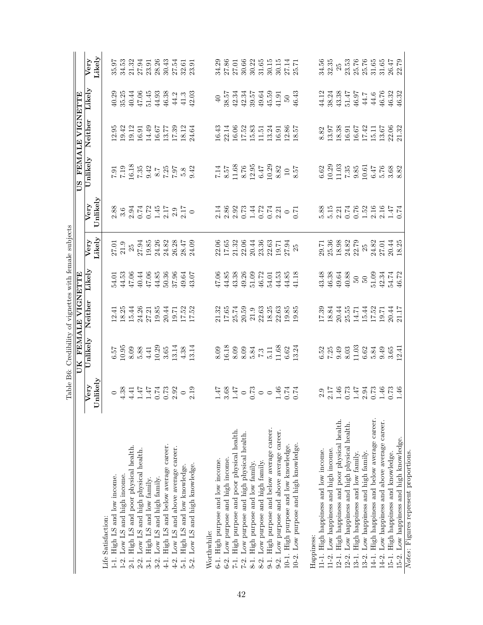|                                                        |                                                                                                                                                                                                                                                                                                       | Table B6: Credibility of vignettes with female subjects                       |                                                                                        |                                                                 |                                                                                  |                                        |                                                                                                                                                                                                                                                                                                               |                                                                                                                         |                                                                                                |                                                                                                                                                                                                                                                                                                     |
|--------------------------------------------------------|-------------------------------------------------------------------------------------------------------------------------------------------------------------------------------------------------------------------------------------------------------------------------------------------------------|-------------------------------------------------------------------------------|----------------------------------------------------------------------------------------|-----------------------------------------------------------------|----------------------------------------------------------------------------------|----------------------------------------|---------------------------------------------------------------------------------------------------------------------------------------------------------------------------------------------------------------------------------------------------------------------------------------------------------------|-------------------------------------------------------------------------------------------------------------------------|------------------------------------------------------------------------------------------------|-----------------------------------------------------------------------------------------------------------------------------------------------------------------------------------------------------------------------------------------------------------------------------------------------------|
|                                                        |                                                                                                                                                                                                                                                                                                       | UK FEMALE VIGNETTE                                                            |                                                                                        |                                                                 |                                                                                  |                                        | <b>S</b> Q                                                                                                                                                                                                                                                                                                    | FEMALE VIGNETTE                                                                                                         |                                                                                                |                                                                                                                                                                                                                                                                                                     |
|                                                        | Very                                                                                                                                                                                                                                                                                                  | Unlikely                                                                      | Neither                                                                                | Likely                                                          | Very                                                                             | $\overline{\mathbf{V}}$ ery            | Unlikely                                                                                                                                                                                                                                                                                                      | Neither                                                                                                                 | Likely                                                                                         | Very                                                                                                                                                                                                                                                                                                |
| Satisfaction:<br>Life i                                | Unlikely                                                                                                                                                                                                                                                                                              |                                                                               |                                                                                        |                                                                 | Likely                                                                           | Unlikely                               |                                                                                                                                                                                                                                                                                                               |                                                                                                                         |                                                                                                | Likely                                                                                                                                                                                                                                                                                              |
| High LS and low income.<br>$\frac{1}{2}$               |                                                                                                                                                                                                                                                                                                       |                                                                               |                                                                                        |                                                                 |                                                                                  |                                        |                                                                                                                                                                                                                                                                                                               |                                                                                                                         |                                                                                                |                                                                                                                                                                                                                                                                                                     |
| Low LS and high income.<br>$\frac{1}{2}$               | $\frac{0}{4.38}$                                                                                                                                                                                                                                                                                      | $\begin{array}{c} 6.57 \\ 10.95 \\ 8.09 \\ 5.41 \\ 4.41 \\ 10.29 \end{array}$ |                                                                                        | 54.53<br>44.53<br>45.44<br>40.44                                | $\begin{array}{c} 27.01 \\ 21.9 \end{array}$                                     |                                        | $\begin{array}{c} 7.91 \\ 7.19 \\ 16.18 \\ 6.38 \\ 7.39 \\ 8.42 \\ 7.59 \\ 7.59 \\ 7.91 \\ 7.92 \\ 8.34 \\ 9.42 \\ 9.42 \\ 9.42 \\ 9.43 \\ 9.42 \\ 9.43 \\ 9.44 \\ 9.45 \\ 9.42 \\ 9.43 \\ 9.44 \\ 9.45 \\ 9.45 \\ 9.46 \\ 9.47 \\ 9.48 \\ 9.49 \\ 9.42 \\ 9.43 \\ 9.44 \\ 9.45 \\ 9.45 \\ 9.46 \\ 9.47 \\ 9$ | 12.93<br>12.93.94.95.07<br>12.94.95.07.97.94<br>12.94.95.07.94.94                                                       | 40.23<br>40.44.06<br>40.44.33<br>40.33<br>40.33<br>40.33<br>40.34                              | 35.97<br>34.53                                                                                                                                                                                                                                                                                      |
| High LS and poor physical health.<br>$2-1$ .           |                                                                                                                                                                                                                                                                                                       |                                                                               |                                                                                        |                                                                 |                                                                                  |                                        |                                                                                                                                                                                                                                                                                                               |                                                                                                                         |                                                                                                |                                                                                                                                                                                                                                                                                                     |
| Low LS and high physical health.<br>$2-2$ .            | $4.47$<br>$1.47$<br>$1.47$<br>$0.73$<br>$0.3$<br>$0.3$                                                                                                                                                                                                                                                |                                                                               |                                                                                        |                                                                 | $\frac{25}{27.94}$                                                               |                                        |                                                                                                                                                                                                                                                                                                               |                                                                                                                         |                                                                                                | $\begin{array}{l} 21.32 \\ 21.94 \\ 27.91 \\ 28.26 \\ 29.44 \\ 20.43 \\ 21.54 \\ 22.51 \\ 23.31 \\ 24.52 \\ 25.51 \\ 26.52 \\ 27.54 \\ 28.53 \\ 29.54 \\ 20.51 \\ 21.54 \\ 22.53 \\ 23.54 \\ 24.54 \\ 25.54 \\ 26.55 \\ 27.54 \\ 28.55 \\ 29.54 \\ 20.55 \\ 21.55 \\ 22.55 \\ 23.55 \\ 24.55 \\ 25$ |
| High LS and low family.<br>$3-1$ .                     |                                                                                                                                                                                                                                                                                                       |                                                                               |                                                                                        |                                                                 |                                                                                  |                                        |                                                                                                                                                                                                                                                                                                               |                                                                                                                         |                                                                                                |                                                                                                                                                                                                                                                                                                     |
| Low LS and high family.<br>$3-2$                       |                                                                                                                                                                                                                                                                                                       |                                                                               |                                                                                        | $47.06$<br>$44.85$<br>$50.36$<br>$37.96$<br>$49.64$             |                                                                                  |                                        |                                                                                                                                                                                                                                                                                                               |                                                                                                                         |                                                                                                |                                                                                                                                                                                                                                                                                                     |
| High LS and below average career.<br>$\overline{+1}$ . |                                                                                                                                                                                                                                                                                                       | $3.65\,$                                                                      |                                                                                        |                                                                 |                                                                                  |                                        |                                                                                                                                                                                                                                                                                                               |                                                                                                                         |                                                                                                |                                                                                                                                                                                                                                                                                                     |
| Low LS and above average career.<br>$\frac{2}{4}$      |                                                                                                                                                                                                                                                                                                       |                                                                               |                                                                                        |                                                                 | 24.26<br>24.82<br>26.28<br>28.47<br>24.09                                        |                                        |                                                                                                                                                                                                                                                                                                               |                                                                                                                         |                                                                                                |                                                                                                                                                                                                                                                                                                     |
| High LS and low knowledge.<br>$\frac{5}{1}$ .          |                                                                                                                                                                                                                                                                                                       | $13.14$<br>$4.38$<br>$13.14$                                                  |                                                                                        |                                                                 |                                                                                  |                                        |                                                                                                                                                                                                                                                                                                               |                                                                                                                         |                                                                                                |                                                                                                                                                                                                                                                                                                     |
| Low LS and high knowledge.<br>$5-2.$                   | 2.19                                                                                                                                                                                                                                                                                                  |                                                                               |                                                                                        | 43.07                                                           |                                                                                  |                                        |                                                                                                                                                                                                                                                                                                               |                                                                                                                         |                                                                                                |                                                                                                                                                                                                                                                                                                     |
| Worthwhile:                                            |                                                                                                                                                                                                                                                                                                       |                                                                               |                                                                                        |                                                                 |                                                                                  |                                        |                                                                                                                                                                                                                                                                                                               |                                                                                                                         |                                                                                                |                                                                                                                                                                                                                                                                                                     |
| 6-1. High purpose and low income.                      |                                                                                                                                                                                                                                                                                                       |                                                                               |                                                                                        |                                                                 |                                                                                  |                                        |                                                                                                                                                                                                                                                                                                               |                                                                                                                         | $\overline{40}$                                                                                |                                                                                                                                                                                                                                                                                                     |
| 6-2. Low purpose and high income.                      | $\begin{array}{l} 1.47 \\ 1.68 \\ 0.73 \\ 0.73 \\ 0.14 \\ 0.73 \\ 0.14 \\ 0.04 \\ \end{array}$                                                                                                                                                                                                        | $\frac{8.09}{16.18}$                                                          |                                                                                        | 47.06<br>44.33<br>49.26<br>46.72<br>46.72                       | 22.06<br>25.32.06 43.66<br>25.32.26.32.27.34<br>25.27.28.28.27.27                | 1882742710<br>1882742710<br>1883742710 | $\begin{array}{l} 7.14 \\ 8.57 \\ 8.76 \\ 8.76 \\ 8.76 \\ 12.95 \\ 12.99 \\ 10.29 \\ 10.32 \\ 10.8 \\ 10 \\ 8.57 \\ \end{array}$                                                                                                                                                                              | $\begin{array}{c} 16.43 \\ 22.14 \\ 16.52 \\ 17.53 \\ 11.53 \\ 13.24 \end{array}$                                       | $\begin{array}{l} 38.57 \\ 42.34 \\ 42.34 \\ 39.57 \\ 49.64 \end{array}$                       | $\begin{array}{l} 34.29 \\ 27.86 \\ 27.01 \\ 20.63 \\ 30.22 \\ 31.65 \\ 32.15 \\ 33.15 \\ 34.14 \\ 35.71 \\ 25.71 \\ 26.71 \\ 28.71 \\ 29.73 \\ 20.73 \\ 21.71 \\ 22.71 \\ 23.73 \\ 24.73 \\ 25.74 \\ 26.75 \\ 27.75 \\ 28.77 \\ 29.75 \\ 20.75 \\ 21.75 \\ 22.75 \\ 23.75 \\ 24.75 \\ 25.77 \\ 26$ |
| 7-1. High purpose and poor physical health.            |                                                                                                                                                                                                                                                                                                       |                                                                               |                                                                                        |                                                                 |                                                                                  |                                        |                                                                                                                                                                                                                                                                                                               |                                                                                                                         |                                                                                                |                                                                                                                                                                                                                                                                                                     |
| Low purpose and high physical health.<br>$7-2.$        |                                                                                                                                                                                                                                                                                                       |                                                                               |                                                                                        |                                                                 |                                                                                  |                                        |                                                                                                                                                                                                                                                                                                               |                                                                                                                         |                                                                                                |                                                                                                                                                                                                                                                                                                     |
| High purpose and low family.<br>$\overline{8}$ -1.     |                                                                                                                                                                                                                                                                                                       |                                                                               |                                                                                        |                                                                 |                                                                                  |                                        |                                                                                                                                                                                                                                                                                                               |                                                                                                                         |                                                                                                |                                                                                                                                                                                                                                                                                                     |
| Low purpose and high family.<br>$\frac{8}{2}$ .        |                                                                                                                                                                                                                                                                                                       |                                                                               |                                                                                        |                                                                 |                                                                                  |                                        |                                                                                                                                                                                                                                                                                                               |                                                                                                                         |                                                                                                |                                                                                                                                                                                                                                                                                                     |
| 9-1. High purpose and below average career.            |                                                                                                                                                                                                                                                                                                       | $\begin{array}{c} 8.09 \\ 8.03 \\ 5.34 \\ 7.3 \\ \hline \end{array}$          |                                                                                        | $\begin{array}{c} 54.01 \\ 44.85 \\ 44.85 \\ 41.18 \end{array}$ |                                                                                  |                                        |                                                                                                                                                                                                                                                                                                               |                                                                                                                         | $45.59$<br>$41.91$                                                                             |                                                                                                                                                                                                                                                                                                     |
| 9-2. Low purpose and above average career.             |                                                                                                                                                                                                                                                                                                       | 11.68                                                                         |                                                                                        |                                                                 |                                                                                  |                                        |                                                                                                                                                                                                                                                                                                               |                                                                                                                         |                                                                                                |                                                                                                                                                                                                                                                                                                     |
| 10-1. High purpose and low knowledge.                  |                                                                                                                                                                                                                                                                                                       | $6.62$<br>13.24                                                               |                                                                                        |                                                                 |                                                                                  |                                        |                                                                                                                                                                                                                                                                                                               | $\frac{16.91}{12.86}$                                                                                                   | $50\,$                                                                                         |                                                                                                                                                                                                                                                                                                     |
| 10-2. Low purpose and high knowledge.                  |                                                                                                                                                                                                                                                                                                       |                                                                               |                                                                                        |                                                                 |                                                                                  |                                        |                                                                                                                                                                                                                                                                                                               |                                                                                                                         | 46.43                                                                                          |                                                                                                                                                                                                                                                                                                     |
| Happiness:                                             |                                                                                                                                                                                                                                                                                                       |                                                                               |                                                                                        |                                                                 |                                                                                  |                                        |                                                                                                                                                                                                                                                                                                               |                                                                                                                         |                                                                                                |                                                                                                                                                                                                                                                                                                     |
| 11-1. High happiness and low income.                   |                                                                                                                                                                                                                                                                                                       |                                                                               |                                                                                        |                                                                 |                                                                                  |                                        |                                                                                                                                                                                                                                                                                                               |                                                                                                                         |                                                                                                |                                                                                                                                                                                                                                                                                                     |
| 11-2. Low happiness and high income.                   | $\begin{array}{c} 0.9 \\ 2.17 \\ 2.146 \\ 3.146 \\ 1.45 \\ 2.74 \\ 3.146 \\ 4.147 \\ 2.148 \\ 2.148 \\ 2.149 \\ 2.149 \\ 2.149 \\ 2.149 \\ 2.149 \\ 2.149 \\ 2.149 \\ 2.149 \\ 2.149 \\ 2.149 \\ 2.149 \\ 2.149 \\ 2.149 \\ 2.149 \\ 2.149 \\ 2.149 \\ 2.149 \\ 2.149 \\ 2.149 \\ 2.149 \\ 2.149 \\ $ | $0.52$<br>$7.25$<br>$0.49$<br>$8.03$                                          | $17.39$<br>$15.344$<br>$15.544$<br>$15.51$<br>$15.71$<br>$15.71$<br>$15.71$<br>$15.71$ | $43.38$<br>$46.38$<br>$49.63$<br>$49.88$                        | 29.71<br>28.38.82<br>28.38.21<br>28.32.22.23<br>28.32.24<br>28.32.24<br>28.32.25 |                                        | 6.62<br>0.23<br>0.33<br>5.35<br>0.5<br>0.47<br>6.62<br>6.82<br>0.33<br>0.47<br>0.47<br>0.47                                                                                                                                                                                                                   | $\begin{array}{l} 8.82 \\ 13.97 \\ 13.83 \\ 16.51 \\ 16.67 \\ 17.41 \\ 15.17 \\ 13.67 \\ 21.32 \\ 21.32 \\ \end{array}$ | $44.12$<br>$38.24$<br>$38.33$<br>$45.57$<br>$44.6$<br>$44.76$<br>$44.76$<br>$46.32$<br>$46.32$ | 34.56<br>32.35                                                                                                                                                                                                                                                                                      |
| 12-1. High happiness and poor physical health.         |                                                                                                                                                                                                                                                                                                       |                                                                               |                                                                                        |                                                                 |                                                                                  |                                        |                                                                                                                                                                                                                                                                                                               |                                                                                                                         |                                                                                                | $\begin{array}{c} 25 \\ 23.53 \\ 25.76 \\ 25.76 \\ 31.65 \end{array}$                                                                                                                                                                                                                               |
| 12-2. Low happiness and high physical health.          |                                                                                                                                                                                                                                                                                                       |                                                                               |                                                                                        |                                                                 |                                                                                  |                                        |                                                                                                                                                                                                                                                                                                               |                                                                                                                         |                                                                                                |                                                                                                                                                                                                                                                                                                     |
| 13-1. High happiness and low family.                   |                                                                                                                                                                                                                                                                                                       | 11.03                                                                         |                                                                                        | $\frac{5}{6}$ 0                                                 |                                                                                  |                                        |                                                                                                                                                                                                                                                                                                               |                                                                                                                         |                                                                                                |                                                                                                                                                                                                                                                                                                     |
| Low happiness and high family.<br>$13-2.$              |                                                                                                                                                                                                                                                                                                       | $6.62$ $5.84$                                                                 |                                                                                        |                                                                 |                                                                                  |                                        |                                                                                                                                                                                                                                                                                                               |                                                                                                                         |                                                                                                |                                                                                                                                                                                                                                                                                                     |
| 14-1. High happiness and below average career.         |                                                                                                                                                                                                                                                                                                       |                                                                               |                                                                                        | 51.34<br>42.34<br>46.72                                         |                                                                                  |                                        |                                                                                                                                                                                                                                                                                                               |                                                                                                                         |                                                                                                |                                                                                                                                                                                                                                                                                                     |
| 14-2. Low happiness and above average career.          |                                                                                                                                                                                                                                                                                                       | 9.49                                                                          |                                                                                        |                                                                 |                                                                                  |                                        |                                                                                                                                                                                                                                                                                                               |                                                                                                                         |                                                                                                | 31.65                                                                                                                                                                                                                                                                                               |
| 15-1. High happiness and knowledge.                    |                                                                                                                                                                                                                                                                                                       | 3.65                                                                          |                                                                                        |                                                                 |                                                                                  |                                        |                                                                                                                                                                                                                                                                                                               |                                                                                                                         |                                                                                                | 26.47<br>22.79                                                                                                                                                                                                                                                                                      |
| 15-2. Low happiness and high knowledge.                |                                                                                                                                                                                                                                                                                                       | 12.41                                                                         |                                                                                        |                                                                 |                                                                                  |                                        |                                                                                                                                                                                                                                                                                                               |                                                                                                                         |                                                                                                |                                                                                                                                                                                                                                                                                                     |
| Notes: Figures represent proportions.                  |                                                                                                                                                                                                                                                                                                       |                                                                               |                                                                                        |                                                                 |                                                                                  |                                        |                                                                                                                                                                                                                                                                                                               |                                                                                                                         |                                                                                                |                                                                                                                                                                                                                                                                                                     |

 $\frac{1}{2}$  $\epsilon$  $\ddot{x}$  $\frac{1}{4}$ .  $\epsilon$  $\ddot{a}$  $\vec{\zeta}$ D<sub>c</sub>.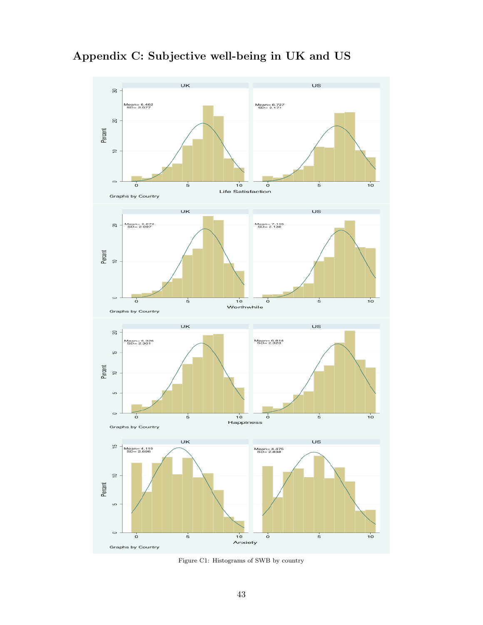

# **Appendix C: Subjective well-being in UK and US**

Figure C1: Histograms of SWB by country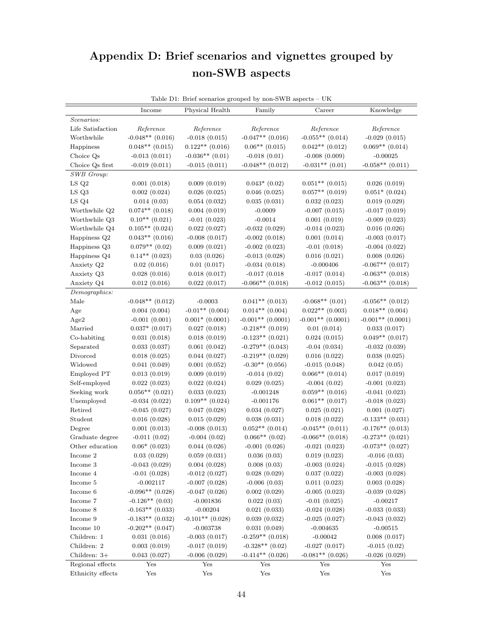# **Appendix D: Brief scenarios and vignettes grouped by non-SWB aspects**

|                                  | Income             | Physical Health    | Family              | Career              | Knowledge           |
|----------------------------------|--------------------|--------------------|---------------------|---------------------|---------------------|
| Scenarios:                       |                    |                    |                     |                     |                     |
| Life Satisfaction                | Reference          | Reference          | Reference           | Reference           | Reference           |
| Worthwhile                       | $-0.048**$ (0.016) | $-0.018(0.015)$    | $-0.047**$ (0.016)  | $-0.055**$ (0.014)  | $-0.029(0.015)$     |
| Happiness                        | $0.048**$ (0.015)  | $0.122**$ (0.016)  | $0.06**$ (0.015)    | $0.042**$ (0.012)   | $0.069**$ (0.014)   |
| Choice Qs                        | $-0.013(0.011)$    | $-0.036**$ (0.01)  | $-0.018(0.01)$      | $-0.008(0.009)$     | $-0.00025$          |
| Choice $\operatorname{Qs}$ first | $-0.019(0.011)$    | $-0.015(0.011)$    | $-0.048**$ (0.012)  | $-0.031**$ (0.01)   | $-0.058**$ (0.011)  |
| SWB Group:                       |                    |                    |                     |                     |                     |
| LS Q2                            | 0.001(0.018)       | 0.009(0.019)       | $0.043*$ $(0.02)$   | $0.051**$ (0.015)   | 0.026(0.019)        |
| LS Q3                            | 0.002(0.024)       | 0.026(0.025)       | 0.046(0.025)        | $0.057**$ (0.019)   | $0.051*$ $(0.024)$  |
| LS Q4                            | 0.014(0.03)        | 0.054(0.032)       | 0.035(0.031)        | 0.032(0.023)        | 0.019(0.029)        |
| Worthwhile Q2                    | $0.074**$ (0.018)  | 0.004(0.019)       | $-0.0009$           | $-0.007(0.015)$     | $-0.017(0.019)$     |
| Worthwhile Q3                    | $0.10**$ (0.021)   | $-0.01(0.023)$     | $-0.0014$           | 0.001(0.019)        | $-0.009(0.023)$     |
| Worthwhile Q4                    | $0.105**$ (0.024)  | 0.022(0.027)       | $-0.032(0.029)$     | $-0.014(0.023)$     | 0.016(0.026)        |
| Happiness Q2                     | $0.043**$ (0.016)  | $-0.008(0.017)$    | $-0.002(0.018)$     | 0.001(0.014)        | $-0.003(0.017)$     |
| Happiness Q3                     | $0.079**$ (0.02)   | 0.009(0.021)       | $-0.002(0.023)$     | $-0.01(0.018)$      | $-0.004(0.022)$     |
| Happiness Q4                     | $0.14**$ (0.023)   | 0.03(0.026)        | $-0.013(0.028)$     | 0.016(0.021)        | 0.008(0.026)        |
| Anxiety Q2                       | 0.02(0.016)        | 0.01(0.017)        | $-0.034(0.018)$     | $-0.000406$         | $-0.067**$ (0.017)  |
| Anxiety Q3                       | 0.028(0.016)       | 0.018(0.017)       | $-0.017$ $(0.018)$  | $-0.017(0.014)$     | $-0.063**$ (0.018)  |
| Anxiety Q4                       | 0.012(0.016)       | 0.022(0.017)       | $-0.066**$ (0.018)  | $-0.012(0.015)$     | $-0.063**$ (0.018)  |
| Demographics:                    |                    |                    |                     |                     |                     |
| Male                             | $-0.048**$ (0.012) | $-0.0003$          | $0.041**$ (0.013)   | $-0.068**$ (0.01)   | $-0.056**$ (0.012)  |
| Age                              | 0.004(0.004)       | $-0.01**$ (0.004)  | $0.014**$ (0.004)   | $0.022**$ (0.003)   | $0.018**$ (0.004)   |
| Age2                             | $-0.001(0.001)$    | $0.001*$ (0.0001)  | $-0.001**$ (0.0001) | $-0.001**$ (0.0001) | $-0.001**$ (0.0001) |
| Married                          | $0.037*$ $(0.017)$ | 0.027(0.018)       | $-0.218**$ (0.019)  | 0.01(0.014)         | 0.033(0.017)        |
| Co-habiting                      | 0.031(0.018)       | 0.018(0.019)       | $-0.123**$ (0.021)  | 0.024(0.015)        | $0.049**$ (0.017)   |
| Separated                        | 0.033(0.037)       | 0.061(0.042)       | $-0.279**$ (0.043)  | $-0.04(0.034)$      | $-0.032(0.039)$     |
| Divorced                         | 0.018(0.025)       | 0.044(0.027)       | $-0.219**$ (0.029)  | 0.016(0.022)        | 0.038(0.025)        |
| Widowed                          | 0.041(0.049)       | 0.001(0.052)       | $-0.30**$ (0.056)   | $-0.015(0.048)$     | 0.042(0.05)         |
| Employed PT                      | 0.013(0.019)       | 0.009(0.019)       | $-0.014(0.02)$      | $0.066**$ (0.014)   | 0.017(0.019)        |
| Self-employed                    | 0.022(0.023)       | 0.022(0.024)       | 0.029(0.025)        | $-0.004(0.02)$      | $-0.001(0.023)$     |
| Seeking work                     | $0.056**$ (0.021)  | 0.033(0.023)       | $-0.001248$         | $0.059**$ (0.016)   | $-0.041(0.023)$     |
| Unemployed                       | $-0.034(0.022)$    | $0.109**$ (0.024)  | $-0.001176$         | $0.061**$ (0.017)   | $-0.018(0.023)$     |
| Retired                          | $-0.045(0.027)$    | 0.047(0.028)       | 0.034(0.027)        | 0.025(0.021)        | 0.001(0.027)        |
| Student                          | 0.016(0.028)       | 0.015(0.029)       | 0.038(0.031)        | 0.018(0.022)        | $-0.133**$ (0.031)  |
| Degree                           | 0.001(0.013)       | $-0.008(0.013)$    | $0.052**$ (0.014)   | $-0.045**$ (0.011)  | $-0.176**$ (0.013)  |
| Graduate degree                  | $-0.011(0.02)$     | $-0.004(0.02)$     | $0.066**$ (0.02)    | $-0.066**$ (0.018)  | $-0.273**$ (0.021)  |
| Other education                  | $0.06*$ (0.023)    | 0.044(0.026)       | $-0.001(0.026)$     | $-0.021(0.023)$     | $-0.073**$ (0.027)  |
| Income $2\,$                     | 0.03(0.029)        | 0.059(0.031)       | 0.036(0.03)         | 0.019(0.023)        | $-0.016(0.03)$      |
| Income 3                         | $-0.043(0.029)$    | 0.004(0.028)       | 0.008(0.03)         | $-0.003(0.024)$     | $-0.015(0.028)$     |
| Income $4\,$                     | $-0.01$ $(0.028)$  | $-0.012(0.027)$    | 0.028(0.029)        | 0.037(0.022)        | $-0.003(0.028)$     |
| Income $5\,$                     | $-0.002117$        | $-0.007(0.028)$    | $-0.006(0.03)$      | 0.011(0.023)        | 0.003(0.028)        |
| Income 6                         | $-0.096**$ (0.028) | $-0.047(0.026)$    | 0.002(0.029)        | $-0.005(0.023)$     | $-0.039(0.028)$     |
| Income 7                         | $-0.126**$ (0.03)  | $-0.001836$        | 0.022(0.03)         | $-0.01(0.025)$      | $-0.00217$          |
| Income 8                         | $-0.163**$ (0.033) | $-0.00204$         | 0.021(0.033)        | $-0.024(0.028)$     | $-0.033(0.033)$     |
| Income 9                         | $-0.183**$ (0.032) | $-0.101**$ (0.028) | 0.039(0.032)        | $-0.025(0.027)$     | $-0.043(0.032)$     |
| Income $10\,$                    | $-0.202**$ (0.047) | $-0.003738$        | 0.031(0.049)        | $-0.004635$         | $-0.00515$          |
| Children: 1                      | 0.031(0.016)       | $-0.003(0.017)$    | $-0.259**$ (0.018)  | $-0.00042$          | 0.008(0.017)        |
| Children: 2                      | 0.003(0.019)       | $-0.017(0.019)$    | $-0.328**$ (0.02)   | $-0.027(0.017)$     | $-0.015(0.02)$      |
| Children: $3+$                   | 0.043(0.027)       | $-0.006(0.029)$    | $-0.414**$ (0.026)  | $-0.081**$ (0.026)  | $-0.026(0.029)$     |
| Regional effects                 | Yes                | Yes                | Yes                 | Yes                 | Yes                 |
| Ethnicity effects                | Yes                | Yes                | Yes                 | Yes                 | Yes                 |

Table D1: Brief scenarios grouped by non-SWB aspects  $-$  UK  $\,$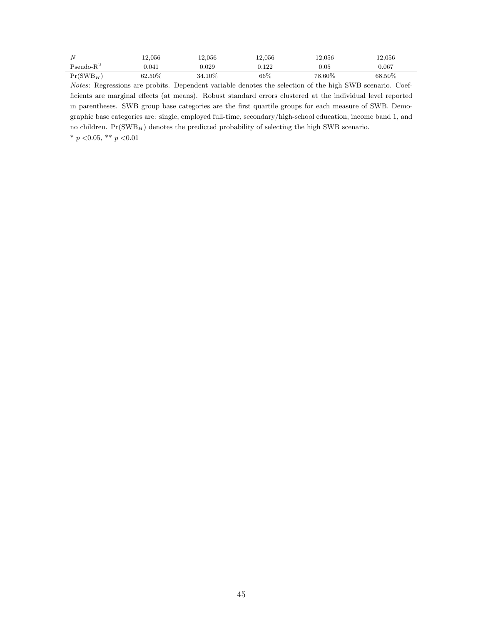| N             | 12,056      | 12,056      | $12{,}056$ | 12,056     | 12,056    |
|---------------|-------------|-------------|------------|------------|-----------|
| $Pseudo-R2$   | $\;\:0.041$ | $\,0.029\,$ | 0.122      | $\rm 0.05$ | 0.067     |
| $Pr(SWB_{H})$ | 62.50%      | 34.10\%     | $66\%$     | 78.60%     | $68.50\%$ |

*Notes*: Regressions are probits. Dependent variable denotes the selection of the high SWB scenario. Coefficients are marginal effects (at means). Robust standard errors clustered at the individual level reported in parentheses. SWB group base categories are the first quartile groups for each measure of SWB. Demographic base categories are: single, employed full-time, secondary/high-school education, income band 1, and no children. Pr(SWB*H*) denotes the predicted probability of selecting the high SWB scenario. \* *p <*0.05, \*\* *p <*0.01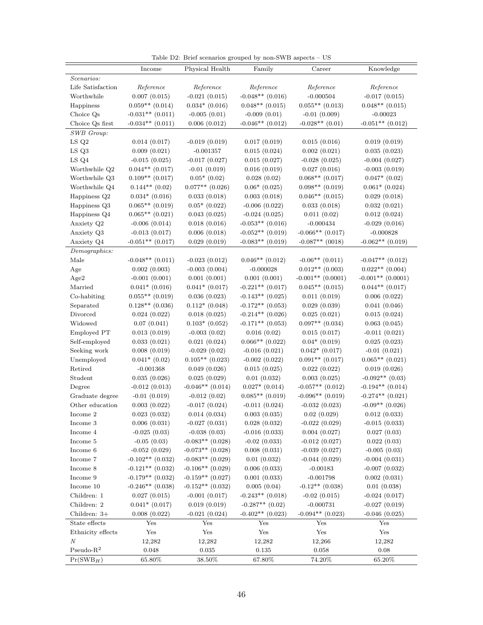| Scenarios:<br>Life Satisfaction<br>$Reference \\$<br>Reference<br>Reference<br>Reference<br>Reference<br>$-0.021(0.015)$<br>$-0.048**$ (0.016)<br>0.007(0.015)<br>$-0.000504$<br>$-0.017(0.015)$<br>Worthwhile<br>$0.034*(0.016)$<br>$0.059**$ (0.014)<br>$0.048**$ (0.015)<br>$0.055**$ (0.013)<br>$0.048**$ (0.015)<br>Happiness<br>$-0.031**$ (0.011)<br>$-0.005(0.01)$<br>Choice Qs<br>$-0.009(0.01)$<br>$-0.01(0.009)$<br>$-0.00023$<br>$-0.034**$ (0.011)<br>$-0.046**$ (0.012)<br>$-0.028**$ (0.01)<br>$-0.051**$ (0.012)<br>Choice Qs first<br>0.006(0.012)<br>SWB Group:<br>LS Q2<br>0.014(0.017)<br>$-0.019(0.019)$<br>0.017(0.019)<br>0.015(0.016)<br>0.019(0.019)<br>0.009(0.021)<br>0.015(0.024)<br>0.002(0.021)<br>0.035(0.023)<br>LS Q3<br>$-0.001357$<br>LS Q4<br>$-0.015(0.025)$<br>$-0.017(0.027)$<br>0.015(0.027)<br>$-0.028(0.025)$<br>$-0.004(0.027)$<br>$-0.01(0.019)$<br>Worthwhile Q2<br>$0.044**$ (0.017)<br>0.016(0.019)<br>0.027(0.016)<br>$-0.003(0.019)$ |
|---------------------------------------------------------------------------------------------------------------------------------------------------------------------------------------------------------------------------------------------------------------------------------------------------------------------------------------------------------------------------------------------------------------------------------------------------------------------------------------------------------------------------------------------------------------------------------------------------------------------------------------------------------------------------------------------------------------------------------------------------------------------------------------------------------------------------------------------------------------------------------------------------------------------------------------------------------------------------------------|
|                                                                                                                                                                                                                                                                                                                                                                                                                                                                                                                                                                                                                                                                                                                                                                                                                                                                                                                                                                                       |
|                                                                                                                                                                                                                                                                                                                                                                                                                                                                                                                                                                                                                                                                                                                                                                                                                                                                                                                                                                                       |
|                                                                                                                                                                                                                                                                                                                                                                                                                                                                                                                                                                                                                                                                                                                                                                                                                                                                                                                                                                                       |
|                                                                                                                                                                                                                                                                                                                                                                                                                                                                                                                                                                                                                                                                                                                                                                                                                                                                                                                                                                                       |
|                                                                                                                                                                                                                                                                                                                                                                                                                                                                                                                                                                                                                                                                                                                                                                                                                                                                                                                                                                                       |
|                                                                                                                                                                                                                                                                                                                                                                                                                                                                                                                                                                                                                                                                                                                                                                                                                                                                                                                                                                                       |
|                                                                                                                                                                                                                                                                                                                                                                                                                                                                                                                                                                                                                                                                                                                                                                                                                                                                                                                                                                                       |
|                                                                                                                                                                                                                                                                                                                                                                                                                                                                                                                                                                                                                                                                                                                                                                                                                                                                                                                                                                                       |
|                                                                                                                                                                                                                                                                                                                                                                                                                                                                                                                                                                                                                                                                                                                                                                                                                                                                                                                                                                                       |
|                                                                                                                                                                                                                                                                                                                                                                                                                                                                                                                                                                                                                                                                                                                                                                                                                                                                                                                                                                                       |
|                                                                                                                                                                                                                                                                                                                                                                                                                                                                                                                                                                                                                                                                                                                                                                                                                                                                                                                                                                                       |
| $0.109**$ (0.017)<br>$0.05*$ (0.02)<br>0.028(0.02)<br>$0.068**$ (0.017)<br>Worthwhile Q3<br>$0.047*$ (0.02)                                                                                                                                                                                                                                                                                                                                                                                                                                                                                                                                                                                                                                                                                                                                                                                                                                                                           |
| $0.077**$ (0.026)<br>$0.06*$ $(0.025)$<br>$0.061*$ $(0.024)$<br>Worthwhile Q4<br>$0.144**$ (0.02)<br>$0.098**$ (0.019)                                                                                                                                                                                                                                                                                                                                                                                                                                                                                                                                                                                                                                                                                                                                                                                                                                                                |
| $0.046**$ (0.015)<br>$0.034*(0.016)$<br>0.033(0.018)<br>0.003(0.018)<br>0.029(0.018)<br>Happiness Q2                                                                                                                                                                                                                                                                                                                                                                                                                                                                                                                                                                                                                                                                                                                                                                                                                                                                                  |
| $0.065**$ (0.019)<br>$0.05*$ $(0.022)$<br>$-0.006(0.022)$<br>0.033(0.018)<br>Happiness Q3<br>0.032(0.021)                                                                                                                                                                                                                                                                                                                                                                                                                                                                                                                                                                                                                                                                                                                                                                                                                                                                             |
| $0.065**$ (0.021)<br>0.043(0.025)<br>$-0.024(0.025)$<br>0.011(0.02)<br>0.012(0.024)<br>Happiness Q4                                                                                                                                                                                                                                                                                                                                                                                                                                                                                                                                                                                                                                                                                                                                                                                                                                                                                   |
| $-0.053**$ (0.016)<br>$-0.006(0.014)$<br>0.018(0.016)<br>$-0.000434$<br>$-0.029(0.016)$<br>Anxiety Q2                                                                                                                                                                                                                                                                                                                                                                                                                                                                                                                                                                                                                                                                                                                                                                                                                                                                                 |
| $-0.052**$ (0.019)<br>$-0.066**$ (0.017)<br>$-0.013(0.017)$<br>0.006(0.018)<br>$-0.000828$<br>Anxiety Q3                                                                                                                                                                                                                                                                                                                                                                                                                                                                                                                                                                                                                                                                                                                                                                                                                                                                              |
| $-0.051**$ (0.017)<br>$-0.083**$ (0.019)<br>$-0.087**$ (0018)<br>$-0.062**$ (0.019)<br>0.029(0.019)<br>Anxiety Q4                                                                                                                                                                                                                                                                                                                                                                                                                                                                                                                                                                                                                                                                                                                                                                                                                                                                     |
| Demographics:                                                                                                                                                                                                                                                                                                                                                                                                                                                                                                                                                                                                                                                                                                                                                                                                                                                                                                                                                                         |
| $-0.048**$ (0.011)<br>$-0.023(0.012)$<br>$0.046**$ (0.012)<br>$-0.06**$ (0.011)<br>$-0.047**$ (0.012)<br>Male                                                                                                                                                                                                                                                                                                                                                                                                                                                                                                                                                                                                                                                                                                                                                                                                                                                                         |
| $0.012**$ (0.003)<br>$0.022**$ (0.004)<br>0.002(0.003)<br>$-0.003(0.004)$<br>$-0.000028$<br>Age                                                                                                                                                                                                                                                                                                                                                                                                                                                                                                                                                                                                                                                                                                                                                                                                                                                                                       |
| $-0.001**$ (0.0001)<br>$-0.001**$ (0.0001)<br>$-0.001(0.001)$<br>0.001(0.001)<br>0.001(0.001)<br>Age2                                                                                                                                                                                                                                                                                                                                                                                                                                                                                                                                                                                                                                                                                                                                                                                                                                                                                 |
| $0.041*$ $(0.017)$<br>$-0.221**$ (0.017)<br>$0.045**$ (0.015)<br>$0.044**$ (0.017)<br>$0.041*$ (0.016)<br>Married                                                                                                                                                                                                                                                                                                                                                                                                                                                                                                                                                                                                                                                                                                                                                                                                                                                                     |
| $0.055**$ (0.019)<br>0.036(0.023)<br>$-0.143**$ (0.025)<br>0.011(0.019)<br>Co-habiting<br>0.006(0.022)                                                                                                                                                                                                                                                                                                                                                                                                                                                                                                                                                                                                                                                                                                                                                                                                                                                                                |
| $0.112*(0.048)$<br>Separated<br>$0.128**$ (0.036)<br>$-0.172**$ (0.053)<br>0.029(0.039)<br>0.041(0.046)                                                                                                                                                                                                                                                                                                                                                                                                                                                                                                                                                                                                                                                                                                                                                                                                                                                                               |
| 0.018(0.025)<br>Divorced<br>0.024(0.022)<br>$-0.214**$ (0.026)<br>0.025(0.021)<br>0.015(0.024)                                                                                                                                                                                                                                                                                                                                                                                                                                                                                                                                                                                                                                                                                                                                                                                                                                                                                        |
| $-0.171**$ (0.053)<br>$0.097**$ (0.034)<br>Widowed<br>0.07(0.041)<br>$0.103*$ $(0.052)$<br>0.063(0.045)                                                                                                                                                                                                                                                                                                                                                                                                                                                                                                                                                                                                                                                                                                                                                                                                                                                                               |
| $-0.003(0.02)$<br>Employed PT<br>0.013(0.019)<br>0.016(0.02)<br>0.015(0.017)<br>$-0.011(0.021)$                                                                                                                                                                                                                                                                                                                                                                                                                                                                                                                                                                                                                                                                                                                                                                                                                                                                                       |
| 0.033(0.021)<br>0.021(0.024)<br>$0.066**$ (0.022)<br>$0.04*(0.019)$<br>0.025(0.023)<br>Self-employed                                                                                                                                                                                                                                                                                                                                                                                                                                                                                                                                                                                                                                                                                                                                                                                                                                                                                  |
| $0.042*$ (0.017)<br>Seeking work<br>0.008(0.019)<br>$-0.029(0.02)$<br>$-0.016(0.021)$<br>$-0.01(0.021)$                                                                                                                                                                                                                                                                                                                                                                                                                                                                                                                                                                                                                                                                                                                                                                                                                                                                               |
| $0.105**$ (0.023)<br>$0.091**$ (0.017)<br>$0.065**$ (0.021)<br>$0.041*$ $(0.02)$<br>$-0.002(0.022)$<br>Unemployed                                                                                                                                                                                                                                                                                                                                                                                                                                                                                                                                                                                                                                                                                                                                                                                                                                                                     |
| $-0.001368$<br>0.049(0.026)<br>0.022(0.022)<br>0.019(0.026)<br>0.015(0.025)<br>Retired                                                                                                                                                                                                                                                                                                                                                                                                                                                                                                                                                                                                                                                                                                                                                                                                                                                                                                |
| $-0.092**$ (0.03)<br>0.025(0.029)<br>0.01(0.032)<br>0.003(0.025)<br>Student<br>0.035(0.026)                                                                                                                                                                                                                                                                                                                                                                                                                                                                                                                                                                                                                                                                                                                                                                                                                                                                                           |
| $-0.194**$ (0.014)<br>$-0.012(0.013)$<br>$-0.046**$ (0.014)<br>$0.027*$ $(0.014)$<br>$-0.057**$ (0.012)<br>Degree                                                                                                                                                                                                                                                                                                                                                                                                                                                                                                                                                                                                                                                                                                                                                                                                                                                                     |
| $-0.096**$ (0.019)<br>$-0.274**$ (0.021)<br>$-0.01(0.019)$<br>$-0.012(0.02)$<br>$0.085**$ (0.019)<br>Graduate degree                                                                                                                                                                                                                                                                                                                                                                                                                                                                                                                                                                                                                                                                                                                                                                                                                                                                  |
| $-0.011(0.024)$<br>$-0.032(0.023)$<br>$-0.09**$ (0.026)<br>Other education<br>0.003(0.022)<br>$-0.017(0.024)$                                                                                                                                                                                                                                                                                                                                                                                                                                                                                                                                                                                                                                                                                                                                                                                                                                                                         |
| 0.023(0.032)<br>0.014(0.034)<br>0.003(0.035)<br>0.02(0.029)<br>0.012(0.033)<br>Income 2                                                                                                                                                                                                                                                                                                                                                                                                                                                                                                                                                                                                                                                                                                                                                                                                                                                                                               |
| 0.006(0.031)<br>$-0.027(0.031)$<br>Income 3<br>0.028(0.032)<br>$-0.022(0.029)$<br>$-0.015(0.033)$                                                                                                                                                                                                                                                                                                                                                                                                                                                                                                                                                                                                                                                                                                                                                                                                                                                                                     |
| Income $4\,$<br>$-0.025(0.03)$<br>$-0.038(0.03)$<br>$-0.016(0.033)$<br>0.004(0.027)<br>0.027(0.03)                                                                                                                                                                                                                                                                                                                                                                                                                                                                                                                                                                                                                                                                                                                                                                                                                                                                                    |
| $-0.083**$ (0.028)<br>Income $5\,$<br>$-0.05(0.03)$<br>$-0.02(0.033)$<br>$-0.012(0.027)$<br>0.022(0.03)                                                                                                                                                                                                                                                                                                                                                                                                                                                                                                                                                                                                                                                                                                                                                                                                                                                                               |
| $-0.073**$ (0.028)<br>0.008(0.031)<br>Income $6\,$<br>$-0.052(0.029)$<br>$-0.039(0.027)$<br>$-0.005(0.03)$                                                                                                                                                                                                                                                                                                                                                                                                                                                                                                                                                                                                                                                                                                                                                                                                                                                                            |
| $-0.083**$ (0.029)<br>$-0.102**$ (0.032)<br>0.01(0.032)<br>$-0.044(0.029)$<br>$-0.004(0.031)$<br>Income 7                                                                                                                                                                                                                                                                                                                                                                                                                                                                                                                                                                                                                                                                                                                                                                                                                                                                             |
| $-0.121**$ (0.032)<br>$-0.106**$ (0.029)<br>0.006(0.033)<br>Income 8<br>$-0.00183$<br>$-0.007(0.032)$                                                                                                                                                                                                                                                                                                                                                                                                                                                                                                                                                                                                                                                                                                                                                                                                                                                                                 |
| $-0.179**$ (0.032)<br>$-0.159**$ (0.027)<br>0.001(0.033)<br>Income 9<br>0.002(0.031)<br>$-0.001798$                                                                                                                                                                                                                                                                                                                                                                                                                                                                                                                                                                                                                                                                                                                                                                                                                                                                                   |
| $-0.152**$ (0.032)<br>$-0.12**$ (0.038)<br>Income $10\,$<br>$-0.246**$ (0.038)<br>0.005(0.04)<br>0.01(0.038)                                                                                                                                                                                                                                                                                                                                                                                                                                                                                                                                                                                                                                                                                                                                                                                                                                                                          |
| 0.027(0.015)<br>$-0.001(0.017)$<br>$-0.243**$ (0.018)<br>Children: 1<br>$-0.02$ $(0.015)$<br>$-0.024(0.017)$                                                                                                                                                                                                                                                                                                                                                                                                                                                                                                                                                                                                                                                                                                                                                                                                                                                                          |
| $0.041*$ (0.017)<br>0.019(0.019)<br>$-0.287**$ (0.02)<br>Children: 2<br>$-0.000731$<br>$-0.027(0.019)$                                                                                                                                                                                                                                                                                                                                                                                                                                                                                                                                                                                                                                                                                                                                                                                                                                                                                |
| $-0.402**$ (0.023)<br>$-0.094**$ (0.023)<br>Children: 3+<br>0.008(0.022)<br>$-0.021(0.024)$<br>$-0.046(0.025)$                                                                                                                                                                                                                                                                                                                                                                                                                                                                                                                                                                                                                                                                                                                                                                                                                                                                        |
| State effects<br>Yes<br>Yes<br>Yes<br>Yes<br>Yes                                                                                                                                                                                                                                                                                                                                                                                                                                                                                                                                                                                                                                                                                                                                                                                                                                                                                                                                      |
| Ethnicity effects<br>Yes<br>${\rm Yes}$<br>Yes<br>Yes<br>Yes                                                                                                                                                                                                                                                                                                                                                                                                                                                                                                                                                                                                                                                                                                                                                                                                                                                                                                                          |
| $\boldsymbol{N}$<br>12,282<br>12,282<br>12,282<br>12,266<br>12,282                                                                                                                                                                                                                                                                                                                                                                                                                                                                                                                                                                                                                                                                                                                                                                                                                                                                                                                    |
| Pseudo- $R^2$<br>0.08<br>0.048<br>0.035<br>0.135<br>0.058                                                                                                                                                                                                                                                                                                                                                                                                                                                                                                                                                                                                                                                                                                                                                                                                                                                                                                                             |
| $Pr(SWB_{H})$<br>65.80%<br>38.50%<br>67.80%<br>74.20%<br>65.20%                                                                                                                                                                                                                                                                                                                                                                                                                                                                                                                                                                                                                                                                                                                                                                                                                                                                                                                       |

Table D2: Brief scenarios grouped by non-SWB aspects – US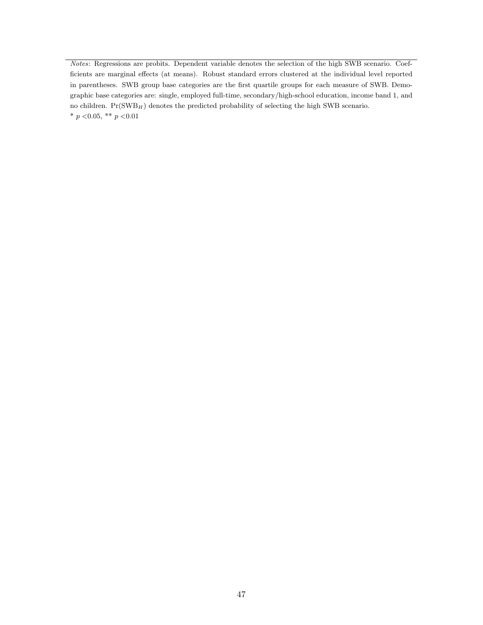*Notes*: Regressions are probits. Dependent variable denotes the selection of the high SWB scenario. Coefficients are marginal effects (at means). Robust standard errors clustered at the individual level reported in parentheses. SWB group base categories are the first quartile groups for each measure of SWB. Demographic base categories are: single, employed full-time, secondary/high-school education, income band 1, and no children. Pr(SWB*H*) denotes the predicted probability of selecting the high SWB scenario. \* *p <*0.05, \*\* *p <*0.01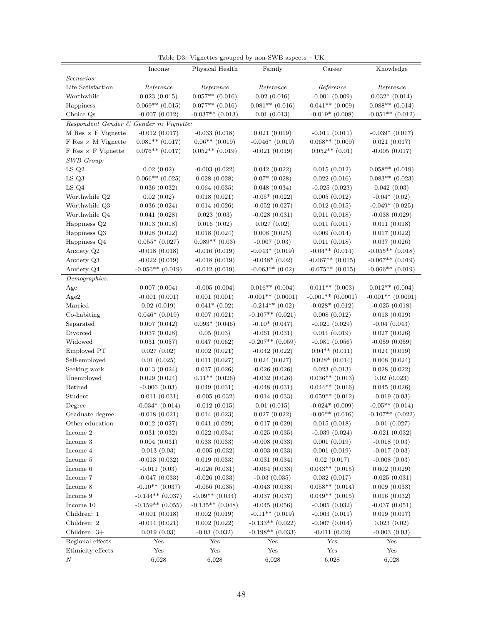|                                         |                     |                    | Table D3: Vignettes grouped by non-SWB aspects $- UK$ |                     |                     |
|-----------------------------------------|---------------------|--------------------|-------------------------------------------------------|---------------------|---------------------|
|                                         | Income              | Physical Health    | Family                                                | Career              | Knowledge           |
| Scenarios:                              |                     |                    |                                                       |                     |                     |
| Life Satisfaction                       | Reference           | Reference          | Reference                                             | Reference           | Reference           |
| Worthwhile                              | 0.023(0.015)        | $0.057**$ (0.016)  | 0.02(0.016)                                           | $-0.001(0.009)$     | $0.032*$ $(0.014)$  |
| Happiness                               | $0.069**$ (0.015)   | $0.077**$ (0.016)  | $0.081**$ (0.016)                                     | $0.041**$ (0.009)   | $0.088**$ (0.014)   |
| Choice Qs                               | $-0.007(0.012)$     | $-0.037**$ (0.013) | 0.01(0.013)                                           | $-0.019*$ (0.008)   | $-0.051**$ (0.012)  |
| Respondent Gender & Gender in Vignette: |                     |                    |                                                       |                     |                     |
| $M$ Res $\times$ F Vignette             | $-0.012(0.017)$     | $-0.033(0.018)$    | 0.021(0.019)                                          | $-0.011(0.011)$     | $-0.039*(0.017)$    |
| $F$ Res $\times$ M Vignette             | $0.081**$ (0.017)   | $0.06**$ (0.019)   | $-0.046*$ (0.019)                                     | $0.068**$ (0.009)   | 0.021(0.017)        |
| ${\rm F}$ Res $\times$ F Vignette       | $0.076**$ (0.017)   | $0.052**$ (0.019)  | $-0.021(0.019)$                                       | $0.052**$ (0.01)    | $-0.005(0.017)$     |
| SWB Group:                              |                     |                    |                                                       |                     |                     |
| LS Q2                                   | 0.02(0.02)          | $-0.003(0.022)$    | 0.042(0.022)                                          | 0.015(0.012)        | $0.058**$ (0.019)   |
| LS Q3                                   | $0.066**$ (0.025)   | 0.028(0.028)       | $0.07*$ (0.028)                                       | 0.022(0.016)        | $0.083**$ (0.023)   |
| LS Q4                                   | 0.036(0.032)        | 0.064(0.035)       | 0.048(0.034)                                          | $-0.025(0.023)$     | 0.042(0.03)         |
| Worthwhile $\mathrm{Q}2$                | 0.02(0.02)          | 0.018(0.021)       | $-0.05*$ (0.022)                                      | 0.005(0.012)        | $-0.04*(0.02)$      |
| Worthwhile Q3                           | 0.036(0.024)        | 0.014(0.026)       | $-0.052(0.027)$                                       | 0.012(0.015)        | $-0.049*(0.025)$    |
| Worthwhile $\mathrm{Q}4$                | 0.041(0.028)        | 0.023(0.03)        | $-0.028(0.031)$                                       | 0.011(0.018)        | $-0.038(0.029)$     |
| Happiness Q2                            | 0.013(0.018)        | 0.016(0.02)        | 0.027(0.02)                                           | 0.011(0.011)        | 0.011(0.018)        |
| Happiness Q3                            | 0.028(0.022)        | 0.018(0.024)       | 0.008(0.025)                                          | 0.009(0.014)        | 0.017(0.022)        |
| Happiness Q4                            | $0.055*$ (0.027)    | $0.089**$ (0.03)   | $-0.007(0.03)$                                        | 0.011(0.018)        | 0.037(0.026)        |
| Anxiety Q2                              | $-0.018(0.018)$     | $-0.016(0.019)$    | $-0.043*$ (0.019)                                     | $-0.04**$ (0.014)   | $-0.055**$ (0.018)  |
| Anxiety Q3                              | $-0.022(0.019)$     | $-0.018(0.019)$    | $-0.048*(0.02)$                                       | $-0.067**$ (0.015)  | $-0.067**$ (0.019)  |
| Anxiety Q4                              | $-0.056**$ (0.019)  | $-0.012(0.019)$    | $-0.063**$ (0.02)                                     | $-0.075**$ (0.015)  | $-0.066**$ (0.019)  |
| Demographics:                           |                     |                    |                                                       |                     |                     |
| Age                                     | 0.007(0.004)        | $-0.005(0.004)$    | $0.016**$ (0.004)                                     | $0.011**$ (0.003)   | $0.012**$ (0.004)   |
| Age2                                    | $-0.001(0.001)$     | 0.001(0.001)       | $-0.001**$ (0.0001)                                   | $-0.001**$ (0.0001) | $-0.001**$ (0.0001) |
| Married                                 | 0.02(0.019)         | $0.041*$ (0.02)    | $-0.214**$ (0.02)                                     | $-0.028*(0.012)$    | $-0.025(0.018)$     |
| Co-habiting                             | $0.046*(0.019)$     | 0.007(0.021)       | $-0.107**$ (0.021)                                    | 0.008(0.012)        | 0.013(0.019)        |
| Separated                               | 0.007(0.042)        | $0.093*$ $(0.046)$ | $-0.10*(0.047)$                                       | $-0.021(0.029)$     | $-0.04(0.043)$      |
| Divorced                                | 0.037(0.028)        | 0.05(0.03)         | $-0.061(0.031)$                                       | 0.011(0.019)        | 0.027(0.026)        |
| Widowed                                 | 0.031(0.057)        | 0.047(0.062)       | $-0.207**$ (0.059)                                    | $-0.081(0.056)$     | $-0.059(0.059)$     |
| Employed PT                             | 0.027(0.02)         | 0.002(0.021)       | $-0.042(0.022)$                                       | $0.04**$ (0.011)    | 0.024(0.019)        |
| Self-employed                           | 0.01(0.025)         | 0.011(0.027)       | 0.024(0.027)                                          | $0.028*(0.014)$     | 0.008(0.024)        |
| Seeking work                            | 0.013(0.024)        | 0.037(0.026)       | $-0.026(0.026)$                                       | 0.023(0.013)        | 0.028(0.022)        |
| Unemployed                              | 0.029(0.024)        | $0.11**$ (0.026)   | $-0.032(0.026)$                                       | $0.036**$ (0.013)   | 0.02(0.023)         |
| Retired                                 | $-0.006(0.03)$      | 0.049(0.031)       | $-0.048(0.031)$                                       | $0.044**$ (0.016)   | 0.045(0.026)        |
| Student                                 | $-0.011(0.031)$     | $-0.005(0.032)$    | $-0.014(0.033)$                                       | $0.059**$ (0.012)   | $-0.019(0.03)$      |
| Degree                                  | $-0.034*$ $(0.014)$ | $-0.012(0.015)$    | 0.01(0.015)                                           | $-0.024*$ $(0.009)$ | $-0.05**$ (0.014)   |
| Graduate degree                         | $-0.018(0.021)$     | 0.014(0.023)       | 0.027(0.022)                                          | $-0.06**$ (0.016)   | $-0.107**$ (0.022)  |
| Other education                         | 0.012(0.027)        | 0.041(0.029)       | $-0.017(0.029)$                                       | 0.015(0.018)        | $-0.01(0.027)$      |
| Income 2                                | 0.031(0.032)        | 0.022(0.034)       | $-0.025(0.035)$                                       | $-0.039(0.024)$     | $-0.021(0.032)$     |
| Income 3                                | 0.004(0.031)        | 0.033(0.033)       | $-0.008(0.033)$                                       | 0.001(0.019)        | $-0.018(0.03)$      |
| Income 4                                | 0.013(0.03)         | $-0.005(0.032)$    | $-0.003(0.033)$                                       | 0.001(0.019)        | $-0.017(0.03)$      |
| Income $\sqrt{5}$                       | $-0.013(0.032)$     | 0.019(0.033)       | $-0.031(0.034)$                                       | 0.02(0.017)         | $-0.008(0.03)$      |
| Income 6                                | $-0.011(0.03)$      | $-0.026(0.031)$    | $-0.064(0.033)$                                       | $0.043**$ (0.015)   | 0.002(0.029)        |
| Income 7                                | $-0.047(0.033)$     | $-0.026(0.033)$    | $-0.03(0.035)$                                        | 0.032(0.017)        | $-0.025(0.031)$     |
| Income 8                                | $-0.10**$ (0.037)   | $-0.056(0.035)$    | $-0.043(0.038)$                                       | $0.058**$ (0.014)   | 0.009(0.033)        |
| Income 9                                | $-0.144**$ (0.037)  | $-0.09**$ (0.034)  | $-0.037(0.037)$                                       | $0.049**$ (0.015)   | 0.016(0.032)        |
| Income $10$                             | $-0.159**$ (0.055)  | $-0.135**$ (0.048) | $-0.045(0.056)$                                       | $-0.005(0.032)$     | $-0.037(0.051)$     |
| Children: 1                             | $-0.001(0.018)$     | 0.002(0.019)       | $-0.11**$ (0.019)                                     | $-0.003(0.011)$     | 0.019(0.017)        |
| Children: 2                             | $-0.014(0.021)$     | 0.002(0.022)       | $-0.133**$ (0.022)                                    | $-0.007(0.014)$     | 0.023(0.02)         |
| Children: $3+$                          | 0.019(0.03)         | $-0.03(0.032)$     | $-0.198**$ (0.033)                                    | $-0.011(0.02)$      | $-0.003(0.03)$      |
| Regional effects                        | Yes                 | Yes                | Yes                                                   | Yes                 | Yes                 |
| Ethnicity effects                       | Yes                 | Yes                | Yes                                                   | Yes                 | Yes                 |
| $\cal N$                                | 6,028               | 6,028              | 6,028                                                 | 6,028               | 6,028               |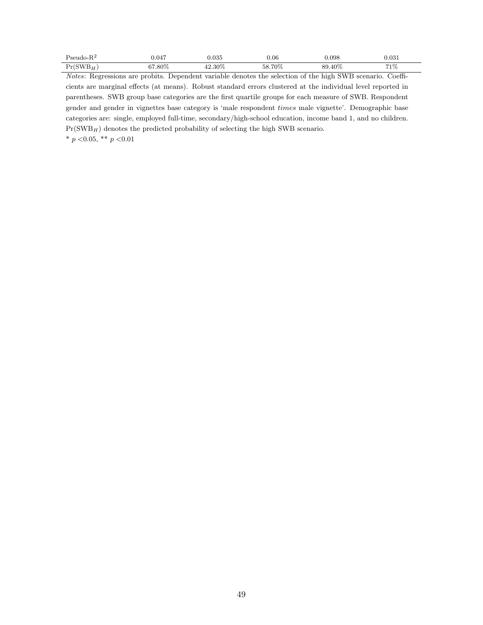| $\sim$<br>$Pseudo-R2$                     | 0.047  | $_{0.035}$ | 0.06       | 0.098   | $_{0.031}$ |
|-------------------------------------------|--------|------------|------------|---------|------------|
| $\mathbf{D}_{\mathbf{r}}$<br>$Pr(SWB_{H}$ | 67.80% | $.30\%$    | 70%<br>58. | 89.40\% | 71\%       |

*Notes*: Regressions are probits. Dependent variable denotes the selection of the high SWB scenario. Coefficients are marginal effects (at means). Robust standard errors clustered at the individual level reported in parentheses. SWB group base categories are the first quartile groups for each measure of SWB. Respondent gender and gender in vignettes base category is 'male respondent *times* male vignette'. Demographic base categories are: single, employed full-time, secondary/high-school education, income band 1, and no children. Pr(SWB*H*) denotes the predicted probability of selecting the high SWB scenario.

\* *p <*0.05, \*\* *p <*0.01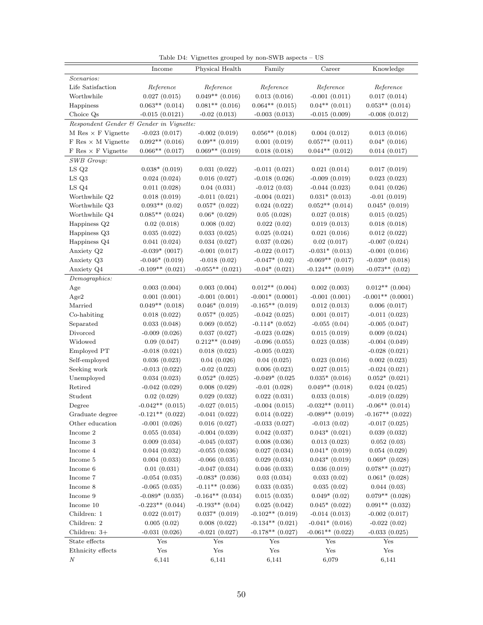|                                         |                    |                    | r ignored groupou by non b $\overline{P}$ adpected |                     |                     |
|-----------------------------------------|--------------------|--------------------|----------------------------------------------------|---------------------|---------------------|
|                                         | Income             | Physical Health    | Family                                             | Career              | Knowledge           |
| Scenarios:                              |                    |                    |                                                    |                     |                     |
| Life Satisfaction                       | Reference          | Reference          | Reference                                          | Reference           | Reference           |
| Worthwhile                              | 0.027(0.015)       | $0.049**$ (0.016)  | 0.013(0.016)                                       | $-0.001(0.011)$     | 0.017(0.014)        |
| Happiness                               | $0.063**$ (0.014)  | $0.081**$ (0.016)  | $0.064**$ (0.015)                                  | $0.04***$ $(0.011)$ | $0.053**$ (0.014)   |
| Choice Qs                               | $-0.015(0.0121)$   | $-0.02(0.013)$     | $-0.003(0.013)$                                    | $-0.015(0.009)$     | $-0.008(0.012)$     |
| Respondent Gender & Gender in Vignette: |                    |                    |                                                    |                     |                     |
| M Res $\times$ F Vignette               | $-0.023(0.017)$    | $-0.002(0.019)$    | $0.056**$ (0.018)                                  | 0.004(0.012)        | 0.013(0.016)        |
| $F$ Res $\times$ M Vignette             | $0.092**$ (0.016)  | $0.09**$ (0.019)   | 0.001(0.019)                                       | $0.057**$ (0.011)   | $0.04*(0.016)$      |
| $F$ Res $\times$ F Vignette             | $0.066**$ (0.017)  | $0.069**$ (0.019)  | 0.018(0.018)                                       | $0.044**$ (0.012)   | 0.014(0.017)        |
| SWB Group:                              |                    |                    |                                                    |                     |                     |
| LS Q2                                   | $0.038*(0.019)$    | 0.031(0.022)       | $-0.011(0.021)$                                    | 0.021(0.014)        | 0.017(0.019)        |
| LS Q3                                   | 0.024(0.024)       | 0.016(0.027)       | $-0.018(0.026)$                                    | $-0.009(0.019)$     | 0.023(0.023)        |
| LS Q4                                   | 0.011(0.028)       | 0.04(0.031)        | $-0.012(0.03)$                                     | $-0.044(0.023)$     | 0.041(0.026)        |
| Worthwhile Q2                           | 0.018(0.019)       | $-0.011(0.021)$    | $-0.004(0.021)$                                    | $0.031*$ (0.013)    | $-0.01(0.019)$      |
| Worthwhile Q3                           | $0.093**$ $(0.02)$ | $0.057*$ $(0.022)$ | 0.024(0.022)                                       | $0.052**$ (0.014)   | $0.045*$ (0.019)    |
| Worthwhile Q4                           | $0.085**$ (0.024)  | $0.06*(0.029)$     | 0.05(0.028)                                        | 0.027(0.018)        | 0.015(0.025)        |
| Happiness Q2                            | 0.02(0.018)        | 0.008(0.02)        | 0.022(0.02)                                        | 0.019(0.013)        | 0.018(0.018)        |
| Happiness Q3                            | 0.035(0.022)       | 0.033(0.025)       | 0.025(0.024)                                       | 0.021(0.016)        | 0.012(0.022)        |
| Happiness Q4                            | 0.041(0.024)       | 0.034(0.027)       | 0.037(0.026)                                       | 0.02(0.017)         | $-0.007(0.024)$     |
| Anxiety Q2                              | $-0.039*$ (0017)   | $-0.001(0.017)$    | $-0.022(0.017)$                                    | $-0.031*$ (0.013)   | $-0.001(0.016)$     |
| Anxiety Q3                              | $-0.046*(0.019)$   | $-0.018(0.02)$     | $-0.047*$ $(0.02)$                                 | $-0.069**$ (0.017)  | $-0.039*$ (0.018)   |
| Anxiety Q4                              | $-0.109**$ (0.021) | $-0.055**$ (0.021) | $-0.04*(0.021)$                                    | $-0.124**$ (0.019)  | $-0.073**$ (0.02)   |
| Demographics:                           |                    |                    |                                                    |                     |                     |
| Age                                     | 0.003(0.004)       | 0.003(0.004)       | $0.012**$ (0.004)                                  | 0.002(0.003)        | $0.012**$ (0.004)   |
| Age2                                    | 0.001(0.001)       | $-0.001(0.001)$    | $-0.001*$ (0.0001)                                 | $-0.001(0.001)$     | $-0.001**$ (0.0001) |
| Married                                 | $0.049**$ (0.018)  | $0.046*(0.019)$    | $-0.165**$ (0.019)                                 | 0.012(0.013)        | 0.006(0.017)        |
| Co-habiting                             | 0.018(0.022)       | $0.057*$ $(0.025)$ | $-0.042(0.025)$                                    | 0.001(0.017)        | $-0.011(0.023)$     |
| Separated                               | 0.033(0.048)       | 0.069(0.052)       | $-0.114*(0.052)$                                   | $-0.055(0.04)$      | $-0.005(0.047)$     |
| Divorced                                | $-0.009(0.026)$    | 0.037(0.027)       | $-0.023(0.028)$                                    | 0.015(0.019)        | 0.009(0.024)        |
| Widowed                                 | 0.09(0.047)        | $0.212**$ (0.049)  | $-0.096(0.055)$                                    | 0.023(0.038)        | $-0.004(0.049)$     |
| Employed PT                             | $-0.018(0.021)$    | 0.018(0.023)       | $-0.005(0.023)$                                    |                     | $-0.028(0.021)$     |
| Self-employed                           | 0.036(0.023)       | 0.04(0.026)        | 0.04(0.025)                                        | 0.023(0.016)        | 0.002(0.023)        |
| Seeking work                            | $-0.013(0.022)$    | $-0.02(0.023)$     | 0.006(0.023)                                       | 0.027(0.015)        | $-0.024(0.021)$     |
| Unemployed                              | 0.034(0.023)       | $0.052*(0.025)$    | $-0.049*$ (0.025)                                  | $0.035*$ $(0.016)$  | $0.052*(0.021)$     |
| Retired                                 | $-0.042(0.029)$    | 0.008(0.029)       | $-0.01(0.028)$                                     | $0.049**$ (0.018)   | 0.024(0.025)        |
| Student                                 | 0.02(0.029)        | 0.029(0.032)       | 0.022(0.031)                                       | 0.033(0.018)        | $-0.019(0.029)$     |
| Degree                                  | $-0.042**$ (0.015) | $-0.027(0.015)$    | $-0.004(0.015)$                                    | $-0.032**$ (0.011)  | $-0.06**$ (0.014)   |
| Graduate degree                         | $-0.121**$ (0.022) | $-0.041(0.022)$    | 0.014(0.022)                                       | $-0.089**$ (0.019)  | $-0.167**$ (0.022)  |
| Other education                         | $-0.001(0.026)$    | 0.016(0.027)       | $-0.033(0.027)$                                    | $-0.013(0.02)$      | $-0.017(0.025)$     |
| Income $2\,$                            | 0.055(0.034)       | $-0.004(0.039)$    | 0.042(0.037)                                       | $0.043*$ $(0.021)$  | 0.039(0.032)        |
| Income 3                                | 0.009(0.034)       | $-0.045(0.037)$    | 0.008(0.036)                                       | 0.013(0.023)        | 0.052(0.03)         |
| Income 4                                | 0.044(0.032)       | $-0.055(0.036)$    | 0.027(0.034)                                       | $0.041*$ (0.019)    | 0.054(0.029)        |
| Income 5                                | 0.004(0.033)       | $-0.066(0.035)$    | 0.029(0.034)                                       | $0.043*$ (0.019)    | $0.069*$ (0.028)    |
| Income $6\,$                            | 0.01(0.031)        | $-0.047(0.034)$    | 0.046(0.033)                                       | 0.036(0.019)        | $0.078**$ (0.027)   |
| Income 7                                | $-0.054(0.035)$    | $-0.083*$ (0.036)  | 0.03(0.034)                                        | 0.033(0.02)         | $0.061*$ (0.028)    |
| Income 8                                | $-0.065(0.035)$    | $-0.11**$ (0.036)  | 0.033(0.035)                                       | 0.035(0.02)         | 0.044(0.03)         |
| Income 9                                | $-0.089*$ (0.035)  | $-0.164**$ (0.034) | 0.015(0.035)                                       | $0.049*$ (0.02)     | $0.079**$ (0.028)   |
| Income 10                               | $-0.223**$ (0.044) | $-0.193**$ (0.04)  | 0.025(0.042)                                       | $0.045*$ (0.022)    | $0.091**$ (0.032)   |
| Children: $1$                           | 0.022(0.017)       | $0.037*$ $(0.019)$ | $-0.102**$ (0.019)                                 | $-0.014(0.013)$     | $-0.002(0.017)$     |
| Children: 2                             | 0.005(0.02)        | 0.008(0.022)       | $-0.134**$ (0.021)                                 | $-0.041*$ (0.016)   | $-0.022(0.02)$      |
| Children: 3+                            | $-0.031(0.026)$    | $-0.021(0.027)$    | $-0.178**$ (0.027)                                 | $-0.061**$ (0.022)  | $-0.033(0.025)$     |
| State effects                           | Yes                | Yes                | Yes                                                | Yes                 | Yes                 |
| Ethnicity effects                       | Yes                | Yes                | Yes                                                | Yes                 | Yes                 |
| $\boldsymbol{N}$                        | 6,141              | 6,141              | 6,141                                              | 6,079               | 6,141               |

Table D4: Vignettes grouped by non-SWB aspects – US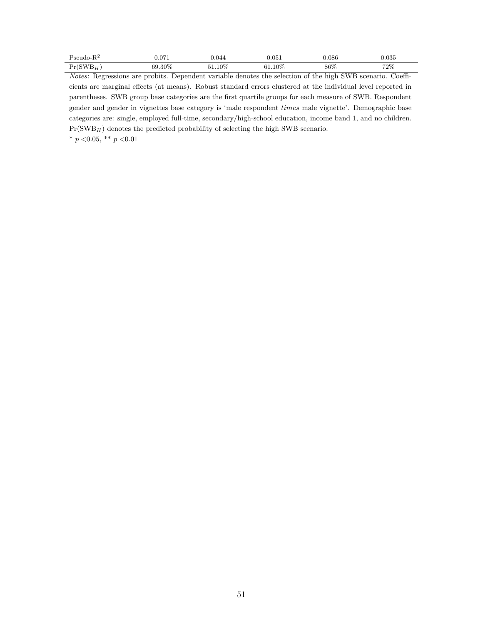| ∽<br>Pseudo-R <sup>∠</sup> | $\sim$ $-$<br>J.V I 1 | U.U44             | 0.051  | 0.086 | $_{0.035}$ |
|----------------------------|-----------------------|-------------------|--------|-------|------------|
| Ρ۳<br>W<br>$E_H$<br>11101  | 69.30%                | $51.10\%$<br>$-1$ | 61.10% | 86\%  | 72%        |

*Notes*: Regressions are probits. Dependent variable denotes the selection of the high SWB scenario. Coefficients are marginal effects (at means). Robust standard errors clustered at the individual level reported in parentheses. SWB group base categories are the first quartile groups for each measure of SWB. Respondent gender and gender in vignettes base category is 'male respondent *times* male vignette'. Demographic base categories are: single, employed full-time, secondary/high-school education, income band 1, and no children. Pr(SWB*H*) denotes the predicted probability of selecting the high SWB scenario.

\* *p <*0.05, \*\* *p <*0.01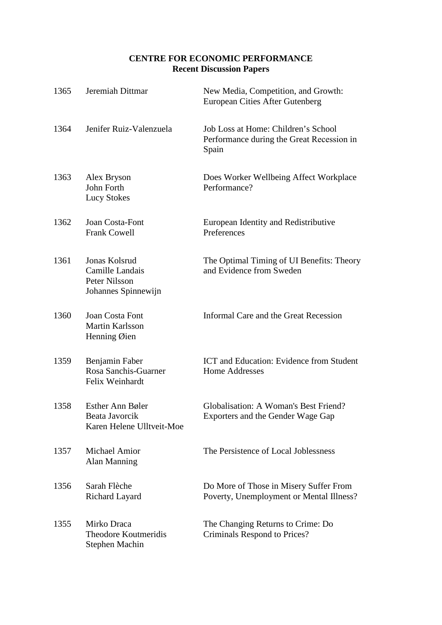# **CENTRE FOR ECONOMIC PERFORMANCE Recent Discussion Papers**

| 1365 | Jeremiah Dittmar                                                         | New Media, Competition, and Growth:<br><b>European Cities After Gutenberg</b>             |
|------|--------------------------------------------------------------------------|-------------------------------------------------------------------------------------------|
| 1364 | Jenifer Ruiz-Valenzuela                                                  | Job Loss at Home: Children's School<br>Performance during the Great Recession in<br>Spain |
| 1363 | Alex Bryson<br>John Forth<br>Lucy Stokes                                 | Does Worker Wellbeing Affect Workplace<br>Performance?                                    |
| 1362 | Joan Costa-Font<br><b>Frank Cowell</b>                                   | European Identity and Redistributive<br>Preferences                                       |
| 1361 | Jonas Kolsrud<br>Camille Landais<br>Peter Nilsson<br>Johannes Spinnewijn | The Optimal Timing of UI Benefits: Theory<br>and Evidence from Sweden                     |
| 1360 | Joan Costa Font<br>Martin Karlsson<br>Henning Øien                       | Informal Care and the Great Recession                                                     |
| 1359 | Benjamin Faber<br>Rosa Sanchis-Guarner<br>Felix Weinhardt                | ICT and Education: Evidence from Student<br><b>Home Addresses</b>                         |
| 1358 | Esther Ann Bøler<br>Beata Javorcik<br>Karen Helene Ulltveit-Moe          | Globalisation: A Woman's Best Friend?<br>Exporters and the Gender Wage Gap                |
| 1357 | <b>Michael Amior</b><br>Alan Manning                                     | The Persistence of Local Joblessness                                                      |
| 1356 | Sarah Flèche<br><b>Richard Layard</b>                                    | Do More of Those in Misery Suffer From<br>Poverty, Unemployment or Mental Illness?        |
| 1355 | Mirko Draca<br>Theodore Koutmeridis<br>Stephen Machin                    | The Changing Returns to Crime: Do<br>Criminals Respond to Prices?                         |